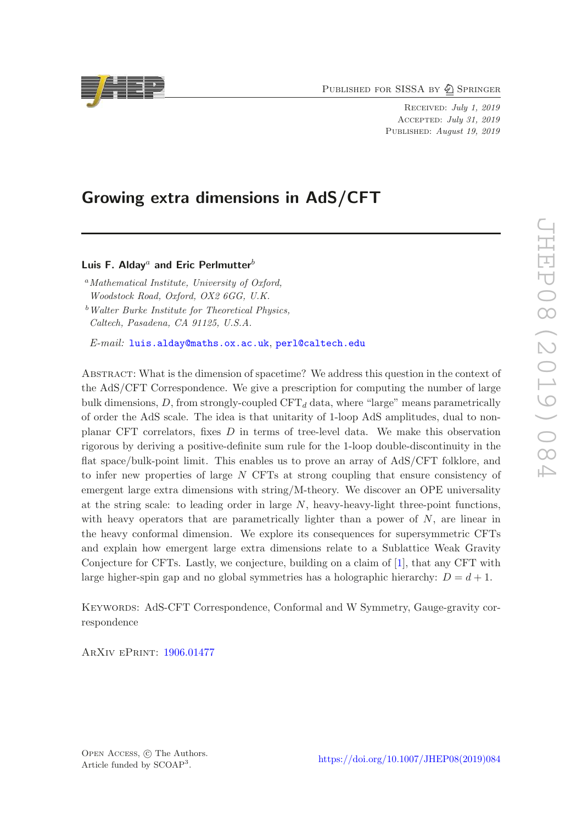PUBLISHED FOR SISSA BY 2 SPRINGER

Received: July 1, 2019 Accepted: July 31, 2019 PUBLISHED: August 19, 2019

# Growing extra dimensions in AdS/CFT

Luis F. Alday<sup>a</sup> and Eric Perlmutter<sup>b</sup>

 $a<sup>a</sup> Mathematical Institute, University of Oxford,$ Woodstock Road, Oxford, OX2 6GG, U.K.

 $b$  Walter Burke Institute for Theoretical Physics, Caltech, Pasadena, CA 91125, U.S.A.

E-mail: [luis.alday@maths.ox.ac.uk](mailto:luis.alday@maths.ox.ac.uk), [perl@caltech.edu](mailto:perl@caltech.edu)

Abstract: What is the dimension of spacetime? We address this question in the context of the AdS/CFT Correspondence. We give a prescription for computing the number of large bulk dimensions, D, from strongly-coupled  $CFT<sub>d</sub>$  data, where "large" means parametrically of order the AdS scale. The idea is that unitarity of 1-loop AdS amplitudes, dual to nonplanar CFT correlators, fixes D in terms of tree-level data. We make this observation rigorous by deriving a positive-definite sum rule for the 1-loop double-discontinuity in the flat space/bulk-point limit. This enables us to prove an array of AdS/CFT folklore, and to infer new properties of large N CFTs at strong coupling that ensure consistency of emergent large extra dimensions with string/M-theory. We discover an OPE universality at the string scale: to leading order in large  $N$ , heavy-heavy-light three-point functions, with heavy operators that are parametrically lighter than a power of  $N$ , are linear in the heavy conformal dimension. We explore its consequences for supersymmetric CFTs and explain how emergent large extra dimensions relate to a Sublattice Weak Gravity Conjecture for CFTs. Lastly, we conjecture, building on a claim of [\[1](#page-30-0)], that any CFT with large higher-spin gap and no global symmetries has a holographic hierarchy:  $D = d + 1$ .

Keywords: AdS-CFT Correspondence, Conformal and W Symmetry, Gauge-gravity correspondence

ArXiv ePrint: [1906.01477](https://arxiv.org/abs/1906.01477)



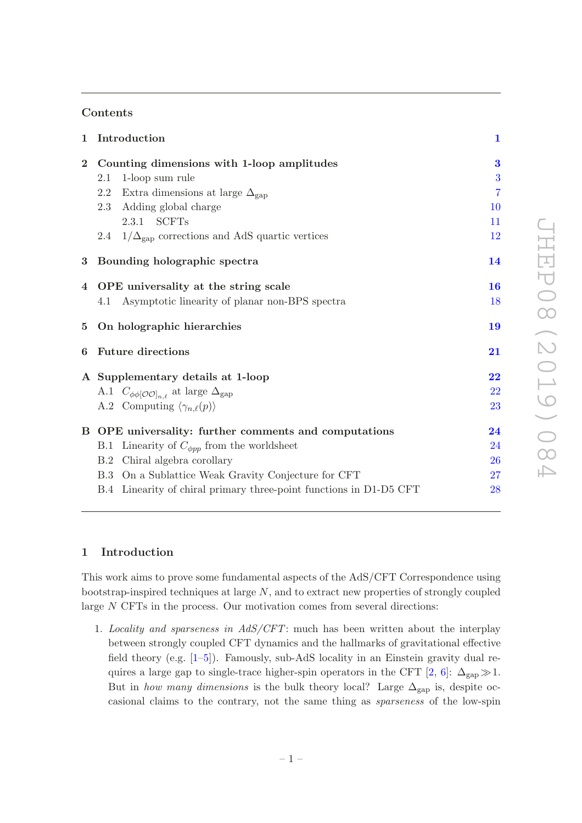# Contents

| $\mathbf{1}$    | Introduction                                                       | $\mathbf 1$    |
|-----------------|--------------------------------------------------------------------|----------------|
| $\bf{2}$        | Counting dimensions with 1-loop amplitudes                         | $\bf{3}$       |
|                 | 1-loop sum rule<br>2.1                                             | 3              |
|                 | 2.2<br>Extra dimensions at large $\Delta_{\rm gap}$                | $\overline{7}$ |
|                 | 2.3 Adding global charge                                           | 10             |
|                 | 2.3.1 SCFTs                                                        | 11             |
|                 | 2.4 $1/\Delta_{\rm gap}$ corrections and AdS quartic vertices      | 12             |
| $\bf{3}$        | Bounding holographic spectra                                       | 14             |
| 4               | OPE universality at the string scale                               | 16             |
|                 | Asymptotic linearity of planar non-BPS spectra<br>4.1              | 18             |
| $5\phantom{.0}$ | On holographic hierarchies                                         | 19             |
| 6               | <b>Future directions</b>                                           | 21             |
|                 | A Supplementary details at 1-loop                                  | 22             |
|                 | A.1 $C_{\phi\phi[O O]_{n,\ell}}$ at large $\Delta_{\text{gap}}$    | 22             |
|                 | A.2 Computing $\langle \gamma_{n,\ell}(p) \rangle$                 | 23             |
|                 | B OPE universality: further comments and computations              | 24             |
|                 | B.1 Linearity of $C_{\phi pp}$ from the worldsheet                 | 24             |
|                 | Chiral algebra corollary<br>B.2                                    | <b>26</b>      |
|                 | B.3 On a Sublattice Weak Gravity Conjecture for CFT                | 27             |
|                 | B.4 Linearity of chiral primary three-point functions in D1-D5 CFT | 28             |

# <span id="page-1-0"></span>1 Introduction

This work aims to prove some fundamental aspects of the AdS/CFT Correspondence using bootstrap-inspired techniques at large N, and to extract new properties of strongly coupled large N CFTs in the process. Our motivation comes from several directions:

1. Locality and sparseness in AdS/CFT: much has been written about the interplay between strongly coupled CFT dynamics and the hallmarks of gravitational effective field theory (e.g. [\[1](#page-30-0)[–5\]](#page-30-1)). Famously, sub-AdS locality in an Einstein gravity dual re-quires a large gap to single-trace higher-spin operators in the CFT [\[2,](#page-30-2) [6](#page-30-3)]:  $\Delta_{\rm gap} \gg 1$ . But in how many dimensions is the bulk theory local? Large  $\Delta_{\rm gap}$  is, despite occasional claims to the contrary, not the same thing as sparseness of the low-spin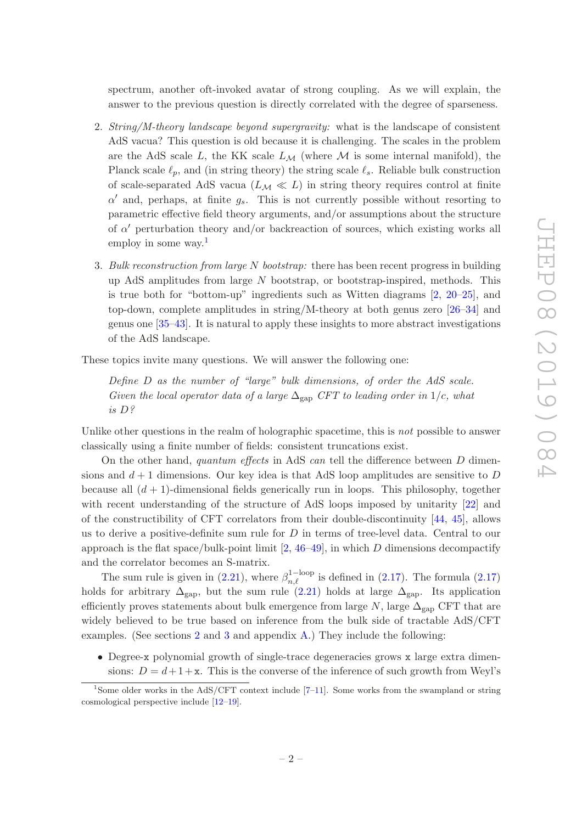spectrum, another oft-invoked avatar of strong coupling. As we will explain, the answer to the previous question is directly correlated with the degree of sparseness.

- 2. String/M-theory landscape beyond supergravity: what is the landscape of consistent AdS vacua? This question is old because it is challenging. The scales in the problem are the AdS scale  $L$ , the KK scale  $L_M$  (where M is some internal manifold), the Planck scale  $\ell_p$ , and (in string theory) the string scale  $\ell_s$ . Reliable bulk construction of scale-separated AdS vacua ( $L_M \ll L$ ) in string theory requires control at finite  $\alpha'$  and, perhaps, at finite  $g_s$ . This is not currently possible without resorting to parametric effective field theory arguments, and/or assumptions about the structure of  $\alpha'$  perturbation theory and/or backreaction of sources, which existing works all employ in some way.[1](#page-2-0)
- 3. Bulk reconstruction from large N bootstrap: there has been recent progress in building up AdS amplitudes from large  $N$  bootstrap, or bootstrap-inspired, methods. This is true both for "bottom-up" ingredients such as Witten diagrams [\[2](#page-30-2), [20](#page-31-0)[–25](#page-31-1)], and top-down, complete amplitudes in string/M-theory at both genus zero [\[26](#page-31-2)[–34\]](#page-31-3) and genus one [\[35](#page-31-4)[–43](#page-32-0)]. It is natural to apply these insights to more abstract investigations of the AdS landscape.

These topics invite many questions. We will answer the following one:

Define D as the number of "large" bulk dimensions, of order the AdS scale. Given the local operator data of a large  $\Delta_{\text{gap}}$  CFT to leading order in 1/c, what is D?

Unlike other questions in the realm of holographic spacetime, this is *not* possible to answer classically using a finite number of fields: consistent truncations exist.

On the other hand, quantum effects in AdS can tell the difference between  $D$  dimensions and  $d + 1$  dimensions. Our key idea is that AdS loop amplitudes are sensitive to D because all  $(d + 1)$ -dimensional fields generically run in loops. This philosophy, together with recent understanding of the structure of AdS loops imposed by unitarity [\[22\]](#page-31-5) and of the constructibility of CFT correlators from their double-discontinuity [\[44,](#page-32-1) [45\]](#page-32-2), allows us to derive a positive-definite sum rule for  $D$  in terms of tree-level data. Central to our approach is the flat space/bulk-point limit  $[2, 46-49]$  $[2, 46-49]$  $[2, 46-49]$ , in which D dimensions decompactify and the correlator becomes an S-matrix.

The sum rule is given in [\(2.21\)](#page-7-1), where  $\beta_{n,\ell}^{1-loop}$  is defined in [\(2.17\)](#page-6-0). The formula (2.17) holds for arbitrary  $\Delta_{\rm gap}$ , but the sum rule [\(2.21\)](#page-7-1) holds at large  $\Delta_{\rm gap}$ . Its application efficiently proves statements about bulk emergence from large  $N$ , large  $\Delta_{\text{gap}}$  CFT that are widely believed to be true based on inference from the bulk side of tractable AdS/CFT examples. (See sections [2](#page-3-0) and [3](#page-14-0) and appendix [A.](#page-22-0)) They include the following:

• Degree-x polynomial growth of single-trace degeneracies grows x large extra dimensions:  $D = d+1+x$ . This is the converse of the inference of such growth from Weyl's

<span id="page-2-0"></span><sup>&</sup>lt;sup>1</sup>Some older works in the AdS/CFT context include  $[7-11]$ . Some works from the swampland or string cosmological perspective include [\[12](#page-30-6)[–19](#page-31-6)].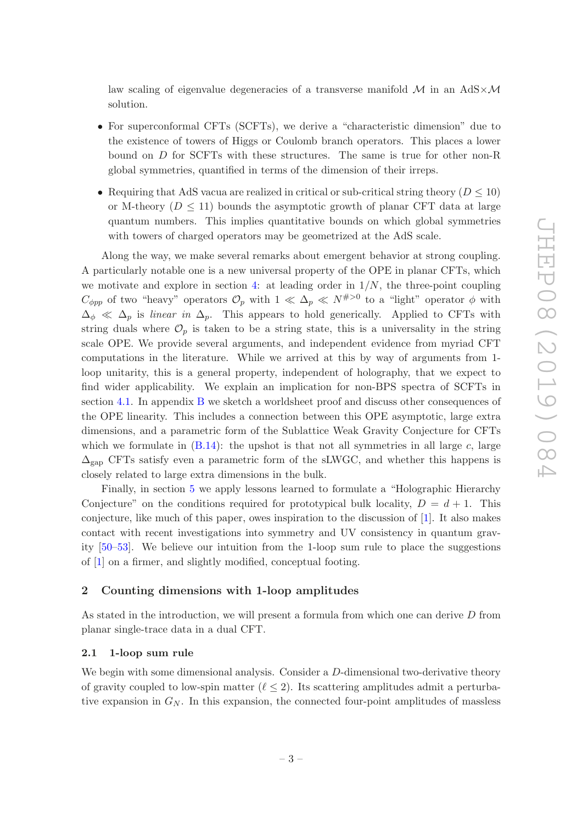law scaling of eigenvalue degeneracies of a transverse manifold  $\mathcal M$  in an AdS $\times\mathcal M$ solution.

- For superconformal CFTs (SCFTs), we derive a "characteristic dimension" due to the existence of towers of Higgs or Coulomb branch operators. This places a lower bound on D for SCFTs with these structures. The same is true for other non-R global symmetries, quantified in terms of the dimension of their irreps.
- Requiring that AdS vacua are realized in critical or sub-critical string theory  $(D \leq 10)$ or M-theory ( $D \leq 11$ ) bounds the asymptotic growth of planar CFT data at large quantum numbers. This implies quantitative bounds on which global symmetries with towers of charged operators may be geometrized at the AdS scale.

Along the way, we make several remarks about emergent behavior at strong coupling. A particularly notable one is a new universal property of the OPE in planar CFTs, which we motivate and explore in section [4:](#page-16-0) at leading order in  $1/N$ , the three-point coupling  $C_{\phi pp}$  of two "heavy" operators  $\mathcal{O}_p$  with  $1 \ll \Delta_p \ll N^{H>0}$  to a "light" operator  $\phi$  with  $\Delta_{\phi} \ll \Delta_p$  is linear in  $\Delta_p$ . This appears to hold generically. Applied to CFTs with string duals where  $\mathcal{O}_p$  is taken to be a string state, this is a universality in the string scale OPE. We provide several arguments, and independent evidence from myriad CFT computations in the literature. While we arrived at this by way of arguments from 1 loop unitarity, this is a general property, independent of holography, that we expect to find wider applicability. We explain an implication for non-BPS spectra of SCFTs in section [4.1.](#page-18-0) In appendix [B](#page-24-0) we sketch a worldsheet proof and discuss other consequences of the OPE linearity. This includes a connection between this OPE asymptotic, large extra dimensions, and a parametric form of the Sublattice Weak Gravity Conjecture for CFTs which we formulate in  $(B.14)$ : the upshot is that not all symmetries in all large c, large  $\Delta_{\rm gap}$  CFTs satisfy even a parametric form of the sLWGC, and whether this happens is closely related to large extra dimensions in the bulk.

Finally, in section [5](#page-19-0) we apply lessons learned to formulate a "Holographic Hierarchy Conjecture" on the conditions required for prototypical bulk locality,  $D = d + 1$ . This conjecture, like much of this paper, owes inspiration to the discussion of  $[1]$ . It also makes contact with recent investigations into symmetry and UV consistency in quantum gravity [\[50](#page-32-5)[–53](#page-32-6)]. We believe our intuition from the 1-loop sum rule to place the suggestions of [\[1](#page-30-0)] on a firmer, and slightly modified, conceptual footing.

### <span id="page-3-0"></span>2 Counting dimensions with 1-loop amplitudes

As stated in the introduction, we will present a formula from which one can derive D from planar single-trace data in a dual CFT.

#### <span id="page-3-1"></span>2.1 1-loop sum rule

We begin with some dimensional analysis. Consider a D-dimensional two-derivative theory of gravity coupled to low-spin matter  $(\ell \leq 2)$ . Its scattering amplitudes admit a perturbative expansion in  $G_N$ . In this expansion, the connected four-point amplitudes of massless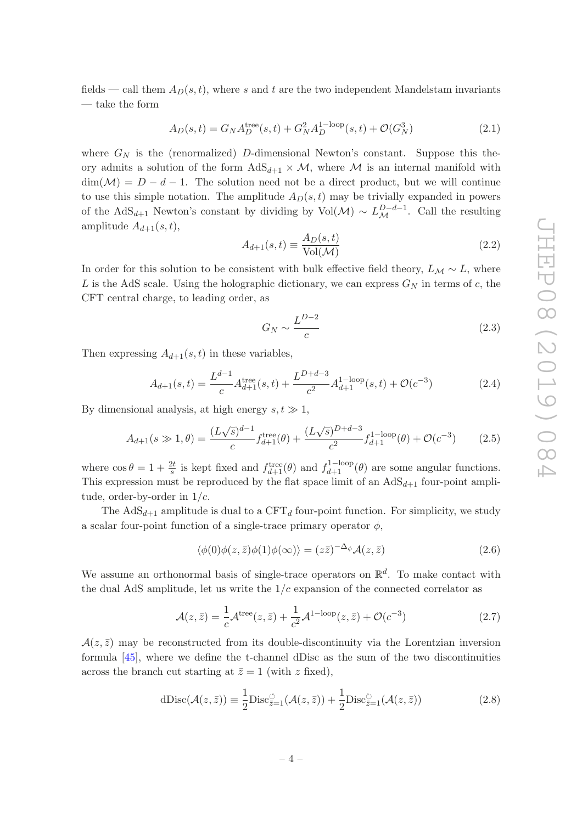fields — call them  $A_D(s, t)$ , where s and t are the two independent Mandelstam invariants — take the form

$$
A_D(s,t) = G_N A_D^{\text{tree}}(s,t) + G_N^2 A_D^{1-\text{loop}}(s,t) + \mathcal{O}(G_N^3)
$$
\n(2.1)

where  $G_N$  is the (renormalized) D-dimensional Newton's constant. Suppose this theory admits a solution of the form  $AdS_{d+1} \times M$ , where M is an internal manifold with  $\dim(\mathcal{M}) = D - d - 1$ . The solution need not be a direct product, but we will continue to use this simple notation. The amplitude  $A_D(s, t)$  may be trivially expanded in powers of the AdS<sub>d+1</sub> Newton's constant by dividing by Vol( $\mathcal{M}$ ) ~  $L_{\mathcal{M}}^{D-d-1}$ . Call the resulting amplitude  $A_{d+1}(s,t)$ ,

$$
A_{d+1}(s,t) \equiv \frac{A_D(s,t)}{\text{Vol}(\mathcal{M})} \tag{2.2}
$$

In order for this solution to be consistent with bulk effective field theory,  $L_M \sim L$ , where L is the AdS scale. Using the holographic dictionary, we can express  $G_N$  in terms of c, the CFT central charge, to leading order, as

$$
G_N \sim \frac{L^{D-2}}{c} \tag{2.3}
$$

Then expressing  $A_{d+1}(s,t)$  in these variables,

<span id="page-4-0"></span>
$$
A_{d+1}(s,t) = \frac{L^{d-1}}{c} A_{d+1}^{\text{tree}}(s,t) + \frac{L^{D+d-3}}{c^2} A_{d+1}^{1-\text{loop}}(s,t) + \mathcal{O}(c^{-3})
$$
(2.4)

By dimensional analysis, at high energy  $s, t \gg 1$ ,

<span id="page-4-1"></span>
$$
A_{d+1}(s \gg 1, \theta) = \frac{(L\sqrt{s})^{d-1}}{c} f_{d+1}^{\text{tree}}(\theta) + \frac{(L\sqrt{s})^{D+d-3}}{c^2} f_{d+1}^{1-\text{loop}}(\theta) + \mathcal{O}(c^{-3}) \tag{2.5}
$$

where  $\cos \theta = 1 + \frac{2t}{s}$  is kept fixed and  $f_{d+1}^{\text{tree}}(\theta)$  and  $f_{d+1}^{\text{1-loop}}(\theta)$  are some angular functions. This expression must be reproduced by the flat space limit of an  $AdS_{d+1}$  four-point amplitude, order-by-order in  $1/c$ .

The  $AdS_{d+1}$  amplitude is dual to a CFT<sub>d</sub> four-point function. For simplicity, we study a scalar four-point function of a single-trace primary operator  $\phi$ ,

$$
\langle \phi(0)\phi(z,\bar{z})\phi(1)\phi(\infty)\rangle = (z\bar{z})^{-\Delta_{\phi}}\mathcal{A}(z,\bar{z})
$$
\n(2.6)

We assume an orthonormal basis of single-trace operators on  $\mathbb{R}^d$ . To make contact with the dual AdS amplitude, let us write the  $1/c$  expansion of the connected correlator as

$$
\mathcal{A}(z,\bar{z}) = \frac{1}{c}\mathcal{A}^{\text{tree}}(z,\bar{z}) + \frac{1}{c^2}\mathcal{A}^{\text{1-loop}}(z,\bar{z}) + \mathcal{O}(c^{-3})
$$
\n(2.7)

 $\mathcal{A}(z,\bar{z})$  may be reconstructed from its double-discontinuity via the Lorentzian inversion formula [\[45](#page-32-2)], where we define the t-channel dDisc as the sum of the two discontinuities across the branch cut starting at  $\bar{z} = 1$  (with z fixed),

$$
dDisc(\mathcal{A}(z,\bar{z})) \equiv \frac{1}{2}Disc_{\bar{z}=1}^{\circ}(\mathcal{A}(z,\bar{z})) + \frac{1}{2}Disc_{\bar{z}=1}^{\circ}(\mathcal{A}(z,\bar{z}))
$$
(2.8)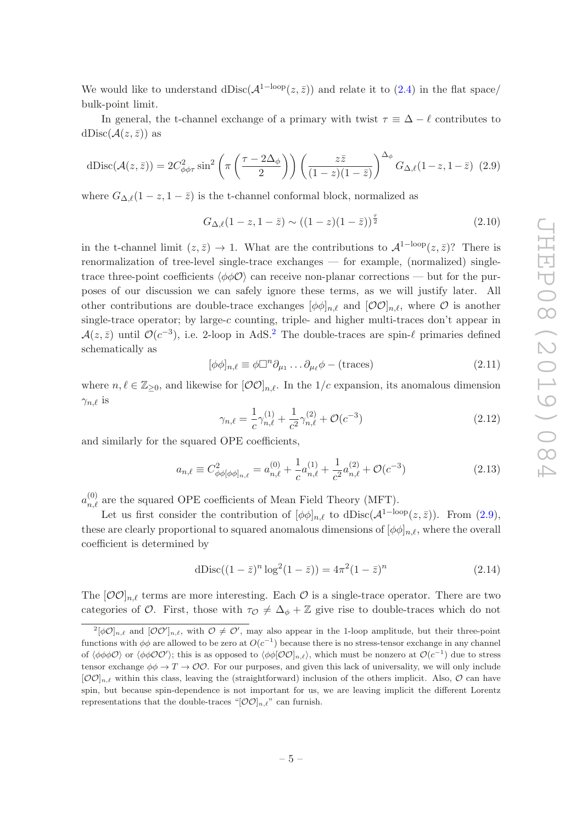We would like to understand dDisc( $\mathcal{A}^{\{1-\text{loop}}(z,\bar{z})\}$  and relate it to  $(2.4)$  in the flat space/ bulk-point limit.

In general, the t-channel exchange of a primary with twist  $\tau \equiv \Delta - \ell$  contributes to  $dDisc(\mathcal{A}(z,\bar{z}))$  as

<span id="page-5-1"></span>
$$
dDisc(\mathcal{A}(z,\bar{z})) = 2C_{\phi\phi\tau}^2 \sin^2\left(\pi\left(\frac{\tau - 2\Delta_{\phi}}{2}\right)\right) \left(\frac{z\bar{z}}{(1-z)(1-\bar{z})}\right)^{\Delta_{\phi}} G_{\Delta,\ell}(1-z,1-\bar{z}) \tag{2.9}
$$

where  $G_{\Delta,\ell}(1-z,1-\overline{z})$  is the t-channel conformal block, normalized as

$$
G_{\Delta,\ell}(1-z,1-\bar{z}) \sim ((1-z)(1-\bar{z}))^{\frac{\tau}{2}}
$$
\n(2.10)

in the t-channel limit  $(z, \bar{z}) \to 1$ . What are the contributions to  $\mathcal{A}^{\{1-\text{loop}}}(z, \bar{z})$ ? There is renormalization of tree-level single-trace exchanges — for example, (normalized) singletrace three-point coefficients  $\langle \phi \phi \mathcal{O} \rangle$  can receive non-planar corrections — but for the purposes of our discussion we can safely ignore these terms, as we will justify later. All other contributions are double-trace exchanges  $[\phi \phi]_{n,\ell}$  and  $[OO]_{n,\ell}$ , where O is another single-trace operator; by large-c counting, triple- and higher multi-traces don't appear in  $\mathcal{A}(z,\bar{z})$  until  $\mathcal{O}(c^{-3})$ , i.e. [2](#page-5-0)-loop in AdS.<sup>2</sup> The double-traces are spin- $\ell$  primaries defined schematically as

$$
[\phi\phi]_{n,\ell} \equiv \phi \Box^{n} \partial_{\mu_1} \dots \partial_{\mu_\ell} \phi - (\text{traces})
$$
\n(2.11)

where  $n, \ell \in \mathbb{Z}_{\geq 0}$ , and likewise for  $[O O]_{n,\ell}$ . In the  $1/c$  expansion, its anomalous dimension  $\gamma_{n,\ell}$  is

$$
\gamma_{n,\ell} = \frac{1}{c} \gamma_{n,\ell}^{(1)} + \frac{1}{c^2} \gamma_{n,\ell}^{(2)} + \mathcal{O}(c^{-3})
$$
\n(2.12)

and similarly for the squared OPE coefficients,

$$
a_{n,\ell} \equiv C_{\phi\phi[\phi\phi]_{n,\ell}}^2 = a_{n,\ell}^{(0)} + \frac{1}{c}a_{n,\ell}^{(1)} + \frac{1}{c^2}a_{n,\ell}^{(2)} + \mathcal{O}(c^{-3})
$$
\n(2.13)

 $a_{n,\ell}^{(0)}$  are the squared OPE coefficients of Mean Field Theory (MFT).

Let us first consider the contribution of  $[\phi \phi]_{n,\ell}$  to dDisc( $\mathcal{A}^{\{1-\text{loop}}(z,\bar{z})\}$ ). From [\(2.9\)](#page-5-1), these are clearly proportional to squared anomalous dimensions of  $[\phi \phi]_{n,\ell}$ , where the overall coefficient is determined by

dDisc
$$
((1 - \bar{z})^n \log^2(1 - \bar{z})) = 4\pi^2 (1 - \bar{z})^n
$$
 (2.14)

The  $[O O]_{n,\ell}$  terms are more interesting. Each O is a single-trace operator. There are two categories of O. First, those with  $\tau_{\mathcal{O}} \neq \Delta_{\phi} + \mathbb{Z}$  give rise to double-traces which do not

<span id="page-5-0"></span> $2[\phi\mathcal{O}]_{n,\ell}$  and  $[\mathcal{O}\mathcal{O}']_{n,\ell}$ , with  $\mathcal{O}\neq\mathcal{O}'$ , may also appear in the 1-loop amplitude, but their three-point functions with  $\phi\phi$  are allowed to be zero at  $O(c^{-1})$  because there is no stress-tensor exchange in any channel of  $\langle \phi \phi \phi \mathcal{O} \rangle$  or  $\langle \phi \phi \mathcal{O} \mathcal{O}' \rangle$ ; this is as opposed to  $\langle \phi \phi [\mathcal{O} \mathcal{O}]_{n,\ell} \rangle$ , which must be nonzero at  $\mathcal{O}(c^{-1})$  due to stress tensor exchange  $\phi \phi \to T \to \mathcal{O} \mathcal{O}$ . For our purposes, and given this lack of universality, we will only include  $[OO]_{n,\ell}$  within this class, leaving the (straightforward) inclusion of the others implicit. Also,  $O$  can have spin, but because spin-dependence is not important for us, we are leaving implicit the different Lorentz representations that the double-traces " $[OO]_{n,\ell}$ " can furnish.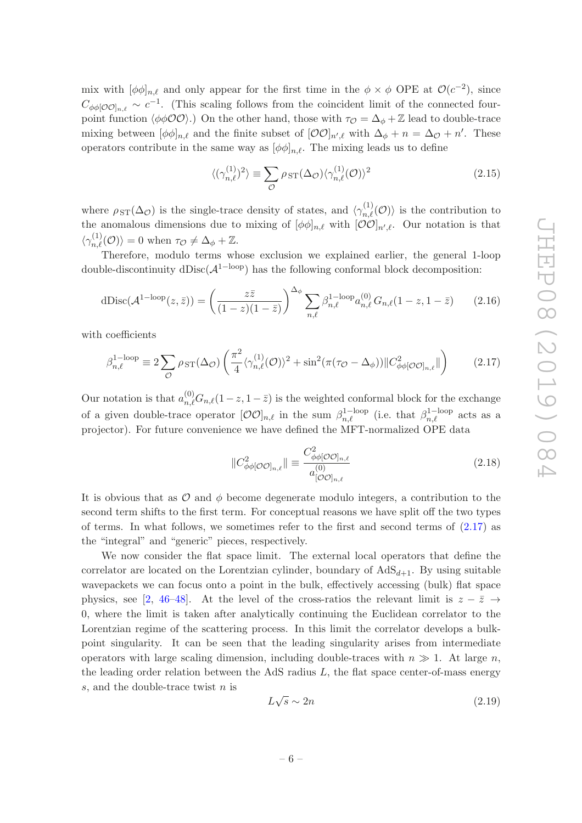mix with  $[\phi \phi]_{n,\ell}$  and only appear for the first time in the  $\phi \times \phi$  OPE at  $\mathcal{O}(c^{-2})$ , since  $C_{\phi\phi[O O]_{n,\ell}} \sim c^{-1}$ . (This scaling follows from the coincident limit of the connected fourpoint function  $\langle \phi \phi \mathcal{O} \mathcal{O} \rangle$ .) On the other hand, those with  $\tau_{\mathcal{O}} = \Delta_{\phi} + \mathbb{Z}$  lead to double-trace mixing between  $[\phi \phi]_{n,\ell}$  and the finite subset of  $[\mathcal{O}\mathcal{O}]_{n',\ell}$  with  $\Delta_{\phi} + n = \Delta_{\mathcal{O}} + n'$ . These operators contribute in the same way as  $[\phi \phi]_{n,\ell}$ . The mixing leads us to define

$$
\langle (\gamma_{n,\ell}^{(1)})^2 \rangle \equiv \sum_{\mathcal{O}} \rho_{ST}(\Delta_{\mathcal{O}}) \langle \gamma_{n,\ell}^{(1)}(\mathcal{O}) \rangle^2 \tag{2.15}
$$

where  $\rho_{ST}(\Delta_{\mathcal{O}})$  is the single-trace density of states, and  $\langle \gamma_{n,\ell}^{(1)}(\mathcal{O})\rangle$  is the contribution to the anomalous dimensions due to mixing of  $[\phi \phi]_{n,\ell}$  with  $[\mathcal{O} \mathcal{O}]_{n',\ell}$ . Our notation is that  $\langle \gamma_{n,\ell}^{(1)}(\mathcal{O})\rangle = 0$  when  $\tau_{\mathcal{O}} \neq \Delta_{\phi} + \mathbb{Z}$ .

Therefore, modulo terms whose exclusion we explained earlier, the general 1-loop double-discontinuity dDisc( $\mathcal{A}^{\text{1-loop}}$ ) has the following conformal block decomposition:

<span id="page-6-1"></span>
$$
dDisc(\mathcal{A}^{1-loop}(z,\bar{z})) = \left(\frac{z\bar{z}}{(1-z)(1-\bar{z})}\right)^{\Delta_{\phi}} \sum_{n,\ell} \beta_{n,\ell}^{1-loop} a_{n,\ell}^{(0)} G_{n,\ell} (1-z, 1-\bar{z}) \qquad (2.16)
$$

with coefficients

<span id="page-6-0"></span>
$$
\beta_{n,\ell}^{1-\text{loop}} \equiv 2 \sum_{\mathcal{O}} \rho_{ST}(\Delta_{\mathcal{O}}) \left( \frac{\pi^2}{4} \langle \gamma_{n,\ell}^{(1)}(\mathcal{O}) \rangle^2 + \sin^2(\pi(\tau_{\mathcal{O}} - \Delta_{\phi})) || C_{\phi\phi[\mathcal{O}\mathcal{O}]_{n,\ell}}^2 || \right) \tag{2.17}
$$

Our notation is that  $a_{n,\ell}^{(0)}G_{n,\ell}(1-z,1-\bar{z})$  is the weighted conformal block for the exchange of a given double-trace operator  $[O O]_{n,\ell}$  in the sum  $\beta_{n,\ell}^{1-\text{loop}}$  (i.e. that  $\beta_{n,\ell}^{1-\text{loop}}$  acts as a projector). For future convenience we have defined the MFT-normalized OPE data

$$
||C_{\phi\phi[O O]_{n,\ell}}^2|| \equiv \frac{C_{\phi\phi[O O]_{n,\ell}}^2}{a_{[O O]_{n,\ell}}^{(0)}} \tag{2.18}
$$

It is obvious that as  $\mathcal O$  and  $\phi$  become degenerate modulo integers, a contribution to the second term shifts to the first term. For conceptual reasons we have split off the two types of terms. In what follows, we sometimes refer to the first and second terms of  $(2.17)$  as the "integral" and "generic" pieces, respectively.

We now consider the flat space limit. The external local operators that define the correlator are located on the Lorentzian cylinder, boundary of  $AdS_{d+1}$ . By using suitable wavepackets we can focus onto a point in the bulk, effectively accessing (bulk) flat space physics, see [\[2](#page-30-2), [46](#page-32-3)[–48\]](#page-32-7). At the level of the cross-ratios the relevant limit is  $z - \bar{z} \rightarrow$ 0, where the limit is taken after analytically continuing the Euclidean correlator to the Lorentzian regime of the scattering process. In this limit the correlator develops a bulkpoint singularity. It can be seen that the leading singularity arises from intermediate operators with large scaling dimension, including double-traces with  $n \gg 1$ . At large n, the leading order relation between the AdS radius  $L$ , the flat space center-of-mass energy s, and the double-trace twist n is

<span id="page-6-2"></span>
$$
L\sqrt{s} \sim 2n\tag{2.19}
$$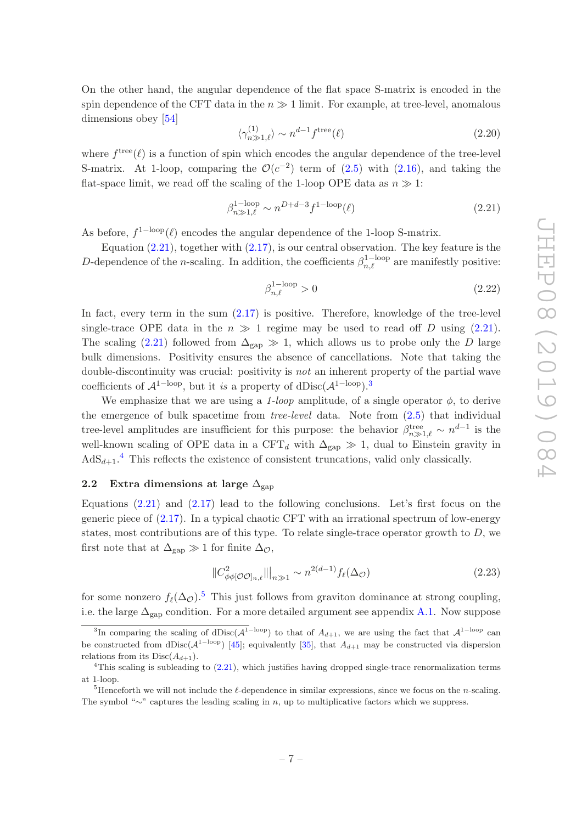On the other hand, the angular dependence of the flat space S-matrix is encoded in the spin dependence of the CFT data in the  $n \gg 1$  limit. For example, at tree-level, anomalous dimensions obey [\[54](#page-32-8)]

$$
\langle \gamma_{n\gg 1,\ell}^{(1)} \rangle \sim n^{d-1} f^{\text{tree}}(\ell) \tag{2.20}
$$

where  $f^{\text{tree}}(\ell)$  is a function of spin which encodes the angular dependence of the tree-level S-matrix. At 1-loop, comparing the  $\mathcal{O}(c^{-2})$  term of [\(2.5\)](#page-4-1) with [\(2.16\)](#page-6-1), and taking the flat-space limit, we read off the scaling of the 1-loop OPE data as  $n \gg 1$ :

<span id="page-7-1"></span>
$$
\beta_{n\gg 1,\ell}^{1-\text{loop}} \sim n^{D+d-3} f^{1-\text{loop}}(\ell) \tag{2.21}
$$

As before,  $f^{1-loop}(\ell)$  encodes the angular dependence of the 1-loop S-matrix.

Equation  $(2.21)$ , together with  $(2.17)$ , is our central observation. The key feature is the D-dependence of the *n*-scaling. In addition, the coefficients  $\beta_{n,\ell}^{1-\text{loop}}$  are manifestly positive:

$$
\beta_{n,\ell}^{1-\text{loop}} > 0 \tag{2.22}
$$

In fact, every term in the sum  $(2.17)$  is positive. Therefore, knowledge of the tree-level single-trace OPE data in the  $n \gg 1$  regime may be used to read off D using [\(2.21\)](#page-7-1). The scaling [\(2.21\)](#page-7-1) followed from  $\Delta_{\rm gap} \gg 1$ , which allows us to probe only the D large bulk dimensions. Positivity ensures the absence of cancellations. Note that taking the double-discontinuity was crucial: positivity is not an inherent property of the partial wave coefficients of  $\mathcal{A}^{\text{1-loop}}$ , but it is a property of dDisc( $\mathcal{A}^{\text{1-loop}}$ ).<sup>[3](#page-7-2)</sup>

We emphasize that we are using a 1-loop amplitude, of a single operator  $\phi$ , to derive the emergence of bulk spacetime from tree-level data. Note from [\(2.5\)](#page-4-1) that individual tree-level amplitudes are insufficient for this purpose: the behavior  $\beta_{n\gg 1,\ell}^{\text{tree}} \sim n^{d-1}$  is the well-known scaling of OPE data in a CFT<sub>d</sub> with  $\Delta_{\text{gap}} \gg 1$ , dual to Einstein gravity in  $AdS_{d+1}.^4$  $AdS_{d+1}.^4$  This reflects the existence of consistent truncations, valid only classically.

### <span id="page-7-0"></span>2.2 Extra dimensions at large  $\Delta_{\rm gap}$

Equations  $(2.21)$  and  $(2.17)$  lead to the following conclusions. Let's first focus on the generic piece of [\(2.17\)](#page-6-0). In a typical chaotic CFT with an irrational spectrum of low-energy states, most contributions are of this type. To relate single-trace operator growth to  $D$ , we first note that at  $\Delta_{\rm gap} \gg 1$  for finite  $\Delta_{\mathcal{O}}$ ,

<span id="page-7-5"></span>
$$
||C^2_{\phi\phi[O O]_{n,\ell}}||_{n\gg1} \sim n^{2(d-1)} f_{\ell}(\Delta_O)
$$
\n(2.23)

for some nonzero  $f_{\ell}(\Delta_{\mathcal{O}})$ .<sup>[5](#page-7-4)</sup> This just follows from graviton dominance at strong coupling, i.e. the large  $\Delta_{\text{gap}}$  condition. For a more detailed argument see appendix [A.1.](#page-22-1) Now suppose

<span id="page-7-2"></span><sup>&</sup>lt;sup>3</sup>In comparing the scaling of dDisc( $\mathcal{A}^{\text{1-loop}}$ ) to that of  $A_{d+1}$ , we are using the fact that  $\mathcal{A}^{\text{1-loop}}$  can be constructed from dDisc( $A^{1-loop}$ ) [\[45](#page-32-2)]; equivalently [\[35](#page-31-4)], that  $A_{d+1}$  may be constructed via dispersion relations from its  $Disc(A_{d+1})$ .

<span id="page-7-3"></span> $4$ This scaling is subleading to  $(2.21)$ , which justifies having dropped single-trace renormalization terms at 1-loop.

<span id="page-7-4"></span><sup>&</sup>lt;sup>5</sup>Henceforth we will not include the  $\ell$ -dependence in similar expressions, since we focus on the *n*-scaling. The symbol "∼" captures the leading scaling in n, up to multiplicative factors which we suppress.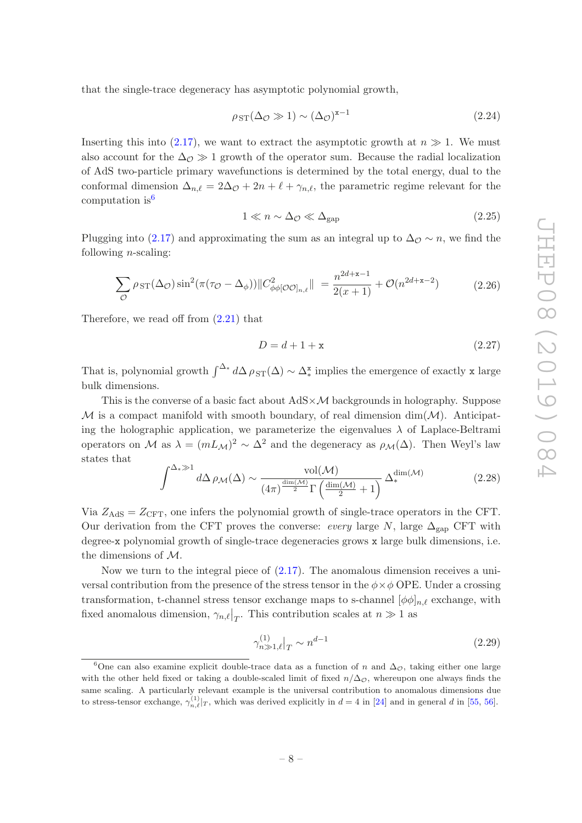that the single-trace degeneracy has asymptotic polynomial growth,

<span id="page-8-2"></span>
$$
\rho_{ST}(\Delta_{\mathcal{O}} \gg 1) \sim (\Delta_{\mathcal{O}})^{x-1} \tag{2.24}
$$

Inserting this into [\(2.17\)](#page-6-0), we want to extract the asymptotic growth at  $n \gg 1$ . We must also account for the  $\Delta_{\mathcal{O}} \gg 1$  growth of the operator sum. Because the radial localization of AdS two-particle primary wavefunctions is determined by the total energy, dual to the conformal dimension  $\Delta_{n,\ell} = 2\Delta_{\mathcal{O}} + 2n + \ell + \gamma_{n,\ell}$ , the parametric regime relevant for the computation is  $6$ 

<span id="page-8-1"></span>
$$
1 \ll n \sim \Delta_{\mathcal{O}} \ll \Delta_{\text{gap}} \tag{2.25}
$$

Plugging into [\(2.17\)](#page-6-0) and approximating the sum as an integral up to  $\Delta_{\mathcal{O}} \sim n$ , we find the following  $n$ -scaling:

$$
\sum_{\mathcal{O}} \rho_{ST}(\Delta_{\mathcal{O}}) \sin^2(\pi(\tau_{\mathcal{O}} - \Delta_{\phi})) \| C_{\phi\phi[\mathcal{O}\mathcal{O}]_{n,\ell}}^2 \| = \frac{n^{2d+\mathbf{x}-1}}{2(\mathbf{x}+1)} + \mathcal{O}(n^{2d+\mathbf{x}-2}) \tag{2.26}
$$

Therefore, we read off from  $(2.21)$  that

<span id="page-8-3"></span>
$$
D = d + 1 + \mathbf{x} \tag{2.27}
$$

That is, polynomial growth  $\int^{\Delta^*} d\Delta \rho_{ST}(\Delta) \sim \Delta_*^x$  implies the emergence of exactly x large bulk dimensions.

This is the converse of a basic fact about  $AdS \times \mathcal{M}$  backgrounds in holography. Suppose  $M$  is a compact manifold with smooth boundary, of real dimension dim $(M)$ . Anticipating the holographic application, we parameterize the eigenvalues  $\lambda$  of Laplace-Beltrami operators on M as  $\lambda = (mL_{\mathcal{M}})^2 \sim \Delta^2$  and the degeneracy as  $\rho_{\mathcal{M}}(\Delta)$ . Then Weyl's law states that

$$
\int^{\Delta_{*} \gg 1} d\Delta \rho_{\mathcal{M}}(\Delta) \sim \frac{\text{vol}(\mathcal{M})}{(4\pi)^{\frac{\text{dim}(\mathcal{M})}{2}} \Gamma\left(\frac{\text{dim}(\mathcal{M})}{2} + 1\right)} \Delta_{*}^{\text{dim}(\mathcal{M})}
$$
(2.28)

Via  $Z_{AdS} = Z_{CFT}$ , one infers the polynomial growth of single-trace operators in the CFT. Our derivation from the CFT proves the converse: every large  $N$ , large  $\Delta_{\rm gap}$  CFT with degree-x polynomial growth of single-trace degeneracies grows x large bulk dimensions, i.e. the dimensions of M.

Now we turn to the integral piece of [\(2.17\)](#page-6-0). The anomalous dimension receives a universal contribution from the presence of the stress tensor in the  $\phi \times \phi$  OPE. Under a crossing transformation, t-channel stress tensor exchange maps to s-channel  $[\phi \phi]_{n,\ell}$  exchange, with fixed anomalous dimension,  $\gamma_{n,\ell}|_T$ . This contribution scales at  $n \gg 1$  as

$$
\gamma_{n\gg 1,\ell}^{(1)}|_{T} \sim n^{d-1} \tag{2.29}
$$

<span id="page-8-0"></span><sup>&</sup>lt;sup>6</sup>One can also examine explicit double-trace data as a function of n and  $\Delta_{\mathcal{O}}$ , taking either one large with the other held fixed or taking a double-scaled limit of fixed  $n/\Delta_{\mathcal{O}}$ , whereupon one always finds the same scaling. A particularly relevant example is the universal contribution to anomalous dimensions due to stress-tensor exchange,  $\gamma_{n,\ell}^{(1)}|_T$ , which was derived explicitly in  $d = 4$  in [\[24](#page-31-7)] and in general d in [\[55,](#page-32-9) [56](#page-33-0)].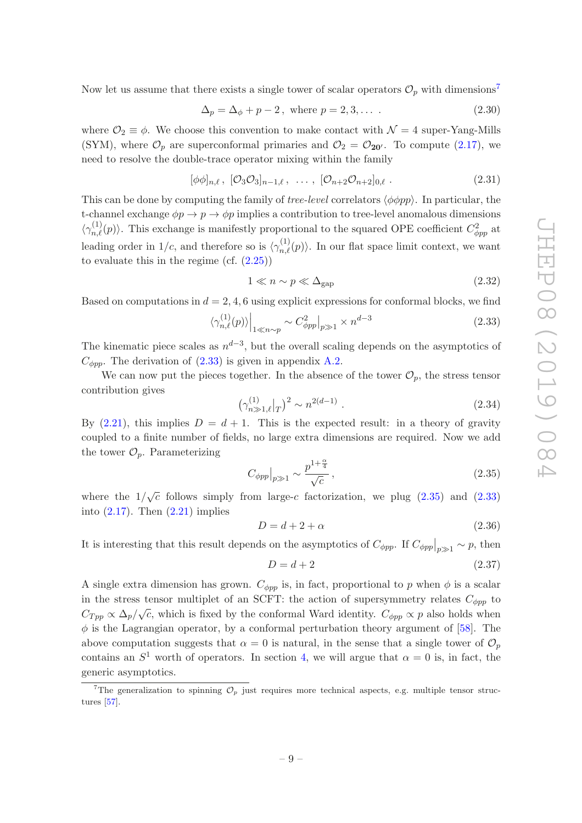Now let us assume that there exists a single tower of scalar operators  $\mathcal{O}_p$  with dimensions<sup>[7](#page-9-0)</sup>

$$
\Delta_p = \Delta_\phi + p - 2, \text{ where } p = 2, 3, \dots \tag{2.30}
$$

where  $\mathcal{O}_2 \equiv \phi$ . We choose this convention to make contact with  $\mathcal{N} = 4$  super-Yang-Mills (SYM), where  $\mathcal{O}_p$  are superconformal primaries and  $\mathcal{O}_2 = \mathcal{O}_{20'}$ . To compute [\(2.17\)](#page-6-0), we need to resolve the double-trace operator mixing within the family

$$
[\phi\phi]_{n,\ell}, [\mathcal{O}_3\mathcal{O}_3]_{n-1,\ell}, \ldots, [\mathcal{O}_{n+2}\mathcal{O}_{n+2}]_{0,\ell}. \tag{2.31}
$$

This can be done by computing the family of *tree-level* correlators  $\langle \phi \phi \rangle$ . In particular, the t-channel exchange  $\phi p \to p \to \phi p$  implies a contribution to tree-level anomalous dimensions  $\langle \gamma_{n,\ell}^{(1)}(p) \rangle$ . This exchange is manifestly proportional to the squared OPE coefficient  $C_{\phi pp}^2$  at leading order in  $1/c$ , and therefore so is  $\langle \gamma_{n,\ell}^{(1)}(p) \rangle$ . In our flat space limit context, we want to evaluate this in the regime (cf.  $(2.25)$ )

<span id="page-9-4"></span>
$$
1 \ll n \sim p \ll \Delta_{\rm gap} \tag{2.32}
$$

Based on computations in  $d = 2, 4, 6$  using explicit expressions for conformal blocks, we find

<span id="page-9-1"></span>
$$
\langle \gamma_{n,\ell}^{(1)}(p) \rangle \Big|_{1 \ll n \sim p} \sim C_{\phi pp}^2 \Big|_{p \gg 1} \times n^{d-3} \tag{2.33}
$$

The kinematic piece scales as  $n^{d-3}$ , but the overall scaling depends on the asymptotics of  $C_{\phi pp}$ . The derivation of [\(2.33\)](#page-9-1) is given in appendix [A.2.](#page-23-0)

We can now put the pieces together. In the absence of the tower  $\mathcal{O}_p$ , the stress tensor contribution gives

$$
\left(\gamma_{n\gg 1,\ell}^{(1)}|_{T}\right)^{2} \sim n^{2(d-1)}\ .\tag{2.34}
$$

By  $(2.21)$ , this implies  $D = d + 1$ . This is the expected result: in a theory of gravity coupled to a finite number of fields, no large extra dimensions are required. Now we add the tower  $\mathcal{O}_p$ . Parameterizing

<span id="page-9-2"></span>
$$
C_{\phi pp}|_{p \gg 1} \sim \frac{p^{1+\frac{\alpha}{4}}}{\sqrt{c}},\tag{2.35}
$$

where the  $1/\sqrt{c}$  follows simply from large-c factorization, we plug [\(2.35\)](#page-9-2) and [\(2.33\)](#page-9-1) into  $(2.17)$ . Then  $(2.21)$  implies

<span id="page-9-3"></span>
$$
D = d + 2 + \alpha \tag{2.36}
$$

It is interesting that this result depends on the asymptotics of  $C_{\phi pp}$ . If  $C_{\phi pp}|_{p\gg 1} \sim p$ , then

<span id="page-9-5"></span>
$$
D = d + 2 \tag{2.37}
$$

A single extra dimension has grown.  $C_{\phi pp}$  is, in fact, proportional to p when  $\phi$  is a scalar in the stress tensor multiplet of an SCFT: the action of supersymmetry relates  $C_{\phi pp}$  to  $C_{Tpp} \propto \Delta_p/\sqrt{c}$ , which is fixed by the conformal Ward identity.  $C_{\phi pp} \propto p$  also holds when  $\phi$  is the Lagrangian operator, by a conformal perturbation theory argument of [\[58\]](#page-33-1). The above computation suggests that  $\alpha = 0$  is natural, in the sense that a single tower of  $\mathcal{O}_p$ contains an  $S^1$  worth of operators. In section [4,](#page-16-0) we will argue that  $\alpha = 0$  is, in fact, the generic asymptotics.

<span id="page-9-0"></span><sup>&</sup>lt;sup>7</sup>The generalization to spinning  $\mathcal{O}_p$  just requires more technical aspects, e.g. multiple tensor structures [\[57](#page-33-2)].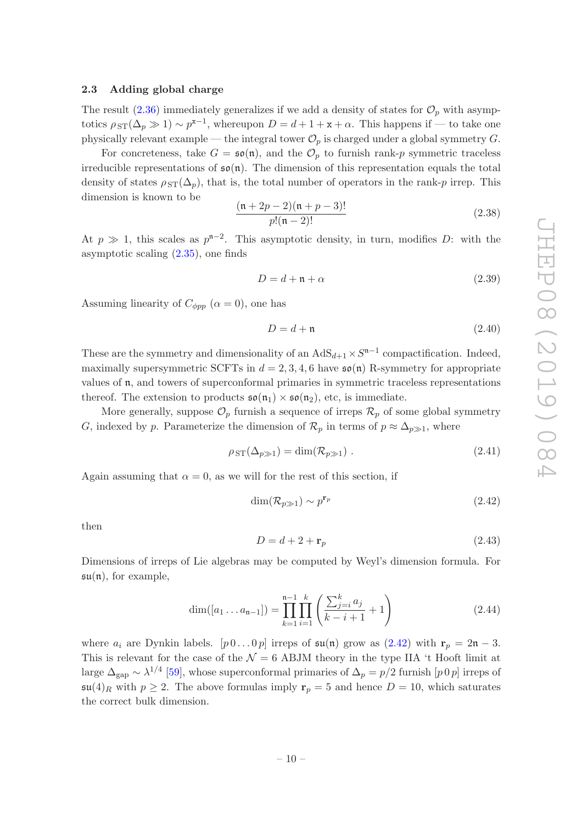# <span id="page-10-0"></span>2.3 Adding global charge

The result  $(2.36)$  immediately generalizes if we add a density of states for  $\mathcal{O}_p$  with asymptotics  $\rho_{ST}(\Delta_p \gg 1) \sim p^{x-1}$ , whereupon  $D = d + 1 + x + \alpha$ . This happens if — to take one physically relevant example — the integral tower  $\mathcal{O}_p$  is charged under a global symmetry G.

For concreteness, take  $G = \mathfrak{so}(\mathfrak{n})$ , and the  $\mathcal{O}_p$  to furnish rank-p symmetric traceless irreducible representations of  $\mathfrak{so}(n)$ . The dimension of this representation equals the total density of states  $\rho_{ST}(\Delta_p)$ , that is, the total number of operators in the rank-p irrep. This dimension is known to be

$$
\frac{(n+2p-2)(n+p-3)!}{p!(n-2)!}
$$
\n(2.38)

At  $p \gg 1$ , this scales as  $p^{n-2}$ . This asymptotic density, in turn, modifies D: with the asymptotic scaling [\(2.35\)](#page-9-2), one finds

$$
D = d + \mathfrak{n} + \alpha \tag{2.39}
$$

Assuming linearity of  $C_{\phi pp}$   $(\alpha = 0)$ , one has

<span id="page-10-3"></span>
$$
D = d + \mathfrak{n} \tag{2.40}
$$

These are the symmetry and dimensionality of an  $AdS_{d+1} \times S^{n-1}$  compactification. Indeed, maximally supersymmetric SCFTs in  $d = 2, 3, 4, 6$  have  $\mathfrak{so}(n)$  R-symmetry for appropriate values of n, and towers of superconformal primaries in symmetric traceless representations thereof. The extension to products  $\mathfrak{so}(\mathfrak{n}_1) \times \mathfrak{so}(\mathfrak{n}_2)$ , etc, is immediate.

More generally, suppose  $\mathcal{O}_p$  furnish a sequence of irreps  $\mathcal{R}_p$  of some global symmetry G, indexed by p. Parameterize the dimension of  $\mathcal{R}_p$  in terms of  $p \approx \Delta_{p \gg 1}$ , where

$$
\rho_{ST}(\Delta_{p\gg 1}) = \dim(\mathcal{R}_{p\gg 1}) . \tag{2.41}
$$

Again assuming that  $\alpha = 0$ , as we will for the rest of this section, if

<span id="page-10-1"></span>
$$
\dim(\mathcal{R}_{p\gg1}) \sim p^{\mathbf{r}_p} \tag{2.42}
$$

then

<span id="page-10-2"></span>
$$
D = d + 2 + \mathbf{r}_p \tag{2.43}
$$

Dimensions of irreps of Lie algebras may be computed by Weyl's dimension formula. For  $\mathfrak{su}(n)$ , for example,

$$
\dim([a_1 \dots a_{n-1}]) = \prod_{k=1}^{n-1} \prod_{i=1}^k \left( \frac{\sum_{j=i}^k a_j}{k-i+1} + 1 \right)
$$
\n(2.44)

where  $a_i$  are Dynkin labels.  $[p\,0\ldots 0\,p]$  irreps of  $\mathfrak{su}(\mathfrak{n})$  grow as  $(2.42)$  with  $\mathbf{r}_p = 2\mathfrak{n} - 3$ . This is relevant for the case of the  $\mathcal{N} = 6$  ABJM theory in the type IIA 't Hooft limit at large  $\Delta_{\rm gap} \sim \lambda^{1/4}$  [\[59](#page-33-3)], whose superconformal primaries of  $\Delta_p = p/2$  furnish [p 0 p] irreps of  $\mathfrak{su}(4)_R$  with  $p \geq 2$ . The above formulas imply  $\mathbf{r}_p = 5$  and hence  $D = 10$ , which saturates the correct bulk dimension.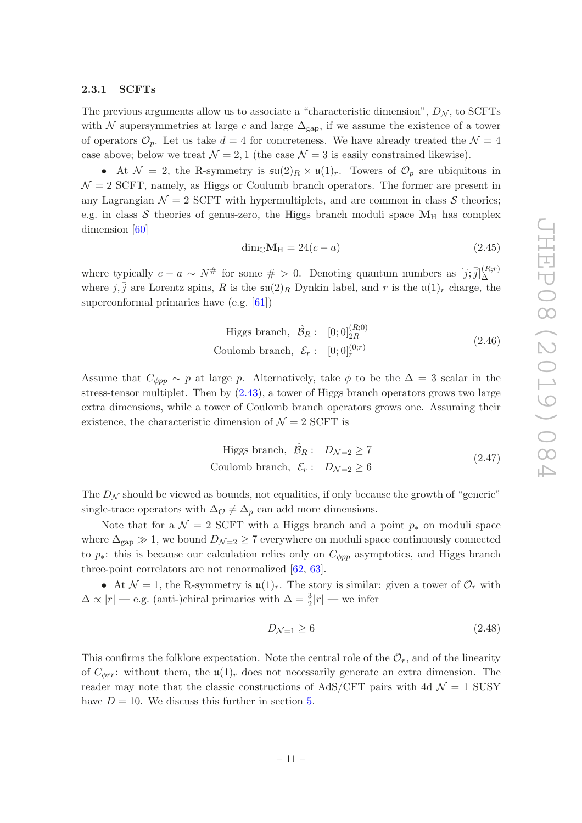#### <span id="page-11-0"></span>2.3.1 SCFTs

The previous arguments allow us to associate a "characteristic dimension",  $D_N$ , to SCFTs with N supersymmetries at large c and large  $\Delta_{\text{gap}}$ , if we assume the existence of a tower of operators  $\mathcal{O}_p$ . Let us take  $d = 4$  for concreteness. We have already treated the  $\mathcal{N} = 4$ case above; below we treat  $\mathcal{N} = 2, 1$  (the case  $\mathcal{N} = 3$  is easily constrained likewise).

• At  $\mathcal{N} = 2$ , the R-symmetry is  $\mathfrak{su}(2)_R \times \mathfrak{u}(1)_r$ . Towers of  $\mathcal{O}_p$  are ubiquitous in  $\mathcal{N}=2$  SCFT, namely, as Higgs or Coulumb branch operators. The former are present in any Lagrangian  $\mathcal{N} = 2$  SCFT with hypermultiplets, and are common in class S theories; e.g. in class  $S$  theories of genus-zero, the Higgs branch moduli space  $M_H$  has complex dimension [\[60\]](#page-33-4)

$$
\dim_{\mathbb{C}} \mathbf{M}_{\mathrm{H}} = 24(c - a) \tag{2.45}
$$

where typically  $c - a \sim N^{\#}$  for some  $\# > 0$ . Denoting quantum numbers as  $[j; \bar{j}]_{\Delta}^{(R; r)}$ ∆ where  $j, \bar{j}$  are Lorentz spins, R is the  $\mathfrak{su}(2)_R$  Dynkin label, and r is the  $\mathfrak{u}(1)_r$  charge, the superconformal primaries have (e.g. [\[61](#page-33-5)])

Higgs branch, 
$$
\hat{\mathcal{B}}_R
$$
:  $[0;0]_{2R}^{(R;0)}$   
Coulomb branch,  $\mathcal{E}_r$ :  $[0;0]_r^{(0;r)}$  (2.46)

Assume that  $C_{\phi pp} \sim p$  at large p. Alternatively, take  $\phi$  to be the  $\Delta = 3$  scalar in the stress-tensor multiplet. Then by [\(2.43\)](#page-10-2), a tower of Higgs branch operators grows two large extra dimensions, while a tower of Coulomb branch operators grows one. Assuming their existence, the characteristic dimension of  $\mathcal{N}=2$  SCFT is

Higgs branch, 
$$
\hat{\mathcal{B}}_R
$$
:  $D_{\mathcal{N}=2} \ge 7$   
Coulomb branch,  $\mathcal{E}_r$ :  $D_{\mathcal{N}=2} \ge 6$  (2.47)

The  $D<sub>N</sub>$  should be viewed as bounds, not equalities, if only because the growth of "generic" single-trace operators with  $\Delta_{\mathcal{O}} \neq \Delta_p$  can add more dimensions.

Note that for a  $\mathcal{N} = 2$  SCFT with a Higgs branch and a point  $p_*$  on moduli space where  $\Delta_{\rm gap} \gg 1$ , we bound  $D_{\mathcal{N}=2} \geq 7$  everywhere on moduli space continuously connected to  $p_*$ : this is because our calculation relies only on  $C_{\phi pp}$  asymptotics, and Higgs branch three-point correlators are not renormalized [\[62](#page-33-6), [63\]](#page-33-7).

• At  $\mathcal{N} = 1$ , the R-symmetry is  $\mathfrak{u}(1)_r$ . The story is similar: given a tower of  $\mathcal{O}_r$  with  $\Delta \propto |r|$  — e.g. (anti-)chiral primaries with  $\Delta = \frac{3}{2}|r|$  — we infer

<span id="page-11-1"></span>
$$
D_{\mathcal{N}=1} \ge 6\tag{2.48}
$$

This confirms the folklore expectation. Note the central role of the  $\mathcal{O}_r$ , and of the linearity of  $C_{\phi r r}$ : without them, the  $\mathfrak{u}(1)_r$  does not necessarily generate an extra dimension. The reader may note that the classic constructions of AdS/CFT pairs with 4d  $\mathcal{N}=1$  SUSY have  $D = 10$ . We discuss this further in section [5.](#page-19-0)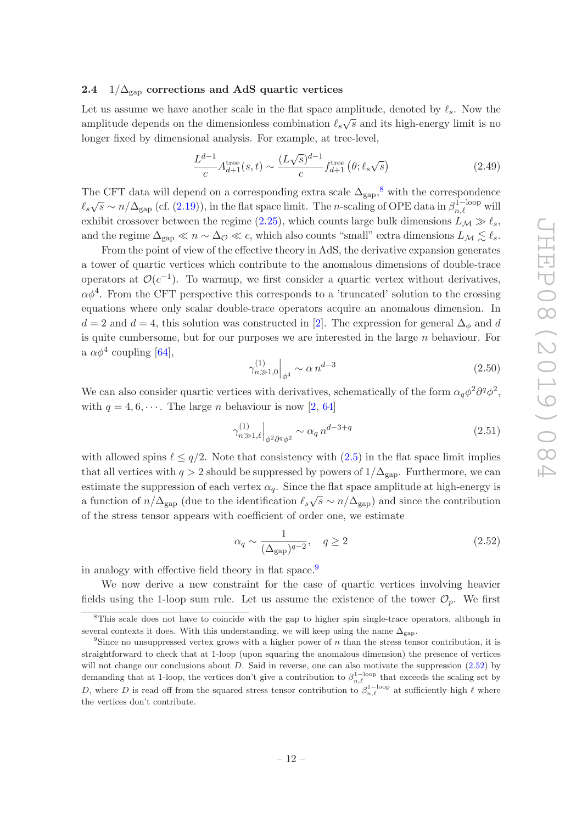### <span id="page-12-0"></span>2.4  $1/\Delta_{\rm gap}$  corrections and AdS quartic vertices

Let us assume we have another scale in the flat space amplitude, denoted by  $\ell_s$ . Now the amplitude depends on the dimensionless combination  $\ell_s\sqrt{s}$  and its high-energy limit is no longer fixed by dimensional analysis. For example, at tree-level,

$$
\frac{L^{d-1}}{c}A_{d+1}^{\text{tree}}(s,t) \sim \frac{(L\sqrt{s})^{d-1}}{c} f_{d+1}^{\text{tree}}\left(\theta; \ell_s \sqrt{s}\right)
$$
\n(2.49)

The CFT data will depend on a corresponding extra scale  $\Delta_{\text{gap}}$ ,<sup>[8](#page-12-1)</sup> with the correspondence  $\ell_s\sqrt{s} \sim n/\Delta_{\rm gap}$  (cf. [\(2.19\)](#page-6-2)), in the flat space limit. The n-scaling of OPE data in  $\beta_{n,\ell}^{1-\rm loop}$  will exhibit crossover between the regime [\(2.25\)](#page-8-1), which counts large bulk dimensions  $L_M \gg l_s$ , and the regime  $\Delta_{\rm gap} \ll n \sim \Delta_{\mathcal{O}} \ll c$ , which also counts "small" extra dimensions  $L_{\mathcal{M}} \lesssim \ell_s$ .

From the point of view of the effective theory in AdS, the derivative expansion generates a tower of quartic vertices which contribute to the anomalous dimensions of double-trace operators at  $\mathcal{O}(c^{-1})$ . To warmup, we first consider a quartic vertex without derivatives,  $\alpha \phi^4$ . From the CFT perspective this corresponds to a 'truncated' solution to the crossing equations where only scalar double-trace operators acquire an anomalous dimension. In  $d = 2$  and  $d = 4$ , this solution was constructed in [\[2](#page-30-2)]. The expression for general  $\Delta_{\phi}$  and d is quite cumbersome, but for our purposes we are interested in the large  $n$  behaviour. For a  $\alpha \phi^4$  coupling [\[64\]](#page-33-8),

$$
\gamma_{n\gg 1,0}^{(1)}\Big|_{\phi^4} \sim \alpha \, n^{d-3} \tag{2.50}
$$

We can also consider quartic vertices with derivatives, schematically of the form  $\alpha_q \phi^2 \partial^q \phi^2$ , with  $q = 4, 6, \dots$ . The large *n* behaviour is now [\[2](#page-30-2), [64\]](#page-33-8)

$$
\gamma_{n\gg 1,\ell}^{(1)}\Big|_{\phi^2\partial^q\phi^2} \sim \alpha_q \, n^{d-3+q} \tag{2.51}
$$

with allowed spins  $\ell \leq q/2$ . Note that consistency with  $(2.5)$  in the flat space limit implies that all vertices with  $q > 2$  should be suppressed by powers of  $1/\Delta_{\rm gap}$ . Furthermore, we can estimate the suppression of each vertex  $\alpha_q$ . Since the flat space amplitude at high-energy is a function of  $n/\Delta_{\rm gap}$  (due to the identification  $\ell_s\sqrt{s} \sim n/\Delta_{\rm gap}$ ) and since the contribution of the stress tensor appears with coefficient of order one, we estimate

<span id="page-12-3"></span>
$$
\alpha_q \sim \frac{1}{(\Delta_{\rm gap})^{q-2}}, \quad q \ge 2 \tag{2.52}
$$

in analogy with effective field theory in flat space.<sup>[9](#page-12-2)</sup>

We now derive a new constraint for the case of quartic vertices involving heavier fields using the 1-loop sum rule. Let us assume the existence of the tower  $\mathcal{O}_n$ . We first

<span id="page-12-1"></span><sup>&</sup>lt;sup>8</sup>This scale does not have to coincide with the gap to higher spin single-trace operators, although in several contexts it does. With this understanding, we will keep using the name  $\Delta_{\text{can}}$ .

<span id="page-12-2"></span><sup>&</sup>lt;sup>9</sup>Since no unsuppressed vertex grows with a higher power of  $n$  than the stress tensor contribution, it is straightforward to check that at 1-loop (upon squaring the anomalous dimension) the presence of vertices will not change our conclusions about D. Said in reverse, one can also motivate the suppression  $(2.52)$  by demanding that at 1-loop, the vertices don't give a contribution to  $\beta_{n,\ell}^{1-\text{loop}}$  that exceeds the scaling set by D, where D is read off from the squared stress tensor contribution to  $\beta_{n,\ell}^{1-\text{loop}}$  at sufficiently high  $\ell$  where the vertices don't contribute.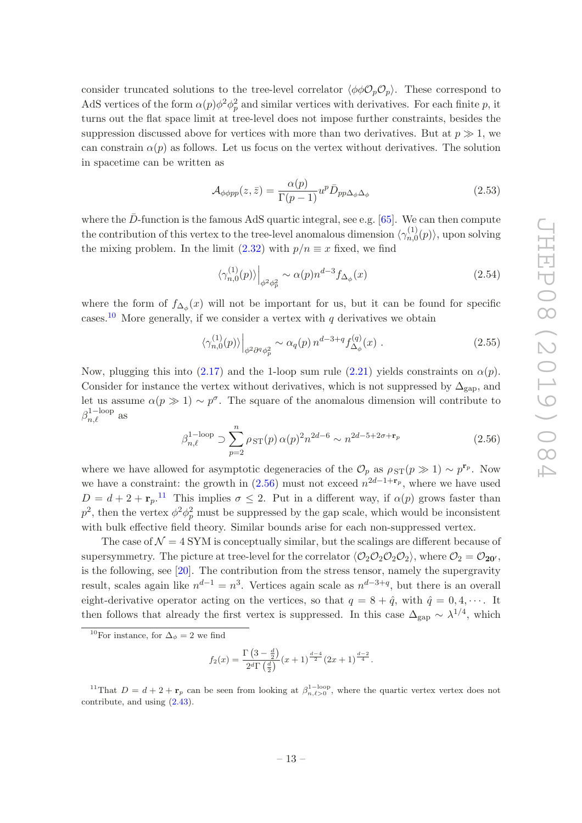consider truncated solutions to the tree-level correlator  $\langle \phi \phi \mathcal{O}_p \mathcal{O}_p \rangle$ . These correspond to AdS vertices of the form  $\alpha(p)\phi^2\phi_p^2$  and similar vertices with derivatives. For each finite p, it turns out the flat space limit at tree-level does not impose further constraints, besides the suppression discussed above for vertices with more than two derivatives. But at  $p \gg 1$ , we can constrain  $\alpha(p)$  as follows. Let us focus on the vertex without derivatives. The solution in spacetime can be written as

$$
\mathcal{A}_{\phi\phi pp}(z,\bar{z}) = \frac{\alpha(p)}{\Gamma(p-1)} u^p \bar{D}_{pp\Delta_{\phi}\Delta_{\phi}}
$$
\n(2.53)

where the  $\bar{D}$ -function is the famous AdS quartic integral, see e.g. [\[65](#page-33-9)]. We can then compute the contribution of this vertex to the tree-level anomalous dimension  $\langle \gamma_{n,0}^{(1)} \rangle$  $\langle n, 0 \rangle$ , upon solving the mixing problem. In the limit  $(2.32)$  with  $p/n \equiv x$  fixed, we find

$$
\langle \gamma_{n,0}^{(1)}(p) \rangle \Big|_{\phi^2 \phi_p^2} \sim \alpha(p) n^{d-3} f_{\Delta_\phi}(x) \tag{2.54}
$$

where the form of  $f_{\Delta_{\phi}}(x)$  will not be important for us, but it can be found for specific cases.<sup>[10](#page-13-0)</sup> More generally, if we consider a vertex with q derivatives we obtain

$$
\langle \gamma_{n,0}^{(1)}(p) \rangle \Big|_{\phi^2 \partial^q \phi_p^2} \sim \alpha_q(p) n^{d-3+q} f_{\Delta_\phi}^{(q)}(x) . \tag{2.55}
$$

Now, plugging this into [\(2.17\)](#page-6-0) and the 1-loop sum rule [\(2.21\)](#page-7-1) yields constraints on  $\alpha(p)$ . Consider for instance the vertex without derivatives, which is not suppressed by  $\Delta_{\text{gap}}$ , and let us assume  $\alpha(p \gg 1) \sim p^{\sigma}$ . The square of the anomalous dimension will contribute to  $\beta_{n,\ell}^{\rm 1-loop}$  as

<span id="page-13-1"></span>
$$
\beta_{n,\ell}^{1-\text{loop}} \supset \sum_{p=2}^{n} \rho_{ST}(p) \,\alpha(p)^2 n^{2d-6} \sim n^{2d-5+2\sigma + \mathbf{r}_p} \tag{2.56}
$$

where we have allowed for asymptotic degeneracies of the  $\mathcal{O}_p$  as  $\rho_{ST}(p \gg 1) \sim p^{\mathbf{r}_p}$ . Now we have a constraint: the growth in  $(2.56)$  must not exceed  $n^{2d-1+r_p}$ , where we have used  $D = d + 2 + r_p$ <sup>[11](#page-13-2)</sup> This implies  $\sigma \leq 2$ . Put in a different way, if  $\alpha(p)$  grows faster than  $p^2$ , then the vertex  $\phi^2 \phi_p^2$  must be suppressed by the gap scale, which would be inconsistent with bulk effective field theory. Similar bounds arise for each non-suppressed vertex.

The case of  $\mathcal{N} = 4$  SYM is conceptually similar, but the scalings are different because of supersymmetry. The picture at tree-level for the correlator  $\langle \mathcal{O}_2 \mathcal{O}_2 \mathcal{O}_2 \mathcal{O}_2 \rangle$ , where  $\mathcal{O}_2 = \mathcal{O}_{20'}$ , is the following, see [\[20\]](#page-31-0). The contribution from the stress tensor, namely the supergravity result, scales again like  $n^{d-1} = n^3$ . Vertices again scale as  $n^{d-3+q}$ , but there is an overall eight-derivative operator acting on the vertices, so that  $q = 8 + \hat{q}$ , with  $\hat{q} = 0, 4, \cdots$ . It then follows that already the first vertex is suppressed. In this case  $\Delta_{\rm gap} \sim \lambda^{1/4}$ , which

$$
f_2(x) = \frac{\Gamma\left(3 - \frac{d}{2}\right)}{2^d \Gamma\left(\frac{d}{2}\right)} (x+1)^{\frac{d-4}{2}} (2x+1)^{\frac{d-2}{4}}.
$$

<span id="page-13-0"></span><sup>&</sup>lt;sup>10</sup>For instance, for  $\Delta_{\phi} = 2$  we find

<span id="page-13-2"></span><sup>&</sup>lt;sup>11</sup>That  $D = d + 2 + \mathbf{r}_p$  can be seen from looking at  $\beta_{n,\ell>0}^{1-\text{loop}}$ , where the quartic vertex vertex does not contribute, and using [\(2.43\)](#page-10-2).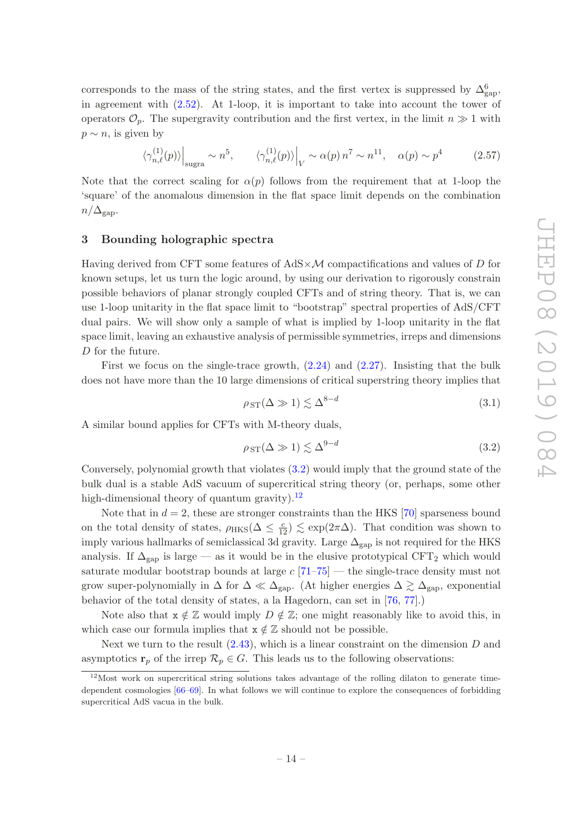corresponds to the mass of the string states, and the first vertex is suppressed by  $\Delta_{\rm gap}^6$ , in agreement with [\(2.52\)](#page-12-3). At 1-loop, it is important to take into account the tower of operators  $\mathcal{O}_p$ . The supergravity contribution and the first vertex, in the limit  $n \gg 1$  with  $p \sim n$ , is given by

$$
\left. \langle \gamma_{n,\ell}^{(1)}(p) \rangle \right|_{\text{sugra}} \sim n^5, \qquad \left. \langle \gamma_{n,\ell}^{(1)}(p) \rangle \right|_{V} \sim \alpha(p) n^7 \sim n^{11}, \quad \alpha(p) \sim p^4 \tag{2.57}
$$

Note that the correct scaling for  $\alpha(p)$  follows from the requirement that at 1-loop the 'square' of the anomalous dimension in the flat space limit depends on the combination  $n/\Delta_{\text{gap}}$ .

# <span id="page-14-0"></span>3 Bounding holographic spectra

Having derived from CFT some features of  $AdS \times \mathcal{M}$  compactifications and values of D for known setups, let us turn the logic around, by using our derivation to rigorously constrain possible behaviors of planar strongly coupled CFTs and of string theory. That is, we can use 1-loop unitarity in the flat space limit to "bootstrap" spectral properties of AdS/CFT dual pairs. We will show only a sample of what is implied by 1-loop unitarity in the flat space limit, leaving an exhaustive analysis of permissible symmetries, irreps and dimensions D for the future.

First we focus on the single-trace growth, [\(2.24\)](#page-8-2) and [\(2.27\)](#page-8-3). Insisting that the bulk does not have more than the 10 large dimensions of critical superstring theory implies that

$$
\rho_{ST}(\Delta \gg 1) \lesssim \Delta^{8-d} \tag{3.1}
$$

A similar bound applies for CFTs with M-theory duals,

<span id="page-14-1"></span>
$$
\rho_{ST}(\Delta \gg 1) \lesssim \Delta^{9-d} \tag{3.2}
$$

Conversely, polynomial growth that violates [\(3.2\)](#page-14-1) would imply that the ground state of the bulk dual is a stable AdS vacuum of supercritical string theory (or, perhaps, some other high-dimensional theory of quantum gravity).<sup>[12](#page-14-2)</sup>

Note that in  $d = 2$ , these are stronger constraints than the HKS [\[70\]](#page-33-10) sparseness bound on the total density of states,  $\rho_{HKS}(\Delta \leq \frac{c}{12}) \lesssim \exp(2\pi\Delta)$ . That condition was shown to imply various hallmarks of semiclassical 3d gravity. Large  $\Delta_{\rm gap}$  is not required for the HKS analysis. If  $\Delta_{\text{gap}}$  is large — as it would be in the elusive prototypical CFT<sub>2</sub> which would saturate modular bootstrap bounds at large  $c$  [\[71](#page-33-11)[–75\]](#page-34-0) — the single-trace density must not grow super-polynomially in  $\Delta$  for  $\Delta \ll \Delta_{\rm gap}$ . (At higher energies  $\Delta \gtrsim \Delta_{\rm gap}$ , exponential behavior of the total density of states, a la Hagedorn, can set in [\[76,](#page-34-1) [77](#page-34-2)].)

Note also that  $x \notin \mathbb{Z}$  would imply  $D \notin \mathbb{Z}$ ; one might reasonably like to avoid this, in which case our formula implies that  $x \notin \mathbb{Z}$  should not be possible.

Next we turn to the result  $(2.43)$ , which is a linear constraint on the dimension D and asymptotics  $\mathbf{r}_p$  of the irrep  $\mathcal{R}_p \in G$ . This leads us to the following observations:

<span id="page-14-2"></span><sup>12</sup>Most work on supercritical string solutions takes advantage of the rolling dilaton to generate timedependent cosmologies [\[66](#page-33-12)[–69](#page-33-13)]. In what follows we will continue to explore the consequences of forbidding supercritical AdS vacua in the bulk.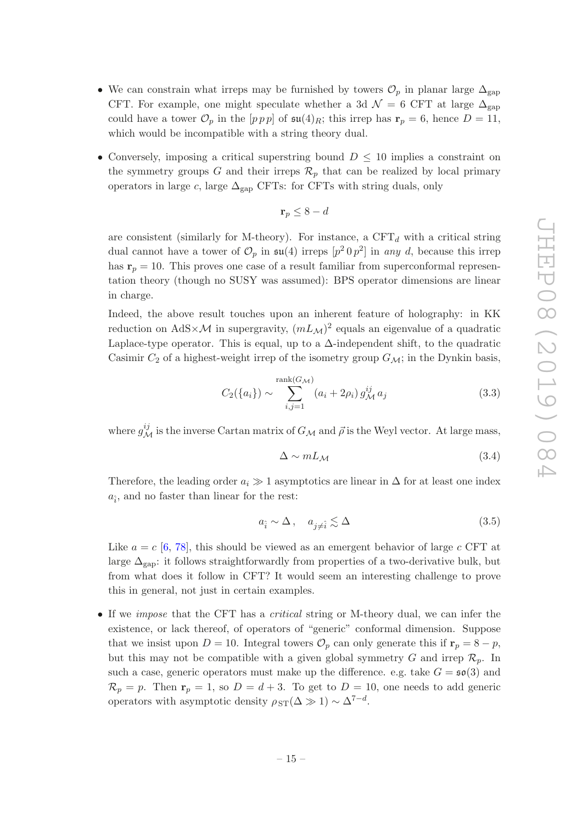- We can constrain what irreps may be furnished by towers  $\mathcal{O}_p$  in planar large  $\Delta_{\text{gap}}$ CFT. For example, one might speculate whether a 3d  $\mathcal{N} = 6$  CFT at large  $\Delta_{\rm gap}$ could have a tower  $\mathcal{O}_p$  in the  $[pp \, p]$  of  $\mathfrak{su}(4)_R$ ; this irrep has  $\mathbf{r}_p = 6$ , hence  $D = 11$ , which would be incompatible with a string theory dual.
- Conversely, imposing a critical superstring bound  $D \leq 10$  implies a constraint on the symmetry groups G and their irreps  $\mathcal{R}_p$  that can be realized by local primary operators in large c, large  $\Delta_{\rm gap}$  CFTs: for CFTs with string duals, only

$$
\mathbf{r}_p \le 8 - d
$$

are consistent (similarly for M-theory). For instance, a  $CFT<sub>d</sub>$  with a critical string dual cannot have a tower of  $\mathcal{O}_p$  in  $\mathfrak{su}(4)$  irreps  $[p^2 \, 0 \, p^2]$  in any d, because this irrep has  $r_p = 10$ . This proves one case of a result familiar from superconformal representation theory (though no SUSY was assumed): BPS operator dimensions are linear in charge.

Indeed, the above result touches upon an inherent feature of holography: in KK reduction on  $AdS \times \mathcal{M}$  in supergravity,  $(mL_{\mathcal{M}})^2$  equals an eigenvalue of a quadratic Laplace-type operator. This is equal, up to a  $\Delta$ -independent shift, to the quadratic Casimir  $C_2$  of a highest-weight irrep of the isometry group  $G_{\mathcal{M}}$ ; in the Dynkin basis,

<span id="page-15-0"></span>
$$
C_2({a_i}) \sim \sum_{i,j=1}^{\text{rank}(G_{\mathcal{M}})} (a_i + 2\rho_i) g_{\mathcal{M}}^{ij} a_j
$$
 (3.3)

where  $g_{\mathcal{M}}^{ij}$  is the inverse Cartan matrix of  $G_{\mathcal{M}}$  and  $\vec{\rho}$  is the Weyl vector. At large mass,

$$
\Delta \sim mL_{\mathcal{M}} \tag{3.4}
$$

Therefore, the leading order  $a_i \gg 1$  asymptotics are linear in  $\Delta$  for at least one index  $a_{\hat{i}}$ , and no faster than linear for the rest:

$$
a_{\hat{i}} \sim \Delta \,, \quad a_{j \neq \hat{i}} \lesssim \Delta \tag{3.5}
$$

Like  $a = c$  [\[6](#page-30-3), [78](#page-34-3)], this should be viewed as an emergent behavior of large c CFT at large  $\Delta_{\text{gap}}$ : it follows straightforwardly from properties of a two-derivative bulk, but from what does it follow in CFT? It would seem an interesting challenge to prove this in general, not just in certain examples.

• If we *impose* that the CFT has a *critical* string or M-theory dual, we can infer the existence, or lack thereof, of operators of "generic" conformal dimension. Suppose that we insist upon  $D = 10$ . Integral towers  $\mathcal{O}_p$  can only generate this if  $\mathbf{r}_p = 8 - p$ , but this may not be compatible with a given global symmetry G and irrep  $\mathcal{R}_p$ . In such a case, generic operators must make up the difference. e.g. take  $G = \mathfrak{so}(3)$  and  $\mathcal{R}_p = p$ . Then  $\mathbf{r}_p = 1$ , so  $D = d + 3$ . To get to  $D = 10$ , one needs to add generic operators with asymptotic density  $\rho_{ST}(\Delta \gg 1) \sim \Delta^{7-d}$ .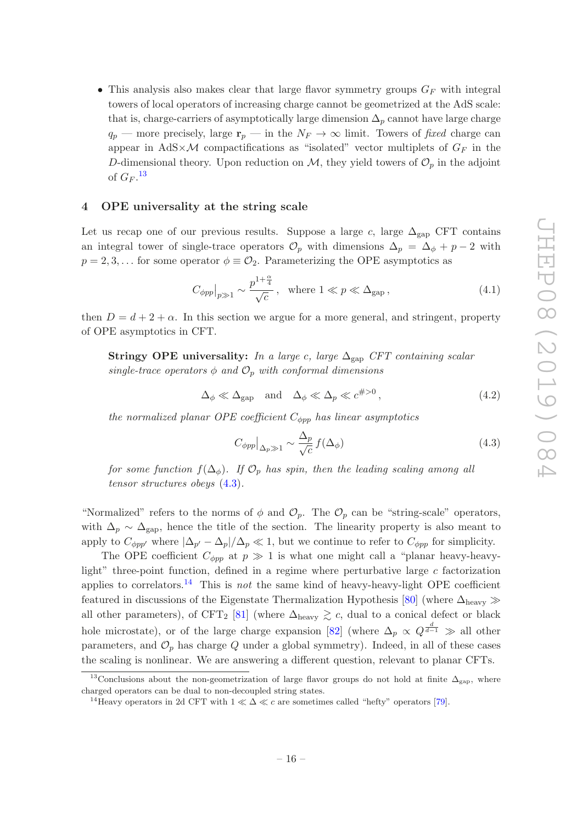• This analysis also makes clear that large flavor symmetry groups  $G_F$  with integral towers of local operators of increasing charge cannot be geometrized at the AdS scale: that is, charge-carriers of asymptotically large dimension  $\Delta_p$  cannot have large charge  $q_p$  — more precisely, large  $\mathbf{r}_p$  — in the  $N_F \to \infty$  limit. Towers of fixed charge can appear in AdS $\times$ M compactifications as "isolated" vector multiplets of  $G_F$  in the D-dimensional theory. Upon reduction on  $\mathcal{M}$ , they yield towers of  $\mathcal{O}_p$  in the adjoint of  $G_F$ .<sup>[13](#page-16-1)</sup>

#### <span id="page-16-0"></span>4 OPE universality at the string scale

Let us recap one of our previous results. Suppose a large c, large  $\Delta_{\rm gap}$  CFT contains an integral tower of single-trace operators  $\mathcal{O}_p$  with dimensions  $\Delta_p = \Delta_{\phi} + p - 2$  with  $p = 2, 3, \ldots$  for some operator  $\phi \equiv \mathcal{O}_2$ . Parameterizing the OPE asymptotics as

$$
C_{\phi pp}|_{p \gg 1} \sim \frac{p^{1+\frac{\alpha}{4}}}{\sqrt{c}}, \quad \text{where } 1 \ll p \ll \Delta_{\text{gap}}, \tag{4.1}
$$

then  $D = d + 2 + \alpha$ . In this section we argue for a more general, and stringent, property of OPE asymptotics in CFT.

Stringy OPE universality: In a large c, large  $\Delta_{\text{gap}}$  CFT containing scalar single-trace operators  $\phi$  and  $\mathcal{O}_p$  with conformal dimensions

$$
\Delta_{\phi} \ll \Delta_{\text{gap}} \quad \text{and} \quad \Delta_{\phi} \ll \Delta_p \ll c^{\#>0},\tag{4.2}
$$

the normalized planar OPE coefficient  $C_{\phi pp}$  has linear asymptotics

<span id="page-16-2"></span>
$$
C_{\phi pp}|_{\Delta_p \gg 1} \sim \frac{\Delta_p}{\sqrt{c}} f(\Delta_\phi)
$$
\n(4.3)

for some function  $f(\Delta_{\phi})$ . If  $\mathcal{O}_p$  has spin, then the leading scaling among all tensor structures obeys [\(4.3\)](#page-16-2).

"Normalized" refers to the norms of  $\phi$  and  $\mathcal{O}_p$ . The  $\mathcal{O}_p$  can be "string-scale" operators, with  $\Delta_p \sim \Delta_{\rm gap}$ , hence the title of the section. The linearity property is also meant to apply to  $C_{\phi pp'}$  where  $|\Delta_{p'} - \Delta_p|/\Delta_p \ll 1$ , but we continue to refer to  $C_{\phi pp}$  for simplicity.

The OPE coefficient  $C_{\phi pp}$  at  $p \gg 1$  is what one might call a "planar heavy-heavylight" three-point function, defined in a regime where perturbative large  $c$  factorization applies to correlators.<sup>[14](#page-16-3)</sup> This is *not* the same kind of heavy-heavy-light OPE coefficient featured in discussions of the Eigenstate Thermalization Hypothesis [\[80\]](#page-34-4) (where  $\Delta_{\text{heavy}} \gg$ all other parameters), of CFT<sub>2</sub> [\[81\]](#page-34-5) (where  $\Delta_{\text{heavy}} \gtrsim c$ , dual to a conical defect or black hole microstate), or of the large charge expansion [\[82](#page-34-6)] (where  $\Delta_p \propto Q^{\frac{d}{d-1}} \gg$  all other parameters, and  $\mathcal{O}_p$  has charge Q under a global symmetry). Indeed, in all of these cases the scaling is nonlinear. We are answering a different question, relevant to planar CFTs.

<sup>&</sup>lt;sup>13</sup>Conclusions about the non-geometrization of large flavor groups do not hold at finite  $\Delta_{\text{gap}}$ , where charged operators can be dual to non-decoupled string states.

<span id="page-16-3"></span><span id="page-16-1"></span><sup>&</sup>lt;sup>14</sup>Heavy operators in 2d CFT with  $1 \ll \Delta \ll c$  are sometimes called "hefty" operators [\[79](#page-34-7)].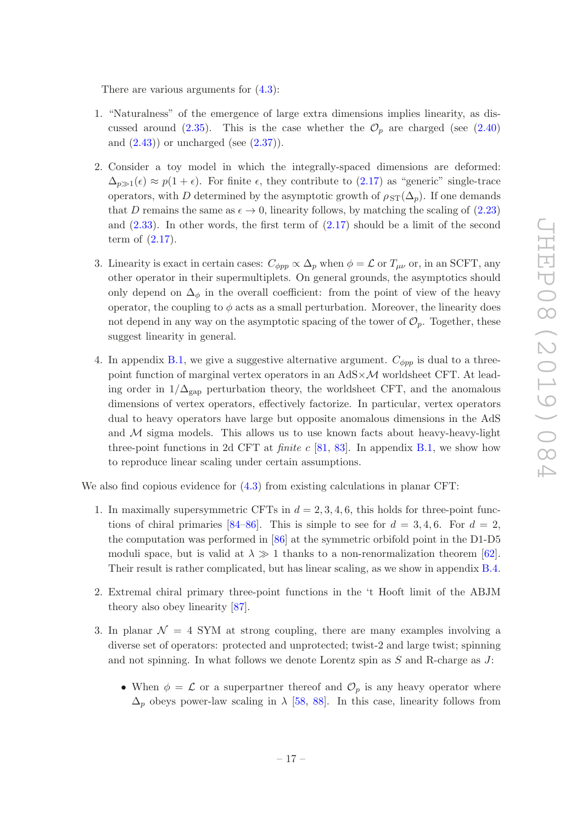There are various arguments for [\(4.3\)](#page-16-2):

- 1. "Naturalness" of the emergence of large extra dimensions implies linearity, as dis-cussed around [\(2.35\)](#page-9-2). This is the case whether the  $\mathcal{O}_p$  are charged (see [\(2.40\)](#page-10-3) and  $(2.43)$  or uncharged (see  $(2.37)$ ).
- 2. Consider a toy model in which the integrally-spaced dimensions are deformed:  $\Delta_{p\gg1}(\epsilon) \approx p(1+\epsilon)$ . For finite  $\epsilon$ , they contribute to [\(2.17\)](#page-6-0) as "generic" single-trace operators, with D determined by the asymptotic growth of  $\rho_{ST}(\Delta_p)$ . If one demands that D remains the same as  $\epsilon \to 0$ , linearity follows, by matching the scaling of [\(2.23\)](#page-7-5) and  $(2.33)$ . In other words, the first term of  $(2.17)$  should be a limit of the second term of [\(2.17\)](#page-6-0).
- 3. Linearity is exact in certain cases:  $C_{\phi pp} \propto \Delta_p$  when  $\phi = \mathcal{L}$  or  $T_{\mu\nu}$  or, in an SCFT, any other operator in their supermultiplets. On general grounds, the asymptotics should only depend on  $\Delta_{\phi}$  in the overall coefficient: from the point of view of the heavy operator, the coupling to  $\phi$  acts as a small perturbation. Moreover, the linearity does not depend in any way on the asymptotic spacing of the tower of  $\mathcal{O}_p$ . Together, these suggest linearity in general.
- 4. In appendix [B.1,](#page-24-1) we give a suggestive alternative argument.  $C_{\phi pp}$  is dual to a threepoint function of marginal vertex operators in an  $AdS \times \mathcal{M}$  worldsheet CFT. At leading order in  $1/\Delta_{\text{gap}}$  perturbation theory, the worldsheet CFT, and the anomalous dimensions of vertex operators, effectively factorize. In particular, vertex operators dual to heavy operators have large but opposite anomalous dimensions in the AdS and  $M$  sigma models. This allows us to use known facts about heavy-heavy-light three-point functions in 2d CFT at *finite c* [\[81,](#page-34-5) [83\]](#page-34-8). In appendix [B.1,](#page-24-1) we show how to reproduce linear scaling under certain assumptions.

We also find copious evidence for  $(4.3)$  from existing calculations in planar CFT:

- 1. In maximally supersymmetric CFTs in  $d = 2, 3, 4, 6$ , this holds for three-point func-tions of chiral primaries [\[84](#page-34-9)[–86\]](#page-34-10). This is simple to see for  $d = 3, 4, 6$ . For  $d = 2$ , the computation was performed in [\[86](#page-34-10)] at the symmetric orbifold point in the D1-D5 moduli space, but is valid at  $\lambda \gg 1$  thanks to a non-renormalization theorem [\[62\]](#page-33-6). Their result is rather complicated, but has linear scaling, as we show in appendix [B.4.](#page-28-0)
- 2. Extremal chiral primary three-point functions in the 't Hooft limit of the ABJM theory also obey linearity [\[87\]](#page-34-11).
- 3. In planar  $\mathcal{N} = 4$  SYM at strong coupling, there are many examples involving a diverse set of operators: protected and unprotected; twist-2 and large twist; spinning and not spinning. In what follows we denote Lorentz spin as  $S$  and R-charge as  $J$ :
	- When  $\phi = \mathcal{L}$  or a superpartner thereof and  $\mathcal{O}_p$  is any heavy operator where  $\Delta_p$  obeys power-law scaling in  $\lambda$  [\[58](#page-33-1), [88\]](#page-34-12). In this case, linearity follows from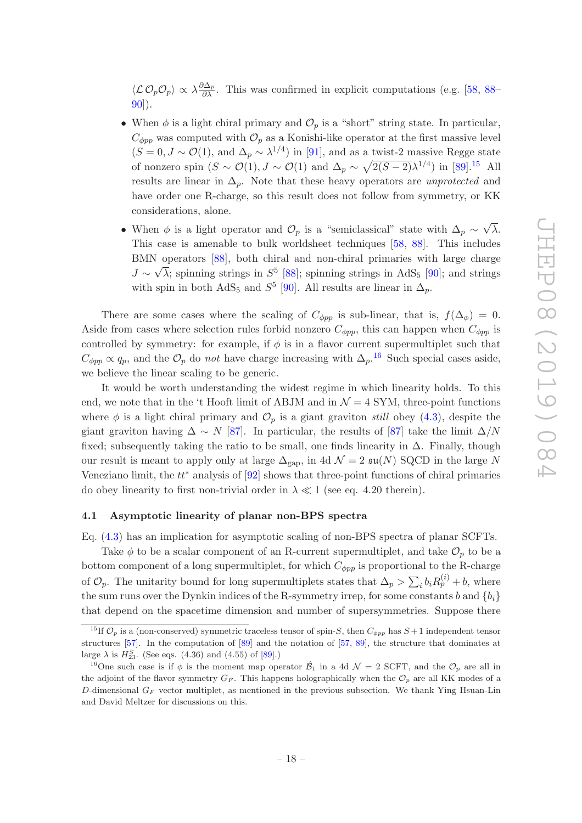$\langle\mathcal{L}\mathcal{O}_p\mathcal{O}_p\rangle \propto \lambda \frac{\partial \Delta_p}{\partial \lambda}$ . This was confirmed in explicit computations (e.g. [\[58](#page-33-1), [88](#page-34-12)– [90\]](#page-34-13)).

- When  $\phi$  is a light chiral primary and  $\mathcal{O}_p$  is a "short" string state. In particular,  $C_{\phi pp}$  was computed with  $\mathcal{O}_p$  as a Konishi-like operator at the first massive level  $(S = 0, J \sim \mathcal{O}(1))$ , and  $\Delta_p \sim \lambda^{1/4}$  in [\[91\]](#page-34-14), and as a twist-2 massive Regge state of nonzero spin  $(S \sim \mathcal{O}(1), J \sim \mathcal{O}(1)$  and  $\Delta_p \sim \sqrt{2(S-2)}\lambda^{1/4}$  in [\[89](#page-34-15)].<sup>[15](#page-18-1)</sup> All results are linear in  $\Delta_p$ . Note that these heavy operators are *unprotected* and have order one R-charge, so this result does not follow from symmetry, or KK considerations, alone.
- When  $\phi$  is a light operator and  $\mathcal{O}_p$  is a "semiclassical" state with  $\Delta_p \sim \sqrt{\lambda}$ . This case is amenable to bulk worldsheet techniques [\[58](#page-33-1), [88](#page-34-12)]. This includes BMN operators [\[88\]](#page-34-12), both chiral and non-chiral primaries with large charge  $J \sim \sqrt{\lambda}$ ; spinning strings in  $S^5$  [\[88\]](#page-34-12); spinning strings in AdS<sub>5</sub> [\[90\]](#page-34-13); and strings with spin in both  $AdS_5$  and  $S^5$  [\[90\]](#page-34-13). All results are linear in  $\Delta_p$ .

There are some cases where the scaling of  $C_{\phi pp}$  is sub-linear, that is,  $f(\Delta_{\phi}) = 0$ . Aside from cases where selection rules forbid nonzero  $C_{\phi pp}$ , this can happen when  $C_{\phi pp}$  is controlled by symmetry: for example, if  $\phi$  is in a flavor current supermultiplet such that  $C_{\phi pp} \propto q_p$ , and the  $\mathcal{O}_p$  do *not* have charge increasing with  $\Delta_p$ .<sup>[16](#page-18-2)</sup> Such special cases aside, we believe the linear scaling to be generic.

It would be worth understanding the widest regime in which linearity holds. To this end, we note that in the 't Hooft limit of ABJM and in  $\mathcal{N}=4$  SYM, three-point functions where  $\phi$  is a light chiral primary and  $\mathcal{O}_p$  is a giant graviton still obey [\(4.3\)](#page-16-2), despite the giant graviton having  $\Delta \sim N$  [\[87\]](#page-34-11). In particular, the results of [\[87\]](#page-34-11) take the limit  $\Delta/N$ fixed; subsequently taking the ratio to be small, one finds linearity in  $\Delta$ . Finally, though our result is meant to apply only at large  $\Delta_{\rm gap}$ , in 4d  $\mathcal{N}=2$   $\mathfrak{su}(N)$  SQCD in the large N Veneziano limit, the  $tt^*$  analysis of  $[92]$  shows that three-point functions of chiral primaries do obey linearity to first non-trivial order in  $\lambda \ll 1$  (see eq. 4.20 therein).

### <span id="page-18-0"></span>4.1 Asymptotic linearity of planar non-BPS spectra

Eq. [\(4.3\)](#page-16-2) has an implication for asymptotic scaling of non-BPS spectra of planar SCFTs.

Take  $\phi$  to be a scalar component of an R-current supermultiplet, and take  $\mathcal{O}_p$  to be a bottom component of a long supermultiplet, for which  $C_{\phi pp}$  is proportional to the R-charge of  $\mathcal{O}_p$ . The unitarity bound for long supermultiplets states that  $\Delta_p > \sum_i b_i R_p^{(i)} + b$ , where the sum runs over the Dynkin indices of the R-symmetry irrep, for some constants b and  ${b_i}$ that depend on the spacetime dimension and number of supersymmetries. Suppose there

<span id="page-18-1"></span><sup>&</sup>lt;sup>15</sup>If  $\mathcal{O}_p$  is a (non-conserved) symmetric traceless tensor of spin-S, then  $C_{\phi pp}$  has  $S+1$  independent tensor structures [\[57\]](#page-33-2). In the computation of [\[89\]](#page-34-15) and the notation of [\[57](#page-33-2), [89\]](#page-34-15), the structure that dominates at large  $\lambda$  is  $H_{23}^S$ . (See eqs. (4.36) and (4.55) of [\[89](#page-34-15)].)

<span id="page-18-2"></span><sup>&</sup>lt;sup>16</sup>One such case is if  $\phi$  is the moment map operator  $\hat{\mathcal{B}}_1$  in a 4d  $\mathcal{N}=2$  SCFT, and the  $\mathcal{O}_p$  are all in the adjoint of the flavor symmetry  $G_F$ . This happens holographically when the  $\mathcal{O}_p$  are all KK modes of a D-dimensional  $G_F$  vector multiplet, as mentioned in the previous subsection. We thank Ying Hsuan-Lin and David Meltzer for discussions on this.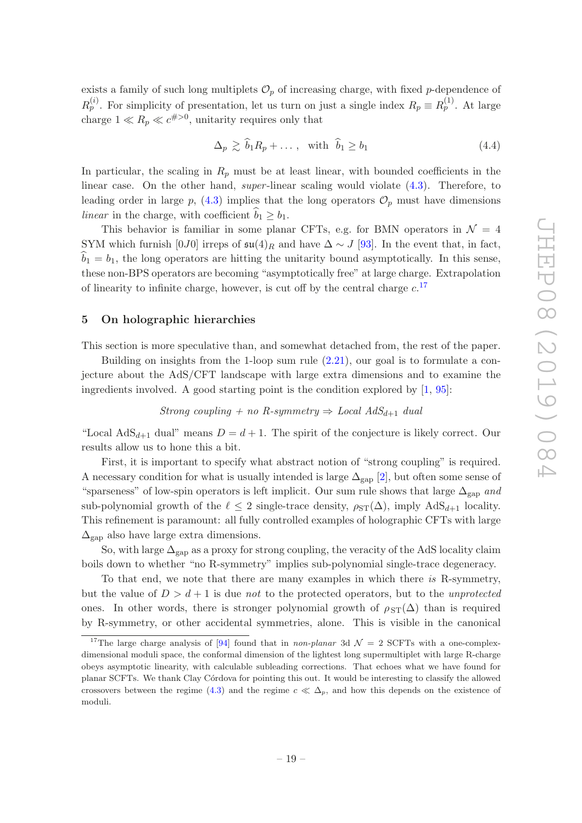exists a family of such long multiplets  $\mathcal{O}_p$  of increasing charge, with fixed p-dependence of  $R_p^{(i)}$ . For simplicity of presentation, let us turn on just a single index  $R_p \equiv R_p^{(1)}$ . At large charge  $1 \ll R_p \ll c^{\#>0}$ , unitarity requires only that

$$
\Delta_p \gtrsim \hat{b}_1 R_p + \dots, \quad \text{with} \quad \hat{b}_1 \ge b_1 \tag{4.4}
$$

In particular, the scaling in  $R_p$  must be at least linear, with bounded coefficients in the linear case. On the other hand, super-linear scaling would violate  $(4.3)$ . Therefore, to leading order in large p, [\(4.3\)](#page-16-2) implies that the long operators  $\mathcal{O}_p$  must have dimensions linear in the charge, with coefficient  $b_1 \geq b_1$ .

This behavior is familiar in some planar CFTs, e.g. for BMN operators in  $\mathcal{N} = 4$ SYM which furnish [0J0] irreps of  $\mathfrak{su}(4)_R$  and have  $\Delta \sim J$  [\[93](#page-34-17)]. In the event that, in fact,  $b_1 = b_1$ , the long operators are hitting the unitarity bound asymptotically. In this sense, these non-BPS operators are becoming "asymptotically free" at large charge. Extrapolation of linearity to infinite charge, however, is cut off by the central charge  $c$ <sup>[17](#page-19-1)</sup>

# <span id="page-19-0"></span>5 On holographic hierarchies

This section is more speculative than, and somewhat detached from, the rest of the paper.

Building on insights from the 1-loop sum rule [\(2.21\)](#page-7-1), our goal is to formulate a conjecture about the AdS/CFT landscape with large extra dimensions and to examine the ingredients involved. A good starting point is the condition explored by [\[1,](#page-30-0) [95](#page-35-0)]:

#### Strong coupling + no R-symmetry  $\Rightarrow$  Local AdS<sub>d+1</sub> dual

"Local AdS<sub>d+1</sub> dual" means  $D = d + 1$ . The spirit of the conjecture is likely correct. Our results allow us to hone this a bit.

First, it is important to specify what abstract notion of "strong coupling" is required. A necessary condition for what is usually intended is large  $\Delta_{\text{gap}}$  [\[2\]](#page-30-2), but often some sense of "sparseness" of low-spin operators is left implicit. Our sum rule shows that large  $\Delta_{\rm gap}$  and sub-polynomial growth of the  $\ell \leq 2$  single-trace density,  $\rho_{ST}(\Delta)$ , imply  $AdS_{d+1}$  locality. This refinement is paramount: all fully controlled examples of holographic CFTs with large  $\Delta_{\rm gap}$  also have large extra dimensions.

So, with large  $\Delta_{\text{gap}}$  as a proxy for strong coupling, the veracity of the AdS locality claim boils down to whether "no R-symmetry" implies sub-polynomial single-trace degeneracy.

To that end, we note that there are many examples in which there is R-symmetry, but the value of  $D > d + 1$  is due not to the protected operators, but to the unprotected ones. In other words, there is stronger polynomial growth of  $\rho_{ST}(\Delta)$  than is required by R-symmetry, or other accidental symmetries, alone. This is visible in the canonical

<span id="page-19-1"></span><sup>&</sup>lt;sup>17</sup>The large charge analysis of [\[94\]](#page-35-1) found that in non-planar 3d  $\mathcal{N} = 2$  SCFTs with a one-complexdimensional moduli space, the conformal dimension of the lightest long supermultiplet with large R-charge obeys asymptotic linearity, with calculable subleading corrections. That echoes what we have found for planar SCFTs. We thank Clay C´ordova for pointing this out. It would be interesting to classify the allowed crossovers between the regime [\(4.3\)](#page-16-2) and the regime  $c \ll \Delta_p$ , and how this depends on the existence of moduli.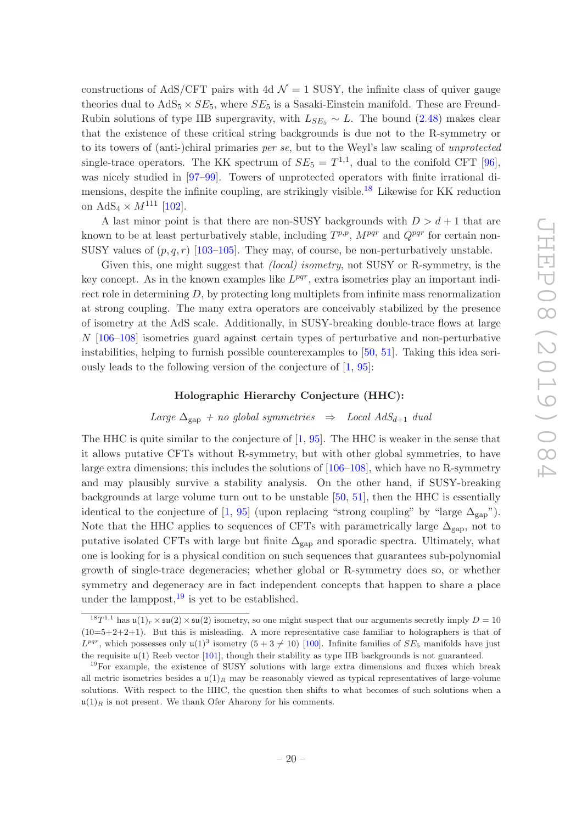constructions of AdS/CFT pairs with 4d  $\mathcal{N} = 1$  SUSY, the infinite class of quiver gauge theories dual to  $AdS_5 \times SE_5$ , where  $SE_5$  is a Sasaki-Einstein manifold. These are Freund-Rubin solutions of type IIB supergravity, with  $L_{SE_5} \sim L$ . The bound [\(2.48\)](#page-11-1) makes clear that the existence of these critical string backgrounds is due not to the R-symmetry or to its towers of (anti-)chiral primaries per se, but to the Weyl's law scaling of unprotected single-trace operators. The KK spectrum of  $SE_5 = T^{1,1}$ , dual to the conifold CFT [\[96\]](#page-35-2), was nicely studied in [\[97](#page-35-3)[–99](#page-35-4)]. Towers of unprotected operators with finite irrational di-mensions, despite the infinite coupling, are strikingly visible.<sup>[18](#page-20-0)</sup> Likewise for KK reduction on  $AdS_4 \times M^{111}$  [\[102\]](#page-35-5).

A last minor point is that there are non-SUSY backgrounds with  $D > d + 1$  that are known to be at least perturbatively stable, including  $T^{p,p}$ ,  $M^{pqr}$  and  $Q^{pqr}$  for certain non-SUSY values of  $(p, q, r)$  [\[103](#page-35-6)[–105](#page-35-7)]. They may, of course, be non-perturbatively unstable.

Given this, one might suggest that *(local) isometry*, not SUSY or R-symmetry, is the key concept. As in the known examples like  $L^{pqr}$ , extra isometries play an important indirect role in determining  $D$ , by protecting long multiplets from infinite mass renormalization at strong coupling. The many extra operators are conceivably stabilized by the presence of isometry at the AdS scale. Additionally, in SUSY-breaking double-trace flows at large N [\[106](#page-35-8)[–108\]](#page-35-9) isometries guard against certain types of perturbative and non-perturbative instabilities, helping to furnish possible counterexamples to [\[50](#page-32-5), [51\]](#page-32-10). Taking this idea seriously leads to the following version of the conjecture of [\[1,](#page-30-0) [95](#page-35-0)]:

#### Holographic Hierarchy Conjecture (HHC):

#### Large  $\Delta_{\text{gap}}$  + no global symmetries  $\Rightarrow$  Local AdS<sub>d+1</sub> dual

The HHC is quite similar to the conjecture of  $[1, 95]$  $[1, 95]$  $[1, 95]$ . The HHC is weaker in the sense that it allows putative CFTs without R-symmetry, but with other global symmetries, to have large extra dimensions; this includes the solutions of [\[106](#page-35-8)[–108\]](#page-35-9), which have no R-symmetry and may plausibly survive a stability analysis. On the other hand, if SUSY-breaking backgrounds at large volume turn out to be unstable [\[50,](#page-32-5) [51](#page-32-10)], then the HHC is essentially identical to the conjecture of [\[1,](#page-30-0) [95\]](#page-35-0) (upon replacing "strong coupling" by "large  $\Delta_{\text{gap}}$ "). Note that the HHC applies to sequences of CFTs with parametrically large  $\Delta_{\rm gap}$ , not to putative isolated CFTs with large but finite  $\Delta_{\text{gap}}$  and sporadic spectra. Ultimately, what one is looking for is a physical condition on such sequences that guarantees sub-polynomial growth of single-trace degeneracies; whether global or R-symmetry does so, or whether symmetry and degeneracy are in fact independent concepts that happen to share a place under the lamppost,  $19$  is yet to be established.

<span id="page-20-0"></span><sup>&</sup>lt;sup>18</sup> $T^{1,1}$  has  $\mathfrak{u}(1)_r \times \mathfrak{su}(2) \times \mathfrak{su}(2)$  isometry, so one might suspect that our arguments secretly imply  $D = 10$  $(10=5+2+2+1)$ . But this is misleading. A more representative case familiar to holographers is that of  $L^{pqr}$ , which possesses only  $\mathfrak{u}(1)^3$  isometry  $(5+3 \neq 10)$  [\[100\]](#page-35-10). Infinite families of  $SE_5$  manifolds have just the requisite  $u(1)$  Reeb vector [\[101](#page-35-11)], though their stability as type IIB backgrounds is not guaranteed.

<span id="page-20-1"></span><sup>&</sup>lt;sup>19</sup>For example, the existence of SUSY solutions with large extra dimensions and fluxes which break all metric isometries besides a  $\mathfrak{u}(1)_R$  may be reasonably viewed as typical representatives of large-volume solutions. With respect to the HHC, the question then shifts to what becomes of such solutions when a  $\mu(1)_R$  is not present. We thank Ofer Aharony for his comments.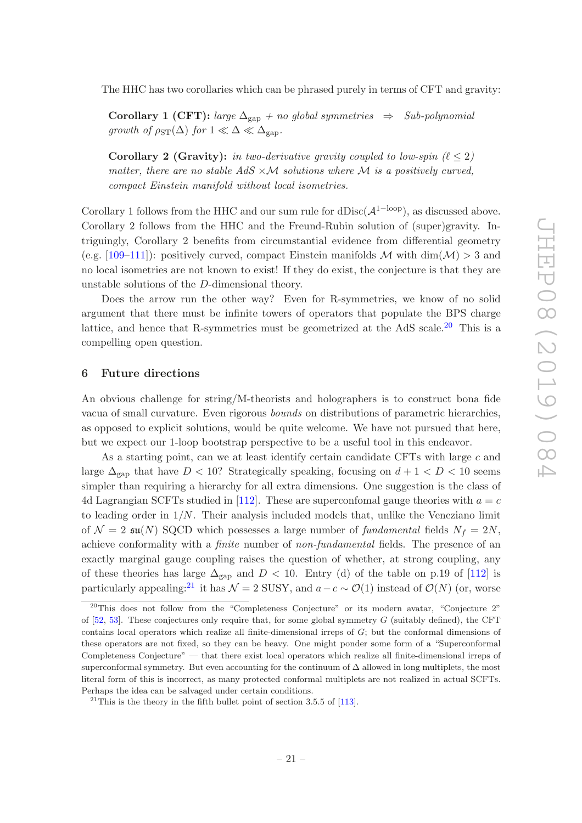The HHC has two corollaries which can be phrased purely in terms of CFT and gravity:

Corollary 1 (CFT): large  $\Delta_{\text{gap}}$  + no global symmetries  $\Rightarrow$  Sub-polynomial growth of  $\rho_{ST}(\Delta)$  for  $1 \ll \Delta \ll \Delta_{\rm gap}$ .

Corollary 2 (Gravity): in two-derivative gravity coupled to low-spin  $(\ell \leq 2)$ matter, there are no stable  $AdS \times M$  solutions where M is a positively curved, compact Einstein manifold without local isometries.

Corollary 1 follows from the HHC and our sum rule for dDisc( $\mathcal{A}^{\{1-\text{loop}\}}$ ), as discussed above. Corollary 2 follows from the HHC and the Freund-Rubin solution of (super)gravity. Intriguingly, Corollary 2 benefits from circumstantial evidence from differential geometry (e.g. [\[109](#page-35-12)[–111\]](#page-35-13)): positively curved, compact Einstein manifolds M with  $\dim(\mathcal{M}) > 3$  and no local isometries are not known to exist! If they do exist, the conjecture is that they are unstable solutions of the D-dimensional theory.

Does the arrow run the other way? Even for R-symmetries, we know of no solid argument that there must be infinite towers of operators that populate the BPS charge lattice, and hence that R-symmetries must be geometrized at the AdS scale.<sup>[20](#page-21-1)</sup> This is a compelling open question.

#### <span id="page-21-0"></span>6 Future directions

An obvious challenge for string/M-theorists and holographers is to construct bona fide vacua of small curvature. Even rigorous bounds on distributions of parametric hierarchies, as opposed to explicit solutions, would be quite welcome. We have not pursued that here, but we expect our 1-loop bootstrap perspective to be a useful tool in this endeavor.

As a starting point, can we at least identify certain candidate CFTs with large c and large  $\Delta_{\rm gap}$  that have  $D < 10$ ? Strategically speaking, focusing on  $d + 1 < D < 10$  seems simpler than requiring a hierarchy for all extra dimensions. One suggestion is the class of 4d Lagrangian SCFTs studied in [\[112\]](#page-35-14). These are superconfomal gauge theories with  $a = c$ to leading order in  $1/N$ . Their analysis included models that, unlike the Veneziano limit of  $\mathcal{N} = 2 \text{ su}(N)$  SQCD which possesses a large number of fundamental fields  $N_f = 2N$ , achieve conformality with a finite number of non-fundamental fields. The presence of an exactly marginal gauge coupling raises the question of whether, at strong coupling, any of these theories has large  $\Delta_{\rm gap}$  and  $D < 10$ . Entry (d) of the table on p.19 of [\[112](#page-35-14)] is particularly appealing:<sup>[21](#page-21-2)</sup> it has  $\mathcal{N} = 2$  SUSY, and  $a - c \sim \mathcal{O}(1)$  instead of  $\mathcal{O}(N)$  (or, worse

<span id="page-21-1"></span> $20$ This does not follow from the "Completeness Conjecture" or its modern avatar, "Conjecture 2" of  $[52, 53]$  $[52, 53]$ . These conjectures only require that, for some global symmetry G (suitably defined), the CFT contains local operators which realize all finite-dimensional irreps of G; but the conformal dimensions of these operators are not fixed, so they can be heavy. One might ponder some form of a "Superconformal Completeness Conjecture" — that there exist local operators which realize all finite-dimensional irreps of superconformal symmetry. But even accounting for the continuum of ∆ allowed in long multiplets, the most literal form of this is incorrect, as many protected conformal multiplets are not realized in actual SCFTs. Perhaps the idea can be salvaged under certain conditions.

<span id="page-21-2"></span><sup>&</sup>lt;sup>21</sup>This is the theory in the fifth bullet point of section 3.5.5 of [\[113\]](#page-35-15).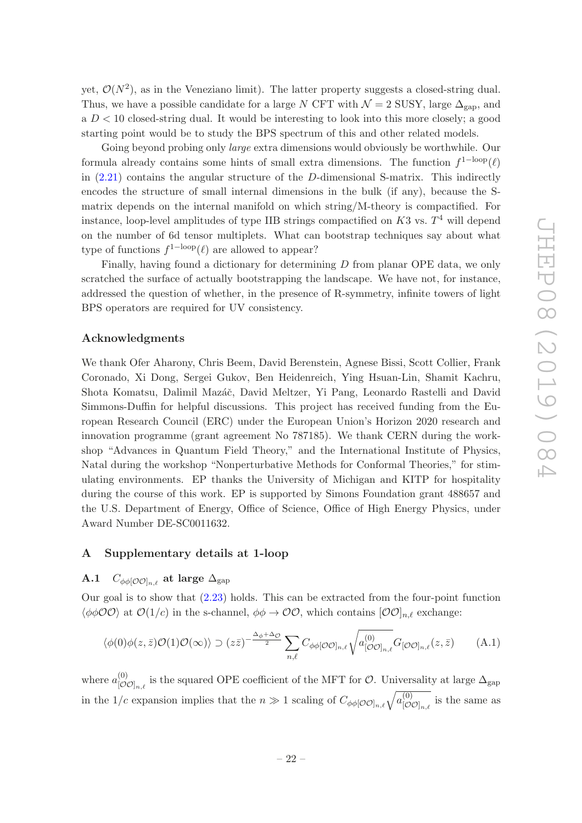yet,  $\mathcal{O}(N^2)$ , as in the Veneziano limit). The latter property suggests a closed-string dual. Thus, we have a possible candidate for a large N CFT with  $\mathcal{N} = 2$  SUSY, large  $\Delta_{\text{can}}$ , and  $a D < 10$  closed-string dual. It would be interesting to look into this more closely; a good starting point would be to study the BPS spectrum of this and other related models.

Going beyond probing only *large* extra dimensions would obviously be worthwhile. Our formula already contains some hints of small extra dimensions. The function  $f^{1-loop}(\ell)$ in  $(2.21)$  contains the angular structure of the D-dimensional S-matrix. This indirectly encodes the structure of small internal dimensions in the bulk (if any), because the Smatrix depends on the internal manifold on which string/M-theory is compactified. For instance, loop-level amplitudes of type IIB strings compactified on  $K3$  vs.  $T<sup>4</sup>$  will depend on the number of 6d tensor multiplets. What can bootstrap techniques say about what type of functions  $f^{1-loop}(\ell)$  are allowed to appear?

Finally, having found a dictionary for determining D from planar OPE data, we only scratched the surface of actually bootstrapping the landscape. We have not, for instance, addressed the question of whether, in the presence of R-symmetry, infinite towers of light BPS operators are required for UV consistency.

## Acknowledgments

We thank Ofer Aharony, Chris Beem, David Berenstein, Agnese Bissi, Scott Collier, Frank Coronado, Xi Dong, Sergei Gukov, Ben Heidenreich, Ying Hsuan-Lin, Shamit Kachru, Shota Komatsu, Dalimil Mazáč, David Meltzer, Yi Pang, Leonardo Rastelli and David Simmons-Duffin for helpful discussions. This project has received funding from the European Research Council (ERC) under the European Union's Horizon 2020 research and innovation programme (grant agreement No 787185). We thank CERN during the workshop "Advances in Quantum Field Theory," and the International Institute of Physics, Natal during the workshop "Nonperturbative Methods for Conformal Theories," for stimulating environments. EP thanks the University of Michigan and KITP for hospitality during the course of this work. EP is supported by Simons Foundation grant 488657 and the U.S. Department of Energy, Office of Science, Office of High Energy Physics, under Award Number DE-SC0011632.

### <span id="page-22-1"></span><span id="page-22-0"></span>A Supplementary details at 1-loop

# A.1  $C_{\phi\phi[O O]_{n,\ell}}$  at large  $\Delta_{\text{gap}}$

Our goal is to show that [\(2.23\)](#page-7-5) holds. This can be extracted from the four-point function  $\langle \phi \phi \mathcal{O} \mathcal{O} \rangle$  at  $\mathcal{O}(1/c)$  in the s-channel,  $\phi \phi \to \mathcal{O} \mathcal{O}$ , which contains  $[\mathcal{O} \mathcal{O}]_{n,\ell}$  exchange:

$$
\langle \phi(0)\phi(z,\bar{z})\mathcal{O}(1)\mathcal{O}(\infty)\rangle \supset (z\bar{z})^{-\frac{\Delta_{\phi}+\Delta_{\mathcal{O}}}{2}} \sum_{n,\ell} C_{\phi\phi[\mathcal{O}\mathcal{O}]_{n,\ell}} \sqrt{a_{[\mathcal{O}\mathcal{O}]_{n,\ell}}}^{(0)} G_{[\mathcal{O}\mathcal{O}]_{n,\ell}}(z,\bar{z}) \tag{A.1}
$$

where  $a_{\text{LO}}^{(0)}$  $\int_{[O\mathcal{O}]_{n,\ell}}^{(O)}$  is the squared OPE coefficient of the MFT for  $\mathcal{O}$ . Universality at large  $\Delta_{\text{gap}}$ in the 1/c expansion implies that the  $n \gg 1$  scaling of  $C_{\phi\phi[O O]_{n,\ell}}\sqrt{a_{[O\ell]}^{(0)}}$  $\big[\mathcal{O}\mathcal{O}]_{n,\ell}$  is the same as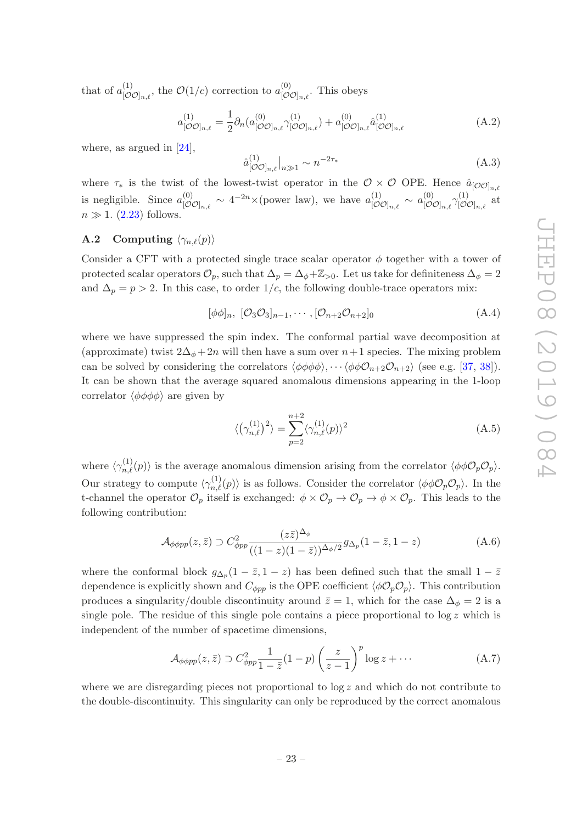that of  $a_{\text{tot}}^{(1)}$  $\mathcal{O}(1/c)$  correction to  $a_{[\mathcal{O}(\mathcal{O})]_{n,\ell}}^{(0)}$ ,  $\big[\mathcal{O}\mathcal{O}]_{n,\ell}$ . This obeys

$$
a_{[O O]_{n,\ell}}^{(1)} = \frac{1}{2} \partial_n (a_{[O O]_{n,\ell}}^{(0)} \gamma_{[O O]_{n,\ell}}^{(1)}) + a_{[O O]_{n,\ell}}^{(0)} \hat{a}_{[O O]_{n,\ell}}^{(1)} \tag{A.2}
$$

where, as argued in [\[24\]](#page-31-7).

$$
\hat{a}_{\left[\mathcal{O}\mathcal{O}\right]_{n,\ell}}^{(1)}\Big|_{n\gg 1} \sim n^{-2\tau_*} \tag{A.3}
$$

where  $\tau_*$  is the twist of the lowest-twist operator in the  $\mathcal{O} \times \mathcal{O}$  OPE. Hence  $\hat{a}_{[\mathcal{O} \mathcal{O}]_{n,\ell}}$ is negligible. Since  $a_{\lbrack\sigma\rbrack}^{(0)}$  $\frac{1}{[\mathcal{O}\mathcal{O}]_{n,\ell}} \sim 4^{-2n} \times \text{(power law)},$  we have  $a_{[\mathcal{O}\mathcal{O}]}^{(1)}$  $\overset{(1)}{[\mathcal{O}\mathcal{O}]_{n,\ell}} \sim a_{[\mathcal{O}\mathcal{O}]}^{(0)}$  $\lbrack \mathcal{O}\mathcal{O}]_{n,\ell}\gamma^{(1)}_{\lbrack\mathcal{O}\mathcal{O}\rbrack}$  $[\mathcal{O} \mathcal{O}]_{n,\ell}$ at  $n \gg 1$ . [\(2.23\)](#page-7-5) follows.

# <span id="page-23-0"></span>**A.2** Computing  $\langle \gamma_{n,\ell}(p) \rangle$

Consider a CFT with a protected single trace scalar operator  $\phi$  together with a tower of protected scalar operators  $\mathcal{O}_p$ , such that  $\Delta_p = \Delta_{\phi} + \mathbb{Z}_{>0}$ . Let us take for definiteness  $\Delta_{\phi} = 2$ and  $\Delta_p = p > 2$ . In this case, to order 1/c, the following double-trace operators mix:

 $[\phi \phi]_n, [\mathcal{O}_3 \mathcal{O}_3]_{n-1}, \cdots, [\mathcal{O}_{n+2} \mathcal{O}_{n+2}]_0$  (A.4)

where we have suppressed the spin index. The conformal partial wave decomposition at (approximate) twist  $2\Delta_{\phi} + 2n$  will then have a sum over  $n+1$  species. The mixing problem can be solved by considering the correlators  $\langle \phi \phi \phi \phi \rangle$ ,  $\cdots \langle \phi \phi \mathcal{O}_{n+2}\mathcal{O}_{n+2}\rangle$  (see e.g. [\[37,](#page-32-12) [38\]](#page-32-13)). It can be shown that the average squared anomalous dimensions appearing in the 1-loop correlator  $\langle \phi \phi \phi \phi \rangle$  are given by

$$
\langle \left(\gamma_{n,\ell}^{(1)}\right)^2 \rangle = \sum_{p=2}^{n+2} \langle \gamma_{n,\ell}^{(1)}(p) \rangle^2
$$
 (A.5)

where  $\langle \gamma_{n,\ell}^{(1)}(p) \rangle$  is the average anomalous dimension arising from the correlator  $\langle \phi \phi \mathcal{O}_p \mathcal{O}_p \rangle$ . Our strategy to compute  $\langle \gamma_{n,\ell}^{(1)}(p) \rangle$  is as follows. Consider the correlator  $\langle \phi \phi \mathcal{O}_p \mathcal{O}_p \rangle$ . In the t-channel the operator  $\mathcal{O}_p$  itself is exchanged:  $\phi \times \mathcal{O}_p \to \mathcal{O}_p \to \phi \times \mathcal{O}_p$ . This leads to the following contribution:

$$
\mathcal{A}_{\phi\phi pp}(z,\bar{z}) \supset C_{\phi pp}^2 \frac{(z\bar{z})^{\Delta_{\phi}}}{((1-z)(1-\bar{z}))^{\Delta_{\phi}/2}} g_{\Delta_p}(1-\bar{z},1-z) \tag{A.6}
$$

where the conformal block  $g_{\Delta_p}(1-\bar{z},1-z)$  has been defined such that the small  $1-\bar{z}$ dependence is explicitly shown and  $C_{\phi pp}$  is the OPE coefficient  $\langle \phi \mathcal{O}_p \mathcal{O}_p \rangle$ . This contribution produces a singularity/double discontinuity around  $\bar{z} = 1$ , which for the case  $\Delta_{\phi} = 2$  is a single pole. The residue of this single pole contains a piece proportional to  $\log z$  which is independent of the number of spacetime dimensions,

$$
\mathcal{A}_{\phi\phi pp}(z,\bar{z}) \supset C_{\phi pp}^2 \frac{1}{1-\bar{z}} (1-p) \left(\frac{z}{z-1}\right)^p \log z + \cdots \tag{A.7}
$$

where we are disregarding pieces not proportional to  $\log z$  and which do not contribute to the double-discontinuity. This singularity can only be reproduced by the correct anomalous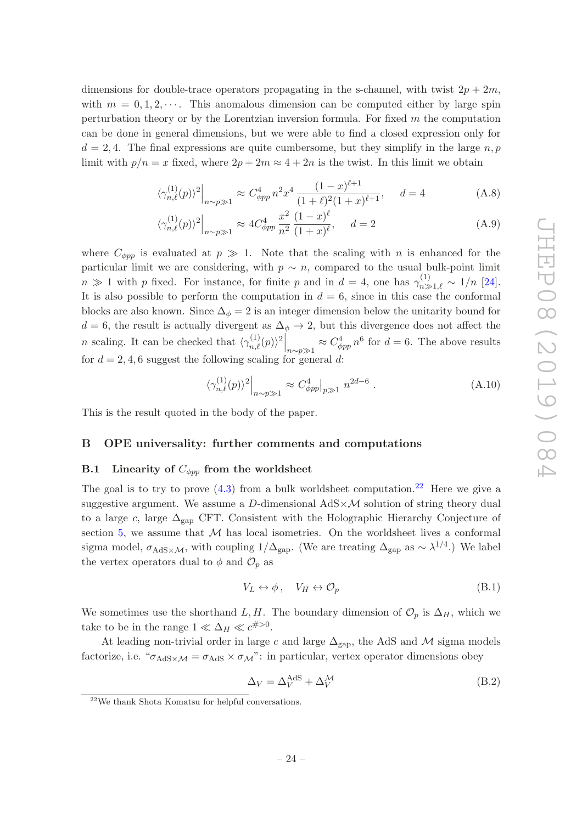dimensions for double-trace operators propagating in the s-channel, with twist  $2p + 2m$ , with  $m = 0, 1, 2, \cdots$ . This anomalous dimension can be computed either by large spin perturbation theory or by the Lorentzian inversion formula. For fixed  $m$  the computation can be done in general dimensions, but we were able to find a closed expression only for  $d = 2, 4$ . The final expressions are quite cumbersome, but they simplify in the large n, p limit with  $p/n = x$  fixed, where  $2p + 2m \approx 4 + 2n$  is the twist. In this limit we obtain

$$
\langle \gamma_{n,\ell}^{(1)}(p) \rangle^2 \Big|_{n \sim p \gg 1} \approx C_{\phi pp}^4 n^2 x^4 \frac{(1-x)^{\ell+1}}{(1+\ell)^2 (1+x)^{\ell+1}}, \quad d = 4 \tag{A.8}
$$

$$
\langle \gamma_{n,\ell}^{(1)}(p) \rangle^2 \Big|_{n \sim p \gg 1} \approx 4C_{\phi pp}^4 \frac{x^2}{n^2} \frac{(1-x)^{\ell}}{(1+x)^{\ell}}, \quad d = 2 \tag{A.9}
$$

where  $C_{\phi pp}$  is evaluated at  $p \gg 1$ . Note that the scaling with n is enhanced for the particular limit we are considering, with  $p \sim n$ , compared to the usual bulk-point limit  $n \gg 1$  with p fixed. For instance, for finite p and in  $d = 4$ , one has  $\gamma_{n \gg 1,\ell}^{(1)} \sim 1/n$  [\[24\]](#page-31-7). It is also possible to perform the computation in  $d = 6$ , since in this case the conformal blocks are also known. Since  $\Delta_{\phi} = 2$  is an integer dimension below the unitarity bound for  $d = 6$ , the result is actually divergent as  $\Delta_{\phi} \rightarrow 2$ , but this divergence does not affect the *n* scaling. It can be checked that  $\langle \gamma_{n,\ell}^{(1)}(p) \rangle^2 \bigg|_{n \sim p \gg 1} \approx C_{\phi pp}^4 n^6$  for  $d = 6$ . The above results for  $d = 2, 4, 6$  suggest the following scaling for general d:

$$
\langle \gamma_{n,\ell}^{(1)}(p) \rangle^2 \Big|_{n \sim p \gg 1} \approx C_{\phi pp}^4 \Big|_{p \gg 1} n^{2d - 6} \ . \tag{A.10}
$$

<span id="page-24-0"></span>This is the result quoted in the body of the paper.

#### <span id="page-24-1"></span>B OPE universality: further comments and computations

# B.1 Linearity of  $C_{\phi pp}$  from the worldsheet

The goal is to try to prove  $(4.3)$  from a bulk worldsheet computation.<sup>[22](#page-24-2)</sup> Here we give a suggestive argument. We assume a D-dimensional  $AdS \times \mathcal{M}$  solution of string theory dual to a large c, large  $\Delta_{\text{gap}}$  CFT. Consistent with the Holographic Hierarchy Conjecture of section [5,](#page-19-0) we assume that  $M$  has local isometries. On the worldsheet lives a conformal sigma model,  $\sigma_{AdS} \times \mathcal{M}$ , with coupling 1/ $\Delta_{\rm gap}$ . (We are treating  $\Delta_{\rm gap}$  as  $\sim \lambda^{1/4}$ .) We label the vertex operators dual to  $\phi$  and  $\mathcal{O}_p$  as

$$
V_L \leftrightarrow \phi, \quad V_H \leftrightarrow \mathcal{O}_p \tag{B.1}
$$

We sometimes use the shorthand L, H. The boundary dimension of  $\mathcal{O}_p$  is  $\Delta_H$ , which we take to be in the range  $1 \ll \Delta_H \ll c^{\#>0}$ .

At leading non-trivial order in large c and large  $\Delta_{\text{gap}}$ , the AdS and M sigma models factorize, i.e. " $\sigma_{AdS} \times \sigma_{AdS} \times \sigma_{M}$ ": in particular, vertex operator dimensions obey

$$
\Delta_V = \Delta_V^{\text{AdS}} + \Delta_V^{\mathcal{M}} \tag{B.2}
$$

<span id="page-24-2"></span><sup>22</sup>We thank Shota Komatsu for helpful conversations.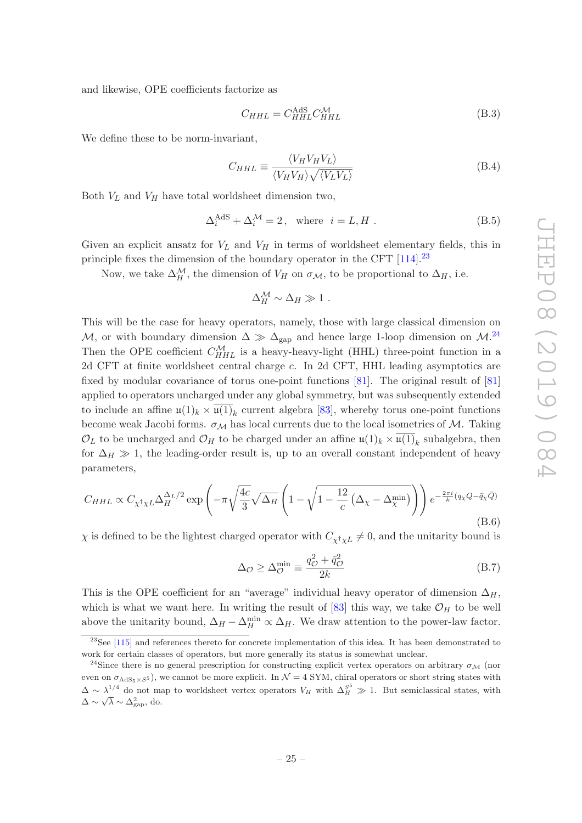and likewise, OPE coefficients factorize as

$$
C_{HHL} = C_{HHL}^{\text{AdS}} C_{HHL}^{\mathcal{M}} \tag{B.3}
$$

We define these to be norm-invariant,

$$
C_{HHL} \equiv \frac{\langle V_H V_H V_L \rangle}{\langle V_H V_H \rangle \sqrt{\langle V_L V_L \rangle}}
$$
(B.4)

Both  $V_L$  and  $V_H$  have total worldsheet dimension two,

$$
\Delta_i^{\text{AdS}} + \Delta_i^{\mathcal{M}} = 2, \text{ where } i = L, H.
$$
 (B.5)

Given an explicit ansatz for  $V_L$  and  $V_H$  in terms of worldsheet elementary fields, this in principle fixes the dimension of the boundary operator in the CFT  $[114]$ <sup>[23](#page-25-0)</sup>

Now, we take  $\Delta_H^{\mathcal{M}}$ , the dimension of  $V_H$  on  $\sigma_{\mathcal{M}}$ , to be proportional to  $\Delta_H$ , i.e.

$$
\Delta_H^{\mathcal{M}} \sim \Delta_H \gg 1 \; .
$$

This will be the case for heavy operators, namely, those with large classical dimension on M, or with boundary dimension  $\Delta \gg \Delta_{\rm gap}$  and hence large 1-loop dimension on M.<sup>[24](#page-25-1)</sup> Then the OPE coefficient  $C_{HHL}^{\mathcal{M}}$  is a heavy-heavy-light (HHL) three-point function in a 2d CFT at finite worldsheet central charge c. In 2d CFT, HHL leading asymptotics are fixed by modular covariance of torus one-point functions [\[81](#page-34-5)]. The original result of [\[81\]](#page-34-5) applied to operators uncharged under any global symmetry, but was subsequently extended to include an affine  $\mathfrak{u}(1)_k \times \overline{\mathfrak{u}(1)}_k$  current algebra [\[83\]](#page-34-8), whereby torus one-point functions become weak Jacobi forms.  $\sigma_{\mathcal{M}}$  has local currents due to the local isometries of  $\mathcal{M}$ . Taking  $\mathcal{O}_L$  to be uncharged and  $\mathcal{O}_H$  to be charged under an affine  $\mathfrak{u}(1)_k \times \overline{\mathfrak{u}(1)}_k$  subalgebra, then for  $\Delta_H \gg 1$ , the leading-order result is, up to an overall constant independent of heavy parameters,

<span id="page-25-2"></span>
$$
C_{HHL} \propto C_{\chi^{\dagger}\chi L} \Delta_{H}^{\Delta_{L}/2} \exp\left(-\pi\sqrt{\frac{4c}{3}}\sqrt{\Delta_{H}}\left(1-\sqrt{1-\frac{12}{c}\left(\Delta_{\chi}-\Delta_{\chi}^{\min}\right)}\right)\right) e^{-\frac{2\pi i}{k}(q_{\chi}Q-\bar{q}_{\chi}\bar{Q})}
$$
\n(B.6)

 $\chi$  is defined to be the lightest charged operator with  $C_{\chi^{\dagger}\chi L} \neq 0$ , and the unitarity bound is

$$
\Delta_{\mathcal{O}} \ge \Delta_{\mathcal{O}}^{\min} \equiv \frac{q_{\mathcal{O}}^2 + \bar{q}_{\mathcal{O}}^2}{2k} \tag{B.7}
$$

This is the OPE coefficient for an "average" individual heavy operator of dimension  $\Delta_H$ , which is what we want here. In writing the result of [\[83\]](#page-34-8) this way, we take  $\mathcal{O}_H$  to be well above the unitarity bound,  $\Delta_H - \Delta_H^{\min} \propto \Delta_H$ . We draw attention to the power-law factor.

<span id="page-25-0"></span> $^{23}$ See [\[115\]](#page-36-1) and references thereto for concrete implementation of this idea. It has been demonstrated to work for certain classes of operators, but more generally its status is somewhat unclear.

<span id="page-25-1"></span><sup>&</sup>lt;sup>24</sup>Since there is no general prescription for constructing explicit vertex operators on arbitrary  $\sigma_{\mathcal{M}}$  (nor even on  $\sigma_{AdS_5\times S^5}$ , we cannot be more explicit. In  $\mathcal{N}=4$  SYM, chiral operators or short string states with  $\Delta \sim \lambda_{-}^{1/4}$  do not map to worldsheet vertex operators  $V_H$  with  $\Delta_H^{S^5} \gg 1$ . But semiclassical states, with  $\Delta \sim \sqrt{\lambda} \sim \Delta_{\rm gap}^2$ , do.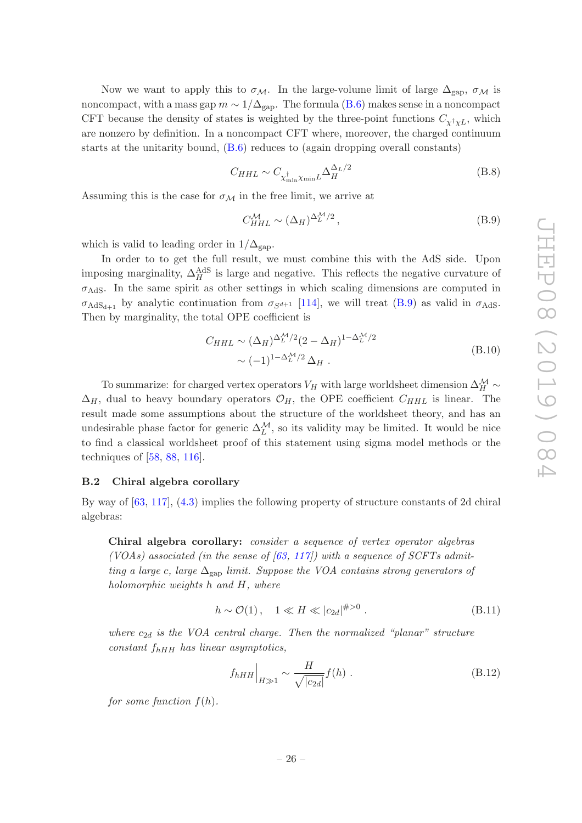Now we want to apply this to  $\sigma_{\mathcal{M}}$ . In the large-volume limit of large  $\Delta_{\text{gap}}$ ,  $\sigma_{\mathcal{M}}$  is noncompact, with a mass gap  $m \sim 1/\Delta_{\rm gap}$ . The formula [\(B.6\)](#page-25-2) makes sense in a noncompact CFT because the density of states is weighted by the three-point functions  $C_{\chi^{\dagger}\chi L}$ , which are nonzero by definition. In a noncompact CFT where, moreover, the charged continuum starts at the unitarity bound, [\(B.6\)](#page-25-2) reduces to (again dropping overall constants)

$$
C_{HHL} \sim C_{\chi_{\min}^{\dagger} \chi_{\min} L} \Delta_H^{\Delta_L/2}
$$
 (B.8)

Assuming this is the case for  $\sigma_{\mathcal{M}}$  in the free limit, we arrive at

<span id="page-26-1"></span>
$$
C_{HHL}^{\mathcal{M}} \sim (\Delta_H)^{\Delta_L^{\mathcal{M}}/2},\tag{B.9}
$$

which is valid to leading order in  $1/\Delta_{\text{gap}}$ .

In order to to get the full result, we must combine this with the AdS side. Upon imposing marginality,  $\Delta_H^{\text{AdS}}$  is large and negative. This reflects the negative curvature of  $\sigma_{\text{AdS}}$ . In the same spirit as other settings in which scaling dimensions are computed in  $\sigma_{AdS_{d+1}}$  by analytic continuation from  $\sigma_{S^{d+1}}$  [\[114\]](#page-36-0), we will treat [\(B.9\)](#page-26-1) as valid in  $\sigma_{AdS}$ . Then by marginality, the total OPE coefficient is

$$
C_{HHL} \sim (\Delta_H)^{\Delta_L^{\mathcal{M}}/2} (2 - \Delta_H)^{1 - \Delta_L^{\mathcal{M}}/2} \sim (-1)^{1 - \Delta_L^{\mathcal{M}}/2} \Delta_H .
$$
\n(B.10)

To summarize: for charged vertex operators  $V_H$  with large worldsheet dimension  $\Delta_H^{\mathcal{M}}$   $\sim$  $\Delta_H$ , dual to heavy boundary operators  $\mathcal{O}_H$ , the OPE coefficient  $C_{HHL}$  is linear. The result made some assumptions about the structure of the worldsheet theory, and has an undesirable phase factor for generic  $\Delta_L^{\mathcal{M}}$ , so its validity may be limited. It would be nice to find a classical worldsheet proof of this statement using sigma model methods or the techniques of [\[58](#page-33-1), [88,](#page-34-12) [116\]](#page-36-2).

#### <span id="page-26-0"></span>B.2 Chiral algebra corollary

By way of [\[63](#page-33-7), [117\]](#page-36-3), [\(4.3\)](#page-16-2) implies the following property of structure constants of 2d chiral algebras:

Chiral algebra corollary: consider a sequence of vertex operator algebras (VOAs) associated (in the sense of  $(63, 117)$ ) with a sequence of SCFTs admitting a large c, large  $\Delta_{\text{gap}}$  limit. Suppose the VOA contains strong generators of holomorphic weights h and H, where

$$
h \sim \mathcal{O}(1), \quad 1 \ll H \ll |c_{2d}|^{\#>0}.
$$
 (B.11)

where  $c_{2d}$  is the VOA central charge. Then the normalized "planar" structure  $constant$   $f_{hHH}$  has linear asymptotics,

<span id="page-26-2"></span>
$$
f_{hHH}\Big|_{H\gg 1} \sim \frac{H}{\sqrt{|c_{2d}|}} f(h) \tag{B.12}
$$

for some function  $f(h)$ .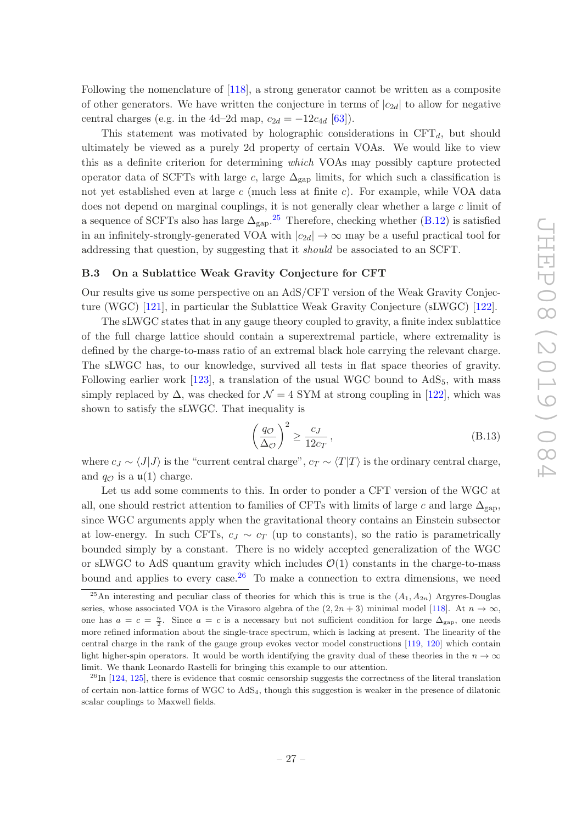Following the nomenclature of [\[118](#page-36-4)], a strong generator cannot be written as a composite of other generators. We have written the conjecture in terms of  $|c_{2d}|$  to allow for negative central charges (e.g. in the 4d–2d map,  $c_{2d} = -12c_{4d}$  [\[63](#page-33-7)]).

This statement was motivated by holographic considerations in  $CFT<sub>d</sub>$ , but should ultimately be viewed as a purely 2d property of certain VOAs. We would like to view this as a definite criterion for determining which VOAs may possibly capture protected operator data of SCFTs with large c, large  $\Delta_{\text{gap}}$  limits, for which such a classification is not yet established even at large  $c$  (much less at finite  $c$ ). For example, while VOA data does not depend on marginal couplings, it is not generally clear whether a large c limit of a sequence of SCFTs also has large  $\Delta_{\rm{gap}}$ .<sup>[25](#page-27-1)</sup> Therefore, checking whether [\(B.12\)](#page-26-2) is satisfied in an infinitely-strongly-generated VOA with  $|c_{2d}| \to \infty$  may be a useful practical tool for addressing that question, by suggesting that it should be associated to an SCFT.

#### <span id="page-27-0"></span>B.3 On a Sublattice Weak Gravity Conjecture for CFT

Our results give us some perspective on an AdS/CFT version of the Weak Gravity Conjecture (WGC) [\[121](#page-36-5)], in particular the Sublattice Weak Gravity Conjecture (sLWGC) [\[122\]](#page-36-6).

The sLWGC states that in any gauge theory coupled to gravity, a finite index sublattice of the full charge lattice should contain a superextremal particle, where extremality is defined by the charge-to-mass ratio of an extremal black hole carrying the relevant charge. The sLWGC has, to our knowledge, survived all tests in flat space theories of gravity. Following earlier work  $[123]$ , a translation of the usual WGC bound to  $AdS_5$ , with mass simply replaced by  $\Delta$ , was checked for  $\mathcal{N} = 4$  SYM at strong coupling in [\[122\]](#page-36-6), which was shown to satisfy the sLWGC. That inequality is

$$
\left(\frac{q_{\mathcal{O}}}{\Delta_{\mathcal{O}}}\right)^2 \ge \frac{c_J}{12c_T},\tag{B.13}
$$

where  $c_J \sim \langle J|J\rangle$  is the "current central charge",  $c_T \sim \langle T|T\rangle$  is the ordinary central charge, and  $q_{\mathcal{O}}$  is a  $\mathfrak{u}(1)$  charge.

Let us add some comments to this. In order to ponder a CFT version of the WGC at all, one should restrict attention to families of CFTs with limits of large c and large  $\Delta_{\text{gap}}$ , since WGC arguments apply when the gravitational theory contains an Einstein subsector at low-energy. In such CFTs,  $c_J \sim c_T$  (up to constants), so the ratio is parametrically bounded simply by a constant. There is no widely accepted generalization of the WGC or sLWGC to AdS quantum gravity which includes  $\mathcal{O}(1)$  constants in the charge-to-mass bound and applies to every case.<sup>[26](#page-27-2)</sup> To make a connection to extra dimensions, we need

<span id="page-27-1"></span><sup>&</sup>lt;sup>25</sup>An interesting and peculiar class of theories for which this is true is the  $(A_1, A_{2n})$  Argyres-Douglas series, whose associated VOA is the Virasoro algebra of the  $(2, 2n + 3)$  minimal model [\[118](#page-36-4)]. At  $n \to \infty$ , one has  $a = c = \frac{n}{2}$ . Since  $a = c$  is a necessary but not sufficient condition for large  $\Delta_{\text{gap}}$ , one needs more refined information about the single-trace spectrum, which is lacking at present. The linearity of the central charge in the rank of the gauge group evokes vector model constructions [\[119](#page-36-8), [120\]](#page-36-9) which contain light higher-spin operators. It would be worth identifying the gravity dual of these theories in the  $n \to \infty$ limit. We thank Leonardo Rastelli for bringing this example to our attention.

<span id="page-27-2"></span> $^{26}$ In [\[124,](#page-36-10) [125\]](#page-36-11), there is evidence that cosmic censorship suggests the correctness of the literal translation of certain non-lattice forms of WGC to AdS4, though this suggestion is weaker in the presence of dilatonic scalar couplings to Maxwell fields.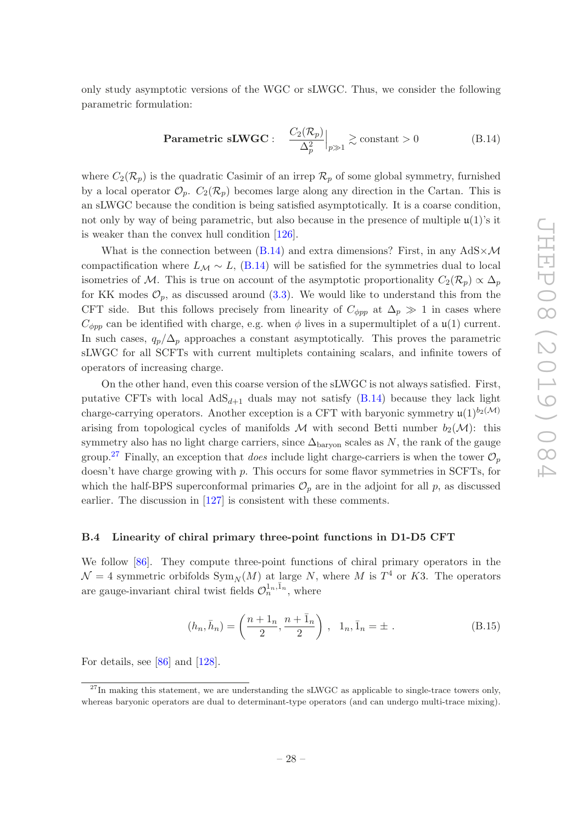only study asymptotic versions of the WGC or sLWGC. Thus, we consider the following parametric formulation:

<span id="page-28-1"></span>
$$
\text{Parametric sLWGC}: \quad \frac{C_2(\mathcal{R}_p)}{\Delta_p^2}\Big|_{p\gg 1} \gtrsim \text{constant} > 0 \tag{B.14}
$$

where  $C_2(\mathcal{R}_p)$  is the quadratic Casimir of an irrep  $\mathcal{R}_p$  of some global symmetry, furnished by a local operator  $\mathcal{O}_p$ .  $C_2(\mathcal{R}_p)$  becomes large along any direction in the Cartan. This is an sLWGC because the condition is being satisfied asymptotically. It is a coarse condition, not only by way of being parametric, but also because in the presence of multiple  $\mu(1)$ 's it is weaker than the convex hull condition [\[126](#page-36-12)].

What is the connection between [\(B.14\)](#page-28-1) and extra dimensions? First, in any  $AdS \times \mathcal{M}$ compactification where  $L_{\mathcal{M}} \sim L$ , [\(B.14\)](#page-28-1) will be satisfied for the symmetries dual to local isometries of M. This is true on account of the asymptotic proportionality  $C_2(\mathcal{R}_p) \propto \Delta_p$ for KK modes  $\mathcal{O}_n$ , as discussed around [\(3.3\)](#page-15-0). We would like to understand this from the CFT side. But this follows precisely from linearity of  $C_{\phi pp}$  at  $\Delta_p \gg 1$  in cases where  $C_{\phi pp}$  can be identified with charge, e.g. when  $\phi$  lives in a supermultiplet of a  $\mathfrak{u}(1)$  current. In such cases,  $q_p/\Delta_p$  approaches a constant asymptotically. This proves the parametric sLWGC for all SCFTs with current multiplets containing scalars, and infinite towers of operators of increasing charge.

On the other hand, even this coarse version of the sLWGC is not always satisfied. First, putative CFTs with local  $AdS_{d+1}$  duals may not satisfy [\(B.14\)](#page-28-1) because they lack light charge-carrying operators. Another exception is a CFT with baryonic symmetry  $\mathfrak{u}(1)^{b_2(\mathcal{M})}$ arising from topological cycles of manifolds M with second Betti number  $b_2(\mathcal{M})$ : this symmetry also has no light charge carriers, since  $\Delta_{\text{baryon}}$  scales as N, the rank of the gauge group.<sup>[27](#page-28-2)</sup> Finally, an exception that *does* include light charge-carriers is when the tower  $\mathcal{O}_p$ doesn't have charge growing with p. This occurs for some flavor symmetries in SCFTs, for which the half-BPS superconformal primaries  $\mathcal{O}_p$  are in the adjoint for all p, as discussed earlier. The discussion in [\[127\]](#page-36-13) is consistent with these comments.

#### <span id="page-28-0"></span>B.4 Linearity of chiral primary three-point functions in D1-D5 CFT

We follow [\[86](#page-34-10)]. They compute three-point functions of chiral primary operators in the  $\mathcal{N}=4$  symmetric orbifolds  $\text{Sym}_N(M)$  at large N, where M is  $T^4$  or K3. The operators are gauge-invariant chiral twist fields  $\mathcal{O}_n^{1_n, \bar{1}_n}$ , where

$$
(h_n, \bar{h}_n) = \left(\frac{n+1_n}{2}, \frac{n+\bar{1}_n}{2}\right), \quad 1_n, \bar{1}_n = \pm. \tag{B.15}
$$

For details, see [\[86](#page-34-10)] and [\[128](#page-36-14)].

<span id="page-28-2"></span> $27$ In making this statement, we are understanding the sLWGC as applicable to single-trace towers only, whereas baryonic operators are dual to determinant-type operators (and can undergo multi-trace mixing).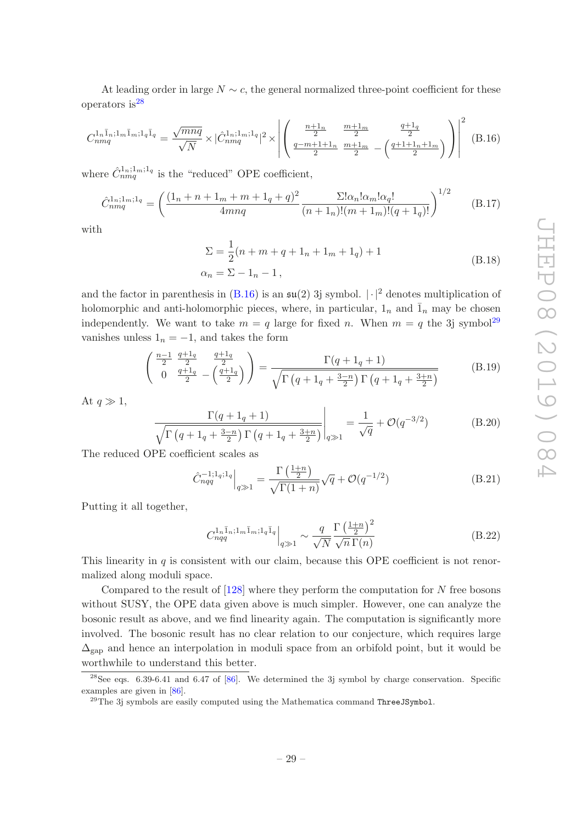At leading order in large  $N \sim c$ , the general normalized three-point coefficient for these operators is  $28$ 

<span id="page-29-1"></span>
$$
C_{nmq}^{1_n\bar{1}_n;1_m\bar{1}_m;1_q\bar{1}_q} = \frac{\sqrt{mnq}}{\sqrt{N}} \times |\hat{C}_{nmq}^{1_n;1_m;1_q}|^2 \times \left| \left( \frac{\frac{n+1_n}{2}}{\frac{q-m+1+n}{2}} \frac{\frac{m+1_m}{2}}{\frac{m+1_m}{2}} - \left( \frac{\frac{q+1_q}{2}}{\frac{q+1+1_n+1_m}{2}} \right) \right) \right|^2 \tag{B.16}
$$

where  $\hat{C}_{nmq}^{1_n;1_m;1_q}$  is the "reduced" OPE coefficient,

$$
\hat{C}_{nmq}^{1_n;1_m;1_q} = \left(\frac{(1_n + n + 1_m + m + 1_q + q)^2}{4mnq} \frac{\Sigma! \alpha_n! \alpha_m! \alpha_q!}{(n + 1_n)!(m + 1_m)!(q + 1_q)!}\right)^{1/2}
$$
(B.17)

with

$$
\Sigma = \frac{1}{2}(n + m + q + 1_n + 1_m + 1_q) + 1
$$
  
\n
$$
\alpha_n = \Sigma - 1_n - 1,
$$
\n(B.18)

and the factor in parenthesis in  $(B.16)$  is an  $\mathfrak{su}(2)$  3j symbol.  $|\cdot|^2$  denotes multiplication of holomorphic and anti-holomorphic pieces, where, in particular,  $1_n$  and  $\overline{1}_n$  may be chosen independently. We want to take  $m = q$  large for fixed n. When  $m = q$  the 3j symbol<sup>[29](#page-29-2)</sup> vanishes unless  $1_n = -1$ , and takes the form

$$
\begin{pmatrix}\n\frac{n-1}{2} & \frac{q+1_q}{2} & \frac{q+1_q}{2} \\
0 & \frac{q+1_q}{2} & -\left(\frac{q+1_q}{2}\right)\n\end{pmatrix} = \frac{\Gamma(q+1_q+1)}{\sqrt{\Gamma(q+1_q+\frac{3-n}{2})\Gamma(q+1_q+\frac{3+n}{2})}}
$$
\n(B.19)

At  $q \gg 1$ ,

$$
\frac{\Gamma(q+1_q+1)}{\sqrt{\Gamma(q+1_q+\frac{3-n}{2})\Gamma(q+1_q+\frac{3+n}{2})}}\bigg|_{q\gg 1} = \frac{1}{\sqrt{q}} + \mathcal{O}(q^{-3/2})
$$
(B.20)

The reduced OPE coefficient scales as

$$
\hat{C}_{nqq}^{-1;1_{q};1_{q}}\Big|_{q\gg 1} = \frac{\Gamma\left(\frac{1+n}{2}\right)}{\sqrt{\Gamma(1+n)}}\sqrt{q} + \mathcal{O}(q^{-1/2})\tag{B.21}
$$

Putting it all together,

$$
C_{nqq}^{1_n\bar{1}_n;1_m\bar{1}_m;1_q\bar{1}_q}\Big|_{q\gg 1} \sim \frac{q}{\sqrt{N}} \frac{\Gamma\left(\frac{1+n}{2}\right)^2}{\sqrt{n}\,\Gamma(n)}\tag{B.22}
$$

This linearity in  $q$  is consistent with our claim, because this OPE coefficient is not renormalized along moduli space.

Compared to the result of [\[128\]](#page-36-14) where they perform the computation for N free bosons without SUSY, the OPE data given above is much simpler. However, one can analyze the bosonic result as above, and we find linearity again. The computation is significantly more involved. The bosonic result has no clear relation to our conjecture, which requires large  $\Delta_{\text{can}}$  and hence an interpolation in moduli space from an orbifold point, but it would be worthwhile to understand this better.

 $^{28}$ See eqs. 6.39-6.41 and 6.47 of [\[86\]](#page-34-10). We determined the 3j symbol by charge conservation. Specific examples are given in [\[86](#page-34-10)].

<span id="page-29-2"></span><span id="page-29-0"></span> $^{29}$ The 3j symbols are easily computed using the Mathematica command ThreeJSymbol.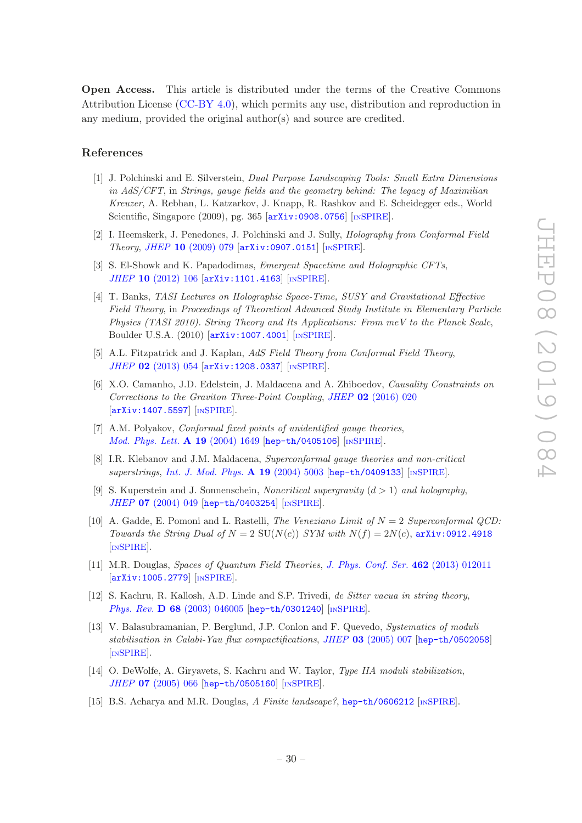Open Access. This article is distributed under the terms of the Creative Commons Attribution License [\(CC-BY 4.0\)](https://creativecommons.org/licenses/by/4.0/), which permits any use, distribution and reproduction in any medium, provided the original author(s) and source are credited.

#### References

- <span id="page-30-0"></span>[1] J. Polchinski and E. Silverstein, Dual Purpose Landscaping Tools: Small Extra Dimensions in AdS/CFT, in Strings, gauge fields and the geometry behind: The legacy of Maximilian Kreuzer, A. Rebhan, L. Katzarkov, J. Knapp, R. Rashkov and E. Scheidegger eds., World Scientific, Singapore  $(2009)$ , pg. 365  $\left[$ [arXiv:0908.0756](https://arxiv.org/abs/0908.0756) $\right]$   $\left[$ IN[SPIRE](https://inspirehep.net/search?p=find+EPRINT+arXiv:0908.0756) $\right]$ .
- <span id="page-30-2"></span>[2] I. Heemskerk, J. Penedones, J. Polchinski and J. Sully, Holography from Conformal Field Theory, JHEP 10 [\(2009\) 079](https://doi.org/10.1088/1126-6708/2009/10/079) [[arXiv:0907.0151](https://arxiv.org/abs/0907.0151)] [IN[SPIRE](https://inspirehep.net/search?p=find+EPRINT+arXiv:0907.0151)].
- [3] S. El-Showk and K. Papadodimas, Emergent Spacetime and Holographic CFTs, JHEP 10 [\(2012\) 106](https://doi.org/10.1007/JHEP10(2012)106) [[arXiv:1101.4163](https://arxiv.org/abs/1101.4163)] [IN[SPIRE](https://inspirehep.net/search?p=find+EPRINT+arXiv:1101.4163)].
- [4] T. Banks, TASI Lectures on Holographic Space-Time, SUSY and Gravitational Effective Field Theory, in Proceedings of Theoretical Advanced Study Institute in Elementary Particle Physics (TASI 2010). String Theory and Its Applications: From meV to the Planck Scale, Boulder U.S.A. (2010) [[arXiv:1007.4001](https://arxiv.org/abs/1007.4001)] [IN[SPIRE](https://inspirehep.net/search?p=find+EPRINT+arXiv:1007.4001)].
- <span id="page-30-1"></span>[5] A.L. Fitzpatrick and J. Kaplan, AdS Field Theory from Conformal Field Theory, JHEP 02 [\(2013\) 054](https://doi.org/10.1007/JHEP02(2013)054) [[arXiv:1208.0337](https://arxiv.org/abs/1208.0337)] [IN[SPIRE](https://inspirehep.net/search?p=find+EPRINT+arXiv:1208.0337)].
- <span id="page-30-3"></span>[6] X.O. Camanho, J.D. Edelstein, J. Maldacena and A. Zhiboedov, Causality Constraints on Corrections to the Graviton Three-Point Coupling, JHEP 02 [\(2016\) 020](https://doi.org/10.1007/JHEP02(2016)020) [[arXiv:1407.5597](https://arxiv.org/abs/1407.5597)] [IN[SPIRE](https://inspirehep.net/search?p=find+EPRINT+arXiv:1407.5597)].
- <span id="page-30-4"></span>[7] A.M. Polyakov, *Conformal fixed points of unidentified gauge theories*, [Mod. Phys. Lett.](https://doi.org/10.1142/S0217732304015129) A 19 (2004) 1649 [[hep-th/0405106](https://arxiv.org/abs/hep-th/0405106)] [IN[SPIRE](https://inspirehep.net/search?p=find+EPRINT+hep-th/0405106)].
- [8] I.R. Klebanov and J.M. Maldacena, Superconformal gauge theories and non-critical superstrings, [Int. J. Mod. Phys.](https://doi.org/10.1142/S0217751X04020865)  $\bf{A}$  19 (2004) 5003 [[hep-th/0409133](https://arxiv.org/abs/hep-th/0409133)] [IN[SPIRE](https://inspirehep.net/search?p=find+EPRINT+hep-th/0409133)].
- [9] S. Kuperstein and J. Sonnenschein, *Noncritical supergravity*  $(d > 1)$  *and holography*, JHEP 07 [\(2004\) 049](https://doi.org/10.1088/1126-6708/2004/07/049) [[hep-th/0403254](https://arxiv.org/abs/hep-th/0403254)] [IN[SPIRE](https://inspirehep.net/search?p=find+EPRINT+hep-th/0403254)].
- [10] A. Gadde, E. Pomoni and L. Rastelli, *The Veneziano Limit of*  $N = 2$  *Superconformal OCD*: Towards the String Dual of  $N = 2$  SU(N(c)) SYM with  $N(f) = 2N(c)$ , [arXiv:0912.4918](https://arxiv.org/abs/0912.4918) [IN[SPIRE](https://inspirehep.net/search?p=find+EPRINT+arXiv:0912.4918)].
- <span id="page-30-5"></span>[11] M.R. Douglas, Spaces of Quantum Field Theories, [J. Phys. Conf. Ser.](https://doi.org/10.1088/1742-6596/462/1/012011) 462 (2013) 012011 [[arXiv:1005.2779](https://arxiv.org/abs/1005.2779)] [IN[SPIRE](https://inspirehep.net/search?p=find+EPRINT+arXiv:1005.2779)].
- <span id="page-30-6"></span>[12] S. Kachru, R. Kallosh, A.D. Linde and S.P. Trivedi, de Sitter vacua in string theory, Phys. Rev. **D 68** [\(2003\) 046005](https://doi.org/10.1103/PhysRevD.68.046005) [[hep-th/0301240](https://arxiv.org/abs/hep-th/0301240)] [IN[SPIRE](https://inspirehep.net/search?p=find+EPRINT+hep-th/0301240)].
- [13] V. Balasubramanian, P. Berglund, J.P. Conlon and F. Quevedo, Systematics of moduli stabilisation in Calabi-Yau flux compactifications, JHEP 03 [\(2005\) 007](https://doi.org/10.1088/1126-6708/2005/03/007) [[hep-th/0502058](https://arxiv.org/abs/hep-th/0502058)] [IN[SPIRE](https://inspirehep.net/search?p=find+EPRINT+hep-th/0502058)].
- [14] O. DeWolfe, A. Giryavets, S. Kachru and W. Taylor, Type IIA moduli stabilization, JHEP 07 [\(2005\) 066](https://doi.org/10.1088/1126-6708/2005/07/066) [[hep-th/0505160](https://arxiv.org/abs/hep-th/0505160)] [IN[SPIRE](https://inspirehep.net/search?p=find+EPRINT+hep-th/0505160)].
- [15] B.S. Acharya and M.R. Douglas, A Finite landscape?, [hep-th/0606212](https://arxiv.org/abs/hep-th/0606212) [IN[SPIRE](https://inspirehep.net/search?p=find+EPRINT+hep-th/0606212)].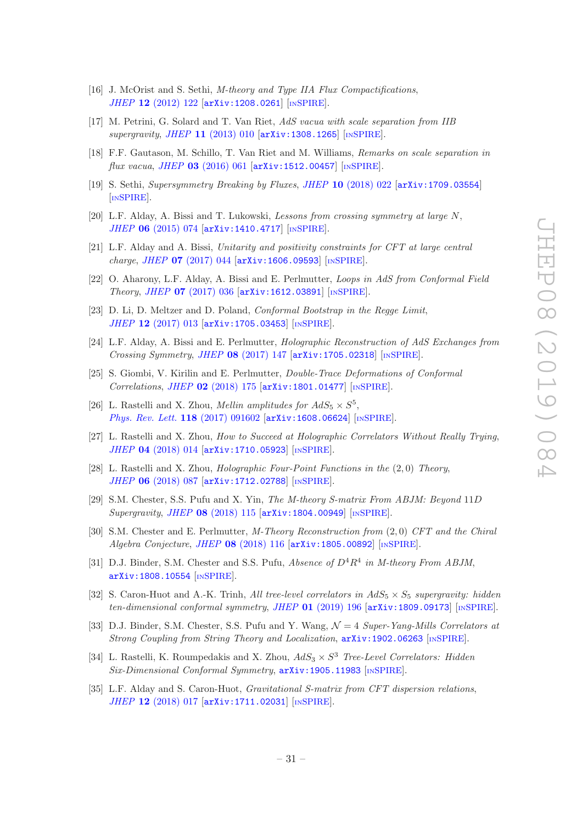- [16] J. McOrist and S. Sethi, *M-theory and Type IIA Flux Compactifications*, JHEP 12 [\(2012\) 122](https://doi.org/10.1007/JHEP12(2012)122) [[arXiv:1208.0261](https://arxiv.org/abs/1208.0261)] [IN[SPIRE](https://inspirehep.net/search?p=find+EPRINT+arXiv:1208.0261)].
- [17] M. Petrini, G. Solard and T. Van Riet, AdS vacua with scale separation from IIB  $supergravity, JHEP$  11 [\(2013\) 010](https://doi.org/10.1007/JHEP11(2013)010)  $[\text{arXiv:1308.1265}]$  $[\text{arXiv:1308.1265}]$  $[\text{arXiv:1308.1265}]$   $[\text{nsPIRE}]$ .
- [18] F.F. Gautason, M. Schillo, T. Van Riet and M. Williams, Remarks on scale separation in  $flux\ vacua,\ JHEP$  03 [\(2016\) 061](https://doi.org/10.1007/JHEP03(2016)061)  $[\text{arXiv:1512.00457}]$  $[\text{arXiv:1512.00457}]$  $[\text{arXiv:1512.00457}]$   $[\text{nSPIRE}]$  $[\text{nSPIRE}]$  $[\text{nSPIRE}]$ .
- <span id="page-31-6"></span>[19] S. Sethi, Supersymmetry Breaking by Fluxes, JHEP 10 [\(2018\) 022](https://doi.org/10.1007/JHEP10(2018)022) [[arXiv:1709.03554](https://arxiv.org/abs/1709.03554)] [IN[SPIRE](https://inspirehep.net/search?p=find+EPRINT+arXiv:1709.03554)].
- <span id="page-31-0"></span>[20] L.F. Alday, A. Bissi and T. Lukowski, Lessons from crossing symmetry at large N, JHEP 06 [\(2015\) 074](https://doi.org/10.1007/JHEP06(2015)074) [[arXiv:1410.4717](https://arxiv.org/abs/1410.4717)] [IN[SPIRE](https://inspirehep.net/search?p=find+EPRINT+arXiv:1410.4717)].
- [21] L.F. Alday and A. Bissi, Unitarity and positivity constraints for CFT at large central  $charge, JHEP$  07 [\(2017\) 044](https://doi.org/10.1007/JHEP07(2017)044)  $[$ [arXiv:1606.09593](https://arxiv.org/abs/1606.09593) $]$  [IN[SPIRE](https://inspirehep.net/search?p=find+EPRINT+arXiv:1606.09593)].
- <span id="page-31-5"></span>[22] O. Aharony, L.F. Alday, A. Bissi and E. Perlmutter, Loops in AdS from Conformal Field Theory, JHEP 07 [\(2017\) 036](https://doi.org/10.1007/JHEP07(2017)036) [[arXiv:1612.03891](https://arxiv.org/abs/1612.03891)] [IN[SPIRE](https://inspirehep.net/search?p=find+EPRINT+arXiv:1612.03891)].
- [23] D. Li, D. Meltzer and D. Poland, Conformal Bootstrap in the Regge Limit, JHEP 12 [\(2017\) 013](https://doi.org/10.1007/JHEP12(2017)013) [[arXiv:1705.03453](https://arxiv.org/abs/1705.03453)] [IN[SPIRE](https://inspirehep.net/search?p=find+EPRINT+arXiv:1705.03453)].
- <span id="page-31-7"></span>[24] L.F. Alday, A. Bissi and E. Perlmutter, Holographic Reconstruction of AdS Exchanges from Crossing Symmetry, JHEP 08 [\(2017\) 147](https://doi.org/10.1007/JHEP08(2017)147) [[arXiv:1705.02318](https://arxiv.org/abs/1705.02318)] [IN[SPIRE](https://inspirehep.net/search?p=find+EPRINT+arXiv:1705.02318)].
- <span id="page-31-1"></span>[25] S. Giombi, V. Kirilin and E. Perlmutter, Double-Trace Deformations of Conformal Correlations, JHEP 02 [\(2018\) 175](https://doi.org/10.1007/JHEP02(2018)175) [[arXiv:1801.01477](https://arxiv.org/abs/1801.01477)] [IN[SPIRE](https://inspirehep.net/search?p=find+EPRINT+arXiv:1801.01477)].
- <span id="page-31-2"></span>[26] L. Rastelli and X. Zhou, *Mellin amplitudes for AdS*<sub>5</sub>  $\times$   $S^5$ , [Phys. Rev. Lett.](https://doi.org/10.1103/PhysRevLett.118.091602) 118 (2017) 091602 [[arXiv:1608.06624](https://arxiv.org/abs/1608.06624)] [IN[SPIRE](https://inspirehep.net/search?p=find+EPRINT+arXiv:1608.06624)].
- [27] L. Rastelli and X. Zhou, How to Succeed at Holographic Correlators Without Really Trying, JHEP 04 [\(2018\) 014](https://doi.org/10.1007/JHEP04(2018)014) [[arXiv:1710.05923](https://arxiv.org/abs/1710.05923)] [IN[SPIRE](https://inspirehep.net/search?p=find+EPRINT+arXiv:1710.05923)].
- [28] L. Rastelli and X. Zhou, Holographic Four-Point Functions in the (2, 0) Theory, JHEP 06 [\(2018\) 087](https://doi.org/10.1007/JHEP06(2018)087) [[arXiv:1712.02788](https://arxiv.org/abs/1712.02788)] [IN[SPIRE](https://inspirehep.net/search?p=find+EPRINT+arXiv:1712.02788)].
- [29] S.M. Chester, S.S. Pufu and X. Yin, The M-theory S-matrix From ABJM: Beyond 11D Supergravity, JHEP 08 [\(2018\) 115](https://doi.org/10.1007/JHEP08(2018)115) [[arXiv:1804.00949](https://arxiv.org/abs/1804.00949)] [IN[SPIRE](https://inspirehep.net/search?p=find+EPRINT+arXiv:1804.00949)].
- [30] S.M. Chester and E. Perlmutter, M-Theory Reconstruction from (2, 0) CFT and the Chiral Algebra Conjecture, JHEP 08 [\(2018\) 116](https://doi.org/10.1007/JHEP08(2018)116) [[arXiv:1805.00892](https://arxiv.org/abs/1805.00892)] [IN[SPIRE](https://inspirehep.net/search?p=find+EPRINT+arXiv:1805.00892)].
- [31] D.J. Binder, S.M. Chester and S.S. Pufu, *Absence of*  $D^4R^4$  in *M*-theory From *ABJM*, [arXiv:1808.10554](https://arxiv.org/abs/1808.10554) [IN[SPIRE](https://inspirehep.net/search?p=find+EPRINT+arXiv:1808.10554)].
- [32] S. Caron-Huot and A.-K. Trinh, All tree-level correlators in  $AdS_5 \times S_5$  supergravity: hidden ten-dimensional conformal symmetry, JHEP 01 [\(2019\) 196](https://doi.org/10.1007/JHEP01(2019)196) [[arXiv:1809.09173](https://arxiv.org/abs/1809.09173)] [IN[SPIRE](https://inspirehep.net/search?p=find+EPRINT+arXiv:1809.09173)].
- [33] D.J. Binder, S.M. Chester, S.S. Pufu and Y. Wang,  $\mathcal{N}=4$  Super-Yang-Mills Correlators at Strong Coupling from String Theory and Localization, [arXiv:1902.06263](https://arxiv.org/abs/1902.06263) [IN[SPIRE](https://inspirehep.net/search?p=find+EPRINT+arXiv:1902.06263)].
- <span id="page-31-3"></span>[34] L. Rastelli, K. Roumpedakis and X. Zhou,  $AdS_3 \times S^3$  Tree-Level Correlators: Hidden Six-Dimensional Conformal Symmetry,  $arXiv:1905.11983$  [IN[SPIRE](https://inspirehep.net/search?p=find+EPRINT+arXiv:1905.11983)].
- <span id="page-31-4"></span>[35] L.F. Alday and S. Caron-Huot, Gravitational S-matrix from CFT dispersion relations, JHEP 12 [\(2018\) 017](https://doi.org/10.1007/JHEP12(2018)017) [[arXiv:1711.02031](https://arxiv.org/abs/1711.02031)] [IN[SPIRE](https://inspirehep.net/search?p=find+EPRINT+arXiv:1711.02031)].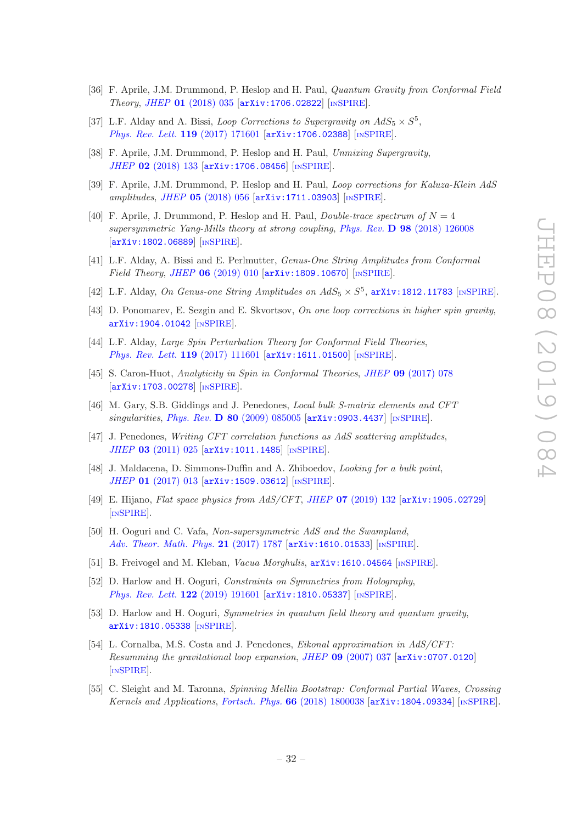- [36] F. Aprile, J.M. Drummond, P. Heslop and H. Paul, Quantum Gravity from Conformal Field Theory, JHEP 01 [\(2018\) 035](https://doi.org/10.1007/JHEP01(2018)035) [[arXiv:1706.02822](https://arxiv.org/abs/1706.02822)] [IN[SPIRE](https://inspirehep.net/search?p=find+EPRINT+arXiv:1706.02822)].
- <span id="page-32-12"></span>[37] L.F. Alday and A. Bissi, *Loop Corrections to Supergravity on AdS*<sub>5</sub>  $\times$   $S^5$ , [Phys. Rev. Lett.](https://doi.org/10.1103/PhysRevLett.119.171601) 119 (2017) 171601 [[arXiv:1706.02388](https://arxiv.org/abs/1706.02388)] [IN[SPIRE](https://inspirehep.net/search?p=find+EPRINT+arXiv:1706.02388)].
- <span id="page-32-13"></span>[38] F. Aprile, J.M. Drummond, P. Heslop and H. Paul, Unmixing Supergravity, JHEP 02 [\(2018\) 133](https://doi.org/10.1007/JHEP02(2018)133) [[arXiv:1706.08456](https://arxiv.org/abs/1706.08456)] [IN[SPIRE](https://inspirehep.net/search?p=find+EPRINT+arXiv:1706.08456)].
- [39] F. Aprile, J.M. Drummond, P. Heslop and H. Paul, Loop corrections for Kaluza-Klein AdS amplitudes, JHEP 05 [\(2018\) 056](https://doi.org/10.1007/JHEP05(2018)056) [[arXiv:1711.03903](https://arxiv.org/abs/1711.03903)] [IN[SPIRE](https://inspirehep.net/search?p=find+EPRINT+arXiv:1711.03903)].
- [40] F. Aprile, J. Drummond, P. Heslop and H. Paul, *Double-trace spectrum of*  $N = 4$ supersymmetric Yang-Mills theory at strong coupling, Phys. Rev. D 98 [\(2018\) 126008](https://doi.org/10.1103/PhysRevD.98.126008) [[arXiv:1802.06889](https://arxiv.org/abs/1802.06889)] [IN[SPIRE](https://inspirehep.net/search?p=find+EPRINT+arXiv:1802.06889)].
- [41] L.F. Alday, A. Bissi and E. Perlmutter, Genus-One String Amplitudes from Conformal Field Theory, JHEP 06 [\(2019\) 010](https://doi.org/10.1007/JHEP06(2019)010) [[arXiv:1809.10670](https://arxiv.org/abs/1809.10670)] [IN[SPIRE](https://inspirehep.net/search?p=find+EPRINT+arXiv:1809.10670)].
- [42] L.F. Alday, On Genus-one String Amplitudes on  $AdS_5 \times S^5$ , [arXiv:1812.11783](https://arxiv.org/abs/1812.11783) [IN[SPIRE](https://inspirehep.net/search?p=find+EPRINT+arXiv:1812.11783)].
- <span id="page-32-0"></span>[43] D. Ponomarev, E. Sezgin and E. Skvortsov, On one loop corrections in higher spin gravity, [arXiv:1904.01042](https://arxiv.org/abs/1904.01042) [IN[SPIRE](https://inspirehep.net/search?p=find+EPRINT+arXiv:1904.01042)].
- <span id="page-32-1"></span>[44] L.F. Alday, *Large Spin Perturbation Theory for Conformal Field Theories*, [Phys. Rev. Lett.](https://doi.org/10.1103/PhysRevLett.119.111601) 119 (2017) 111601 [[arXiv:1611.01500](https://arxiv.org/abs/1611.01500)] [IN[SPIRE](https://inspirehep.net/search?p=find+EPRINT+arXiv:1611.01500)].
- <span id="page-32-2"></span>[45] S. Caron-Huot, Analyticity in Spin in Conformal Theories, JHEP 09 [\(2017\) 078](https://doi.org/10.1007/JHEP09(2017)078) [[arXiv:1703.00278](https://arxiv.org/abs/1703.00278)] [IN[SPIRE](https://inspirehep.net/search?p=find+EPRINT+arXiv:1703.00278)].
- <span id="page-32-3"></span>[46] M. Gary, S.B. Giddings and J. Penedones, Local bulk S-matrix elements and CFT singularities, Phys. Rev.  $\bf{D} 80$  [\(2009\) 085005](https://doi.org/10.1103/PhysRevD.80.085005) [[arXiv:0903.4437](https://arxiv.org/abs/0903.4437)] [IN[SPIRE](https://inspirehep.net/search?p=find+EPRINT+arXiv:0903.4437)].
- [47] J. Penedones, Writing CFT correlation functions as AdS scattering amplitudes, JHEP 03 [\(2011\) 025](https://doi.org/10.1007/JHEP03(2011)025) [[arXiv:1011.1485](https://arxiv.org/abs/1011.1485)] [IN[SPIRE](https://inspirehep.net/search?p=find+EPRINT+arXiv:1011.1485)].
- <span id="page-32-7"></span>[48] J. Maldacena, D. Simmons-Duffin and A. Zhiboedov, Looking for a bulk point, JHEP 01 [\(2017\) 013](https://doi.org/10.1007/JHEP01(2017)013) [[arXiv:1509.03612](https://arxiv.org/abs/1509.03612)] [IN[SPIRE](https://inspirehep.net/search?p=find+EPRINT+arXiv:1509.03612)].
- <span id="page-32-4"></span>[49] E. Hijano, *Flat space physics from AdS/CFT*, *JHEP* 07 [\(2019\) 132](https://doi.org/10.1007/JHEP07(2019)132) [[arXiv:1905.02729](https://arxiv.org/abs/1905.02729)] [IN[SPIRE](https://inspirehep.net/search?p=find+EPRINT+arXiv:1905.02729)].
- <span id="page-32-5"></span>[50] H. Ooguri and C. Vafa, Non-supersymmetric AdS and the Swampland, [Adv. Theor. Math. Phys.](https://doi.org/10.4310/ATMP.2017.v21.n7.a8) 21 (2017) 1787 [[arXiv:1610.01533](https://arxiv.org/abs/1610.01533)] [IN[SPIRE](https://inspirehep.net/search?p=find+EPRINT+arXiv:1610.01533)].
- <span id="page-32-10"></span>[51] B. Freivogel and M. Kleban, Vacua Morghulis, [arXiv:1610.04564](https://arxiv.org/abs/1610.04564) [IN[SPIRE](https://inspirehep.net/search?p=find+EPRINT+arXiv:1610.04564)].
- <span id="page-32-11"></span>[52] D. Harlow and H. Ooguri, Constraints on Symmetries from Holography, [Phys. Rev. Lett.](https://doi.org/10.1103/PhysRevLett.122.191601) 122 (2019) 191601 [[arXiv:1810.05337](https://arxiv.org/abs/1810.05337)] [IN[SPIRE](https://inspirehep.net/search?p=find+EPRINT+arXiv:1810.05337)].
- <span id="page-32-6"></span>[53] D. Harlow and H. Ooguri, Symmetries in quantum field theory and quantum gravity, [arXiv:1810.05338](https://arxiv.org/abs/1810.05338) [IN[SPIRE](https://inspirehep.net/search?p=find+EPRINT+arXiv:1810.05338)].
- <span id="page-32-8"></span>[54] L. Cornalba, M.S. Costa and J. Penedones, Eikonal approximation in AdS/CFT: Resumming the gravitational loop expansion, JHEP 09 [\(2007\) 037](https://doi.org/10.1088/1126-6708/2007/09/037) [[arXiv:0707.0120](https://arxiv.org/abs/0707.0120)] [IN[SPIRE](https://inspirehep.net/search?p=find+EPRINT+arXiv:0707.0120)].
- <span id="page-32-9"></span>[55] C. Sleight and M. Taronna, Spinning Mellin Bootstrap: Conformal Partial Waves, Crossing Kernels and Applications, Fortsch. Phys. 66 [\(2018\) 1800038](https://doi.org/10.1002/prop.201800038) [[arXiv:1804.09334](https://arxiv.org/abs/1804.09334)] [IN[SPIRE](https://inspirehep.net/search?p=find+EPRINT+arXiv:1804.09334)].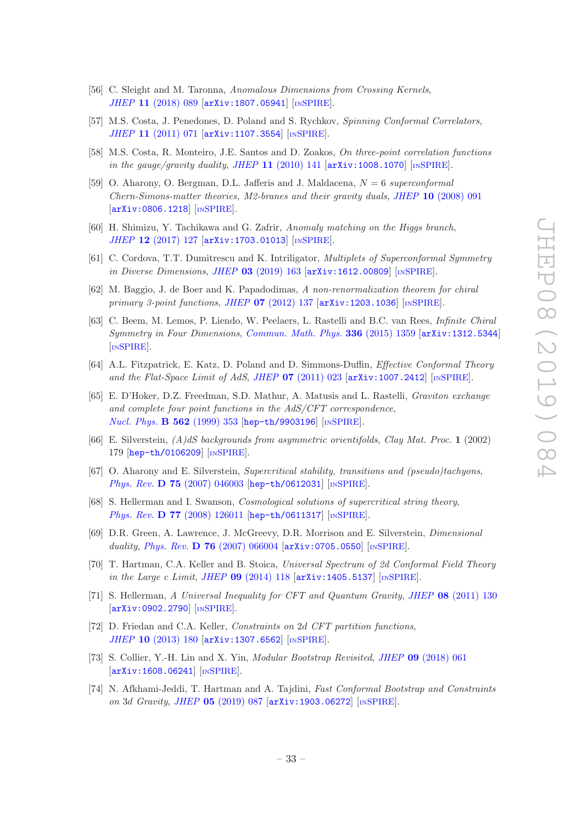- <span id="page-33-0"></span>[56] C. Sleight and M. Taronna, Anomalous Dimensions from Crossing Kernels, JHEP 11 [\(2018\) 089](https://doi.org/10.1007/JHEP11(2018)089) [[arXiv:1807.05941](https://arxiv.org/abs/1807.05941)] [IN[SPIRE](https://inspirehep.net/search?p=find+EPRINT+arXiv:1807.05941)].
- <span id="page-33-2"></span>[57] M.S. Costa, J. Penedones, D. Poland and S. Rychkov, Spinning Conformal Correlators, JHEP 11 [\(2011\) 071](https://doi.org/10.1007/JHEP11(2011)071) [[arXiv:1107.3554](https://arxiv.org/abs/1107.3554)] [IN[SPIRE](https://inspirehep.net/search?p=find+EPRINT+arXiv:1107.3554)].
- <span id="page-33-1"></span>[58] M.S. Costa, R. Monteiro, J.E. Santos and D. Zoakos, On three-point correlation functions in the gauge/gravity duality, JHEP  $11$  [\(2010\) 141](https://doi.org/10.1007/JHEP11(2010)141)  $[arXiv:1008.1070]$  $[arXiv:1008.1070]$  $[arXiv:1008.1070]$  [IN[SPIRE](https://inspirehep.net/search?p=find+EPRINT+arXiv:1008.1070)].
- <span id="page-33-3"></span>[59] O. Aharony, O. Bergman, D.L. Jafferis and J. Maldacena,  $N = 6$  superconformal Chern-Simons-matter theories, M2-branes and their gravity duals, JHEP 10 [\(2008\) 091](https://doi.org/10.1088/1126-6708/2008/10/091) [[arXiv:0806.1218](https://arxiv.org/abs/0806.1218)] [IN[SPIRE](https://inspirehep.net/search?p=find+EPRINT+arXiv:0806.1218)].
- <span id="page-33-4"></span>[60] H. Shimizu, Y. Tachikawa and G. Zafrir, Anomaly matching on the Higgs branch, JHEP 12 [\(2017\) 127](https://doi.org/10.1007/JHEP12(2017)127) [[arXiv:1703.01013](https://arxiv.org/abs/1703.01013)] [IN[SPIRE](https://inspirehep.net/search?p=find+EPRINT+arXiv:1703.01013)].
- <span id="page-33-5"></span>[61] C. Cordova, T.T. Dumitrescu and K. Intriligator, Multiplets of Superconformal Symmetry in Diverse Dimensions, JHEP 03 [\(2019\) 163](https://doi.org/10.1007/JHEP03(2019)163) [[arXiv:1612.00809](https://arxiv.org/abs/1612.00809)] [IN[SPIRE](https://inspirehep.net/search?p=find+EPRINT+arXiv:1612.00809)].
- <span id="page-33-6"></span>[62] M. Baggio, J. de Boer and K. Papadodimas, A non-renormalization theorem for chiral primary 3-point functions, JHEP  $07$  [\(2012\) 137](https://doi.org/10.1007/JHEP07(2012)137)  $\text{arXiv:1203.1036}$  $\text{arXiv:1203.1036}$  $\text{arXiv:1203.1036}$  [IN[SPIRE](https://inspirehep.net/search?p=find+EPRINT+arXiv:1203.1036)].
- <span id="page-33-7"></span>[63] C. Beem, M. Lemos, P. Liendo, W. Peelaers, L. Rastelli and B.C. van Rees, Infinite Chiral Symmetry in Four Dimensions, [Commun. Math. Phys.](https://doi.org/10.1007/s00220-014-2272-x) 336 (2015) 1359 [[arXiv:1312.5344](https://arxiv.org/abs/1312.5344)] [IN[SPIRE](https://inspirehep.net/search?p=find+EPRINT+arXiv:1312.5344)].
- <span id="page-33-8"></span>[64] A.L. Fitzpatrick, E. Katz, D. Poland and D. Simmons-Duffin, Effective Conformal Theory and the Flat-Space Limit of AdS, JHEP  $07$  [\(2011\) 023](https://doi.org/10.1007/JHEP07(2011)023) [[arXiv:1007.2412](https://arxiv.org/abs/1007.2412)] [IN[SPIRE](https://inspirehep.net/search?p=find+EPRINT+arXiv:1007.2412)].
- <span id="page-33-9"></span>[65] E. D'Hoker, D.Z. Freedman, S.D. Mathur, A. Matusis and L. Rastelli, Graviton exchange and complete four point functions in the AdS/CFT correspondence, [Nucl. Phys.](https://doi.org/10.1016/S0550-3213(99)00525-8) **B 562** (1999) 353 [[hep-th/9903196](https://arxiv.org/abs/hep-th/9903196)] [IN[SPIRE](https://inspirehep.net/search?p=find+EPRINT+hep-th/9903196)].
- <span id="page-33-12"></span>[66] E. Silverstein,  $(A)dS$  backgrounds from asymmetric orientifolds, Clay Mat. Proc. 1 (2002) 179 [[hep-th/0106209](https://arxiv.org/abs/hep-th/0106209)] [IN[SPIRE](https://inspirehep.net/search?p=find+EPRINT+hep-th/0106209)].
- [67] O. Aharony and E. Silverstein, Supercritical stability, transitions and (pseudo)tachyons, Phys. Rev. **D 75** [\(2007\) 046003](https://doi.org/10.1103/PhysRevD.75.046003) [[hep-th/0612031](https://arxiv.org/abs/hep-th/0612031)] [IN[SPIRE](https://inspirehep.net/search?p=find+EPRINT+hep-th/0612031)].
- [68] S. Hellerman and I. Swanson, Cosmological solutions of supercritical string theory, Phys. Rev. **D 77** [\(2008\) 126011](https://doi.org/10.1103/PhysRevD.77.126011) [[hep-th/0611317](https://arxiv.org/abs/hep-th/0611317)] [IN[SPIRE](https://inspirehep.net/search?p=find+EPRINT+hep-th/0611317)].
- <span id="page-33-13"></span>[69] D.R. Green, A. Lawrence, J. McGreevy, D.R. Morrison and E. Silverstein, Dimensional duality, Phys. Rev. D 76 [\(2007\) 066004](https://doi.org/10.1103/PhysRevD.76.066004)  $[$ [arXiv:0705.0550](https://arxiv.org/abs/0705.0550) $]$   $[$ IN[SPIRE](https://inspirehep.net/search?p=find+EPRINT+arXiv:0705.0550)].
- <span id="page-33-10"></span>[70] T. Hartman, C.A. Keller and B. Stoica, Universal Spectrum of 2d Conformal Field Theory in the Large c Limit, JHEP  $09$  [\(2014\) 118](https://doi.org/10.1007/JHEP09(2014)118)  $\text{arXiv:1405.5137}$  $\text{arXiv:1405.5137}$  $\text{arXiv:1405.5137}$  [IN[SPIRE](https://inspirehep.net/search?p=find+EPRINT+arXiv:1405.5137)].
- <span id="page-33-11"></span>[71] S. Hellerman, A Universal Inequality for CFT and Quantum Gravity, JHEP 08 [\(2011\) 130](https://doi.org/10.1007/JHEP08(2011)130) [[arXiv:0902.2790](https://arxiv.org/abs/0902.2790)] [IN[SPIRE](https://inspirehep.net/search?p=find+EPRINT+arXiv:0902.2790)].
- [72] D. Friedan and C.A. Keller, Constraints on 2d CFT partition functions, JHEP 10 [\(2013\) 180](https://doi.org/10.1007/JHEP10(2013)180) [[arXiv:1307.6562](https://arxiv.org/abs/1307.6562)] [IN[SPIRE](https://inspirehep.net/search?p=find+EPRINT+arXiv:1307.6562)].
- [73] S. Collier, Y.-H. Lin and X. Yin, Modular Bootstrap Revisited, JHEP 09 [\(2018\) 061](https://doi.org/10.1007/JHEP09(2018)061) [[arXiv:1608.06241](https://arxiv.org/abs/1608.06241)] [IN[SPIRE](https://inspirehep.net/search?p=find+EPRINT+arXiv:1608.06241)].
- [74] N. Afkhami-Jeddi, T. Hartman and A. Tajdini, Fast Conformal Bootstrap and Constraints on 3d Gravity, JHEP 05 [\(2019\) 087](https://doi.org/10.1007/JHEP05(2019)087) [[arXiv:1903.06272](https://arxiv.org/abs/1903.06272)] [IN[SPIRE](https://inspirehep.net/search?p=find+EPRINT+arXiv:1903.06272)].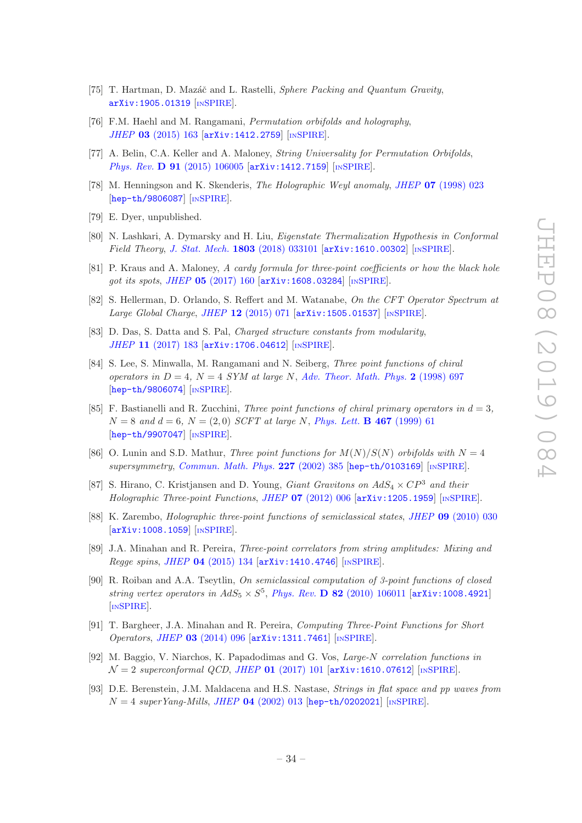- <span id="page-34-0"></span>[75] T. Hartman, D. Mazáč and L. Rastelli, Sphere Packing and Quantum Gravity, [arXiv:1905.01319](https://arxiv.org/abs/1905.01319) [IN[SPIRE](https://inspirehep.net/search?p=find+EPRINT+arXiv:1905.01319)].
- <span id="page-34-1"></span>[76] F.M. Haehl and M. Rangamani, *Permutation orbifolds and holography*, JHEP 03 [\(2015\) 163](https://doi.org/10.1007/JHEP03(2015)163) [[arXiv:1412.2759](https://arxiv.org/abs/1412.2759)] [IN[SPIRE](https://inspirehep.net/search?p=find+EPRINT+arXiv:1412.2759)].
- <span id="page-34-2"></span>[77] A. Belin, C.A. Keller and A. Maloney, String Universality for Permutation Orbifolds, Phys. Rev. **D 91** [\(2015\) 106005](https://doi.org/10.1103/PhysRevD.91.106005) [[arXiv:1412.7159](https://arxiv.org/abs/1412.7159)] [IN[SPIRE](https://inspirehep.net/search?p=find+EPRINT+arXiv:1412.7159)].
- <span id="page-34-3"></span>[78] M. Henningson and K. Skenderis, The Holographic Weyl anomaly, JHEP 07 [\(1998\) 023](https://doi.org/10.1088/1126-6708/1998/07/023) [[hep-th/9806087](https://arxiv.org/abs/hep-th/9806087)] [IN[SPIRE](https://inspirehep.net/search?p=find+EPRINT+hep-th/9806087)].
- <span id="page-34-7"></span>[79] E. Dyer, unpublished.
- <span id="page-34-4"></span>[80] N. Lashkari, A. Dymarsky and H. Liu, Eigenstate Thermalization Hypothesis in Conformal Field Theory, [J. Stat. Mech.](https://doi.org/10.1088/1742-5468/aab020) 1803 (2018) 033101  $\left[$ [arXiv:1610.00302](https://arxiv.org/abs/1610.00302) $\right]$  [IN[SPIRE](https://inspirehep.net/search?p=find+EPRINT+arXiv:1610.00302)].
- <span id="page-34-5"></span>[81] P. Kraus and A. Maloney, A cardy formula for three-point coefficients or how the black hole got its spots, JHEP 05 [\(2017\) 160](https://doi.org/10.1007/JHEP05(2017)160) [[arXiv:1608.03284](https://arxiv.org/abs/1608.03284)] [IN[SPIRE](https://inspirehep.net/search?p=find+EPRINT+arXiv:1608.03284)].
- <span id="page-34-6"></span>[82] S. Hellerman, D. Orlando, S. Reffert and M. Watanabe, On the CFT Operator Spectrum at Large Global Charge, JHEP 12 [\(2015\) 071](https://doi.org/10.1007/JHEP12(2015)071) [[arXiv:1505.01537](https://arxiv.org/abs/1505.01537)] [IN[SPIRE](https://inspirehep.net/search?p=find+EPRINT+arXiv:1505.01537)].
- <span id="page-34-8"></span>[83] D. Das, S. Datta and S. Pal, Charged structure constants from modularity, JHEP 11 [\(2017\) 183](https://doi.org/10.1007/JHEP11(2017)183) [[arXiv:1706.04612](https://arxiv.org/abs/1706.04612)] [IN[SPIRE](https://inspirehep.net/search?p=find+EPRINT+arXiv:1706.04612)].
- <span id="page-34-9"></span>[84] S. Lee, S. Minwalla, M. Rangamani and N. Seiberg, Three point functions of chiral operators in  $D = 4$ ,  $N = 4$  SYM at large N, [Adv. Theor. Math. Phys.](https://doi.org/10.4310/ATMP.1998.v2.n4.a1) 2 (1998) 697 [[hep-th/9806074](https://arxiv.org/abs/hep-th/9806074)] [IN[SPIRE](https://inspirehep.net/search?p=find+EPRINT+hep-th/9806074)].
- [85] F. Bastianelli and R. Zucchini, *Three point functions of chiral primary operators in d = 3*,  $N = 8$  and  $d = 6$ ,  $N = (2, 0)$  SCFT at large N, [Phys. Lett.](https://doi.org/10.1016/S0370-2693(99)01179-X) **B 467** (1999) 61 [[hep-th/9907047](https://arxiv.org/abs/hep-th/9907047)] [IN[SPIRE](https://inspirehep.net/search?p=find+EPRINT+hep-th/9907047)].
- <span id="page-34-10"></span>[86] O. Lunin and S.D. Mathur, Three point functions for  $M(N)/S(N)$  orbifolds with  $N=4$ supersymmetry, [Commun. Math. Phys.](https://doi.org/10.1007/s002200200638) 227 (2002) 385 [[hep-th/0103169](https://arxiv.org/abs/hep-th/0103169)] [IN[SPIRE](https://inspirehep.net/search?p=find+EPRINT+hep-th/0103169)].
- <span id="page-34-11"></span>[87] S. Hirano, C. Kristjansen and D. Young, *Giant Gravitons on AdS*<sub>4</sub>  $\times CP^3$  and their Holographic Three-point Functions, JHEP  $07$  [\(2012\) 006](https://doi.org/10.1007/JHEP07(2012)006)  $\left[$ [arXiv:1205.1959](https://arxiv.org/abs/1205.1959) $\right]$   $\left[$ IN[SPIRE](https://inspirehep.net/search?p=find+EPRINT+arXiv:1205.1959) $\right]$ .
- <span id="page-34-12"></span>[88] K. Zarembo, Holographic three-point functions of semiclassical states, JHEP 09 [\(2010\) 030](https://doi.org/10.1007/JHEP09(2010)030) [[arXiv:1008.1059](https://arxiv.org/abs/1008.1059)] [IN[SPIRE](https://inspirehep.net/search?p=find+EPRINT+arXiv:1008.1059)].
- <span id="page-34-15"></span>[89] J.A. Minahan and R. Pereira, Three-point correlators from string amplitudes: Mixing and Regge spins, JHEP  $04$  [\(2015\) 134](https://doi.org/10.1007/JHEP04(2015)134)  $\text{arXiv:1410.4746}$  $\text{arXiv:1410.4746}$  $\text{arXiv:1410.4746}$  [IN[SPIRE](https://inspirehep.net/search?p=find+EPRINT+arXiv:1410.4746)].
- <span id="page-34-13"></span>[90] R. Roiban and A.A. Tseytlin, On semiclassical computation of 3-point functions of closed string vertex operators in  $AdS_5\times S^5$ , Phys. Rev. **D 82** [\(2010\) 106011](https://doi.org/10.1103/PhysRevD.82.106011) [[arXiv:1008.4921](https://arxiv.org/abs/1008.4921)] [IN[SPIRE](https://inspirehep.net/search?p=find+EPRINT+arXiv:1008.4921)].
- <span id="page-34-14"></span>[91] T. Bargheer, J.A. Minahan and R. Pereira, Computing Three-Point Functions for Short Operators, JHEP 03 [\(2014\) 096](https://doi.org/10.1007/JHEP03(2014)096) [[arXiv:1311.7461](https://arxiv.org/abs/1311.7461)] [IN[SPIRE](https://inspirehep.net/search?p=find+EPRINT+arXiv:1311.7461)].
- <span id="page-34-16"></span>[92] M. Baggio, V. Niarchos, K. Papadodimas and G. Vos, Large-N correlation functions in  $\mathcal{N}=2$  superconformal QCD, JHEP 01 [\(2017\) 101](https://doi.org/10.1007/JHEP01(2017)101)  $\left[$ [arXiv:1610.07612](https://arxiv.org/abs/1610.07612) $\right]$   $\left[$ IN[SPIRE](https://inspirehep.net/search?p=find+EPRINT+arXiv:1610.07612) $\right]$ .
- <span id="page-34-17"></span>[93] D.E. Berenstein, J.M. Maldacena and H.S. Nastase, Strings in flat space and pp waves from  $N = 4$  super Yang-Mills, JHEP 04 [\(2002\) 013](https://doi.org/10.1088/1126-6708/2002/04/013) [[hep-th/0202021](https://arxiv.org/abs/hep-th/0202021)] [IN[SPIRE](https://inspirehep.net/search?p=find+EPRINT+hep-th/0202021)].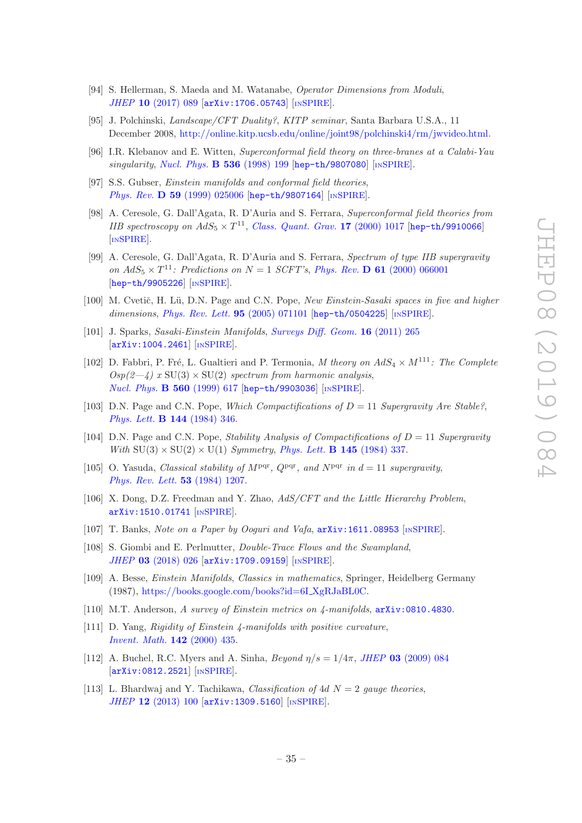- <span id="page-35-1"></span>[94] S. Hellerman, S. Maeda and M. Watanabe, Operator Dimensions from Moduli, JHEP 10 [\(2017\) 089](https://doi.org/10.1007/JHEP10(2017)089) [[arXiv:1706.05743](https://arxiv.org/abs/1706.05743)] [IN[SPIRE](https://inspirehep.net/search?p=find+EPRINT+arXiv:1706.05743)].
- <span id="page-35-0"></span>[95] J. Polchinski, Landscape/CFT Duality?, KITP seminar, Santa Barbara U.S.A., 11 December 2008, [http://online.kitp.ucsb.edu/online/joint98/polchinski4/rm/jwvideo.html.](http://online.kitp.ucsb.edu/online/joint98/polchinski4/rm/jwvideo.html)
- <span id="page-35-2"></span>[96] I.R. Klebanov and E. Witten, Superconformal field theory on three-branes at a Calabi-Yau singularity, [Nucl. Phys.](https://doi.org/10.1016/S0550-3213(98)00654-3) **B 536** (1998) 199 [[hep-th/9807080](https://arxiv.org/abs/hep-th/9807080)] [IN[SPIRE](https://inspirehep.net/search?p=find+EPRINT+hep-th/9807080)].
- <span id="page-35-3"></span>[97] S.S. Gubser, *Einstein manifolds and conformal field theories*, Phys. Rev. **D 59** [\(1999\) 025006](https://doi.org/10.1103/PhysRevD.59.025006) [[hep-th/9807164](https://arxiv.org/abs/hep-th/9807164)] [IN[SPIRE](https://inspirehep.net/search?p=find+EPRINT+hep-th/9807164)].
- [98] A. Ceresole, G. Dall'Agata, R. D'Auria and S. Ferrara, Superconformal field theories from IIB spectroscopy on  $AdS_5 \times T^{11}$ , [Class. Quant. Grav.](https://doi.org/10.1088/0264-9381/17/5/311) 17 (2000) 1017 [[hep-th/9910066](https://arxiv.org/abs/hep-th/9910066)] [IN[SPIRE](https://inspirehep.net/search?p=find+EPRINT+hep-th/9910066)].
- <span id="page-35-4"></span>[99] A. Ceresole, G. Dall'Agata, R. D'Auria and S. Ferrara, Spectrum of type IIB supergravity on  $AdS_5 \times T^{11}$ : Predictions on  $N = 1$  SCFT's, Phys. Rev. **D 61** [\(2000\) 066001](https://doi.org/10.1103/PhysRevD.61.066001) [[hep-th/9905226](https://arxiv.org/abs/hep-th/9905226)] [IN[SPIRE](https://inspirehep.net/search?p=find+EPRINT+hep-th/9905226)].
- <span id="page-35-10"></span>[100] M. Cvetič, H. Lü, D.N. Page and C.N. Pope, New Einstein-Sasaki spaces in five and higher dimensions, [Phys. Rev. Lett.](https://doi.org/10.1103/PhysRevLett.95.071101) **95** (2005) 071101 [[hep-th/0504225](https://arxiv.org/abs/hep-th/0504225)] [IN[SPIRE](https://inspirehep.net/search?p=find+EPRINT+hep-th/0504225)].
- <span id="page-35-11"></span>[101] J. Sparks, Sasaki-Einstein Manifolds, [Surveys Diff. Geom.](https://doi.org/10.4310/SDG.2011.v16.n1.a6) 16 (2011) 265 [[arXiv:1004.2461](https://arxiv.org/abs/1004.2461)] [IN[SPIRE](https://inspirehep.net/search?p=find+EPRINT+arXiv:1004.2461)].
- <span id="page-35-5"></span>[102] D. Fabbri, P. Fré, L. Gualtieri and P. Termonia, M theory on  $AdS_4 \times M^{111}$ : The Complete  $Osp(2-\frac{1}{4})$  x SU(3) × SU(2) spectrum from harmonic analysis, [Nucl. Phys.](https://doi.org/10.1016/S0550-3213(99)00363-6) B 560 (1999) 617 [[hep-th/9903036](https://arxiv.org/abs/hep-th/9903036)] [IN[SPIRE](https://inspirehep.net/search?p=find+EPRINT+hep-th/9903036)].
- <span id="page-35-6"></span>[103] D.N. Page and C.N. Pope, Which Compactifications of  $D = 11$  Supergravity Are Stable?, [Phys. Lett.](http://dx.doi.org/10.1016/0370-2693(84)91275-9) B 144 (1984) 346.
- [104] D.N. Page and C.N. Pope, *Stability Analysis of Compactifications of*  $D = 11$  *Supergravity* With  $SU(3) \times SU(2) \times U(1)$  Symmetry, [Phys. Lett.](http://dx.doi.org/10.1016/0370-2693(84)90056-X) **B 145** (1984) 337.
- <span id="page-35-7"></span>[105] O. Yasuda, Classical stability of  $M<sup>pqr</sup>$ ,  $Q<sup>pqr</sup>$ , and  $N<sup>pqr</sup>$  in  $d = 11$  supergravity, [Phys. Rev. Lett.](http://dx.doi.org/10.1103/PhysRevLett.53.1207) 53 (1984) 1207.
- <span id="page-35-8"></span>[106] X. Dong, D.Z. Freedman and Y. Zhao, AdS/CFT and the Little Hierarchy Problem, [arXiv:1510.01741](https://arxiv.org/abs/1510.01741) [IN[SPIRE](https://inspirehep.net/search?p=find+EPRINT+arXiv:1510.01741)].
- [107] T. Banks, Note on a Paper by Ooguri and Vafa,  $arXiv:1611.08953$  [IN[SPIRE](https://inspirehep.net/search?p=find+EPRINT+arXiv:1611.08953)].
- <span id="page-35-9"></span>[108] S. Giombi and E. Perlmutter, *Double-Trace Flows and the Swampland*, JHEP 03 [\(2018\) 026](https://doi.org/10.1007/JHEP03(2018)026) [[arXiv:1709.09159](https://arxiv.org/abs/1709.09159)] [IN[SPIRE](https://inspirehep.net/search?p=find+EPRINT+arXiv:1709.09159)].
- <span id="page-35-12"></span>[109] A. Besse, Einstein Manifolds, Classics in mathematics, Springer, Heidelberg Germany (1987), [https://books.google.com/books?id=6I](https://books.google.com/books?id=6I_XgRJaBL0C) XgRJaBL0C.
- [110] M.T. Anderson, A survey of Einstein metrics on  $\mu$ -manifolds,  $arXiv:0810.4830$ .
- <span id="page-35-13"></span>[111] D. Yang, Rigidity of Einstein 4-manifolds with positive curvature, [Invent. Math.](http://dx.doi.org/10.1007/PL00005792) 142 (2000) 435.
- <span id="page-35-14"></span>[112] A. Buchel, R.C. Myers and A. Sinha,  $Beyond \eta/s = 1/4\pi$ , JHEP 03 [\(2009\) 084](https://doi.org/10.1088/1126-6708/2009/03/084) [[arXiv:0812.2521](https://arxiv.org/abs/0812.2521)] [IN[SPIRE](https://inspirehep.net/search?p=find+EPRINT+arXiv:0812.2521)].
- <span id="page-35-15"></span>[113] L. Bhardwaj and Y. Tachikawa, *Classification of 4d N = 2 gauge theories*, JHEP 12 [\(2013\) 100](https://doi.org/10.1007/JHEP12(2013)100) [[arXiv:1309.5160](https://arxiv.org/abs/1309.5160)] [IN[SPIRE](https://inspirehep.net/search?p=find+EPRINT+arXiv:1309.5160)].